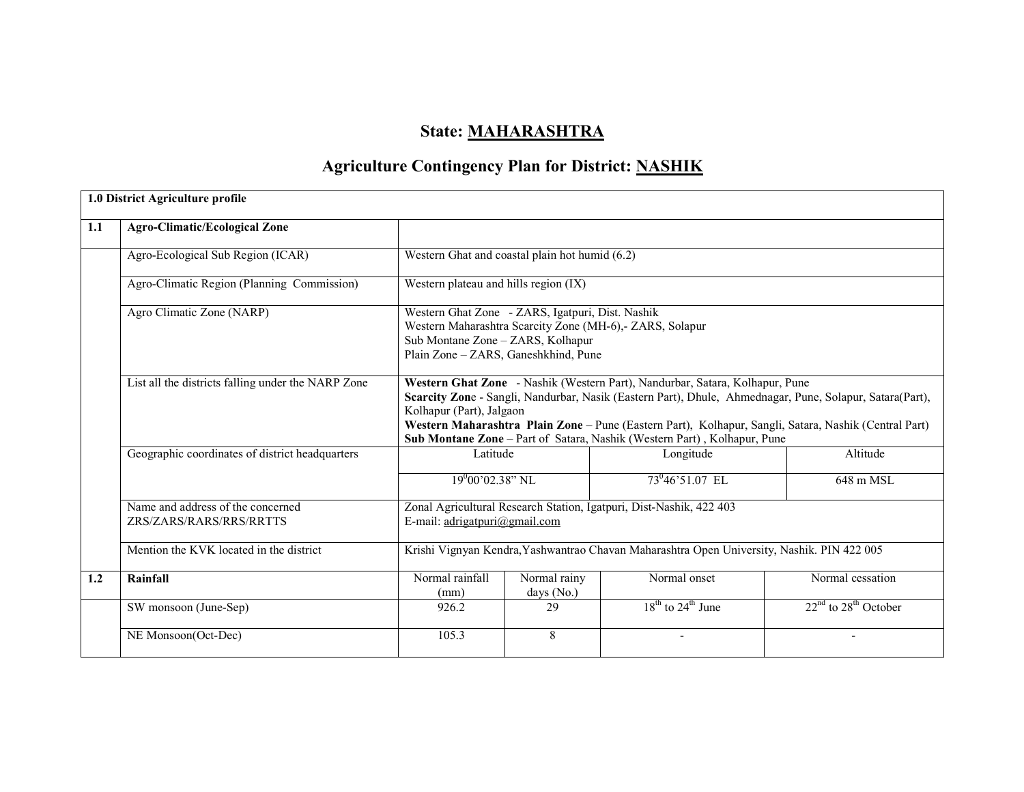# State: MAHARASHTRA

## Agriculture Contingency Plan for District: NASHIK

|     | 1.0 District Agriculture profile                             |                                                                                                                                                                                                                                                                                                                                                                                                           |                            |                                                                                            |                          |  |  |  |
|-----|--------------------------------------------------------------|-----------------------------------------------------------------------------------------------------------------------------------------------------------------------------------------------------------------------------------------------------------------------------------------------------------------------------------------------------------------------------------------------------------|----------------------------|--------------------------------------------------------------------------------------------|--------------------------|--|--|--|
| 1.1 | <b>Agro-Climatic/Ecological Zone</b>                         |                                                                                                                                                                                                                                                                                                                                                                                                           |                            |                                                                                            |                          |  |  |  |
|     | Agro-Ecological Sub Region (ICAR)                            | Western Ghat and coastal plain hot humid $(6.2)$                                                                                                                                                                                                                                                                                                                                                          |                            |                                                                                            |                          |  |  |  |
|     | Agro-Climatic Region (Planning Commission)                   | Western plateau and hills region (IX)                                                                                                                                                                                                                                                                                                                                                                     |                            |                                                                                            |                          |  |  |  |
|     | Agro Climatic Zone (NARP)                                    | Western Ghat Zone - ZARS, Igatpuri, Dist. Nashik<br>Western Maharashtra Scarcity Zone (MH-6),- ZARS, Solapur<br>Sub Montane Zone - ZARS, Kolhapur<br>Plain Zone - ZARS, Ganeshkhind, Pune                                                                                                                                                                                                                 |                            |                                                                                            |                          |  |  |  |
|     | List all the districts falling under the NARP Zone           | Western Ghat Zone - Nashik (Western Part), Nandurbar, Satara, Kolhapur, Pune<br>Scarcity Zone - Sangli, Nandurbar, Nasik (Eastern Part), Dhule, Ahmednagar, Pune, Solapur, Satara(Part),<br>Kolhapur (Part), Jalgaon<br>Western Maharashtra Plain Zone - Pune (Eastern Part), Kolhapur, Sangli, Satara, Nashik (Central Part)<br>Sub Montane Zone - Part of Satara, Nashik (Western Part), Kolhapur, Pune |                            |                                                                                            |                          |  |  |  |
|     | Geographic coordinates of district headquarters              | Latitude                                                                                                                                                                                                                                                                                                                                                                                                  |                            | Longitude                                                                                  | Altitude                 |  |  |  |
|     |                                                              | $19^{0}00'02.38"$ NL                                                                                                                                                                                                                                                                                                                                                                                      |                            | 73°46'51.07 EL                                                                             | 648 m MSL                |  |  |  |
|     | Name and address of the concerned<br>ZRS/ZARS/RARS/RRS/RRTTS | E-mail: adrigatpuri@gmail.com                                                                                                                                                                                                                                                                                                                                                                             |                            | Zonal Agricultural Research Station, Igatpuri, Dist-Nashik, 422 403                        |                          |  |  |  |
|     | Mention the KVK located in the district                      |                                                                                                                                                                                                                                                                                                                                                                                                           |                            | Krishi Vignyan Kendra, Yashwantrao Chavan Maharashtra Open University, Nashik. PIN 422 005 |                          |  |  |  |
| 1.2 | Rainfall                                                     | Normal rainfall<br>(mm)                                                                                                                                                                                                                                                                                                                                                                                   | Normal rainy<br>days (No.) | Normal onset                                                                               | Normal cessation         |  |  |  |
|     | SW monsoon (June-Sep)                                        | 926.2                                                                                                                                                                                                                                                                                                                                                                                                     | 29                         | $18th$ to $24th$ June                                                                      | $22nd$ to $28th$ October |  |  |  |
|     | NE Monsoon(Oct-Dec)                                          | 105.3                                                                                                                                                                                                                                                                                                                                                                                                     | 8                          |                                                                                            |                          |  |  |  |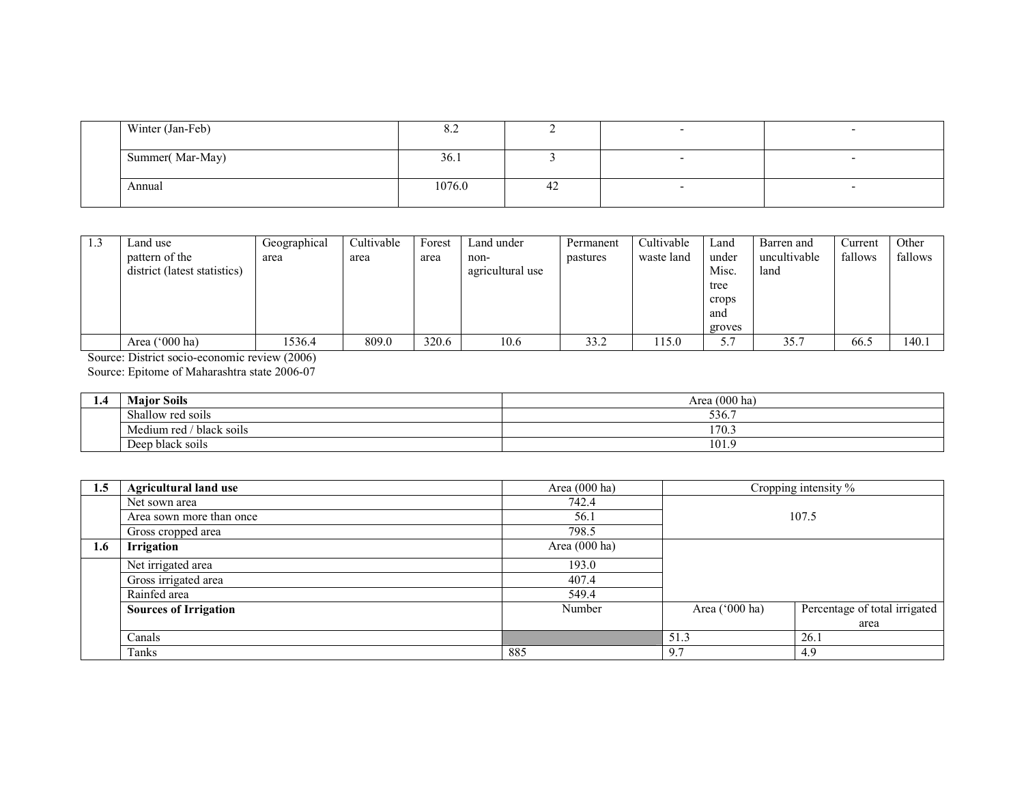| Winter (Jan-Feb) | $\delta$ . |    |  |
|------------------|------------|----|--|
| Summer(Mar-May)  | 36.1       |    |  |
| Annual           | 1076.0     | 42 |  |
|                  |            |    |  |

| 1.3 | Land use                     | Geographical | Cultivable | Forest | Land under       | Permanent | Cultivable | Land   | Barren and   | Current | Other   |
|-----|------------------------------|--------------|------------|--------|------------------|-----------|------------|--------|--------------|---------|---------|
|     | pattern of the               | area         | area       | area   | non-             | pastures  | waste land | under  | uncultivable | fallows | fallows |
|     | district (latest statistics) |              |            |        | agricultural use |           |            | Misc.  | land         |         |         |
|     |                              |              |            |        |                  |           |            | tree   |              |         |         |
|     |                              |              |            |        |                  |           |            | crops  |              |         |         |
|     |                              |              |            |        |                  |           |            | and    |              |         |         |
|     |                              |              |            |        |                  |           |            | groves |              |         |         |
|     | Area ('000 ha)               | 1536.4       | 809.0      | 320.6  | 10.6             | 33.2      | 115.0      |        | 35.7         | 66.5    | 140.1   |

Source: District socio-economic review (2006)

Source: Epitome of Maharashtra state 2006-07

| 1.7 | <b>Major Soils</b>                  | Area (000 ha) |
|-----|-------------------------------------|---------------|
|     | Shallow red soils                   | 536.          |
|     | Medium red /<br>' black soils       | 170.5         |
|     | $\cdot$ $\cdot$<br>Deep black soils | 101.9         |

| 1.5 | <b>Agricultural land use</b> | Area $(000 \text{ ha})$ |                | Cropping intensity %          |  |
|-----|------------------------------|-------------------------|----------------|-------------------------------|--|
|     | Net sown area                | 742.4                   |                |                               |  |
|     | Area sown more than once     | 56.1                    | 107.5          |                               |  |
|     | Gross cropped area           | 798.5                   |                |                               |  |
| 1.6 | Irrigation                   | Area $(000 \text{ ha})$ |                |                               |  |
|     | Net irrigated area           | 193.0                   |                |                               |  |
|     | Gross irrigated area         | 407.4                   |                |                               |  |
|     | Rainfed area                 | 549.4                   |                |                               |  |
|     | <b>Sources of Irrigation</b> | Number                  | Area ('000 ha) | Percentage of total irrigated |  |
|     |                              |                         |                | area                          |  |
|     | Canals                       |                         | 51.3           | 26.1                          |  |
|     | Tanks                        | 885                     | 9.7            | 4.9                           |  |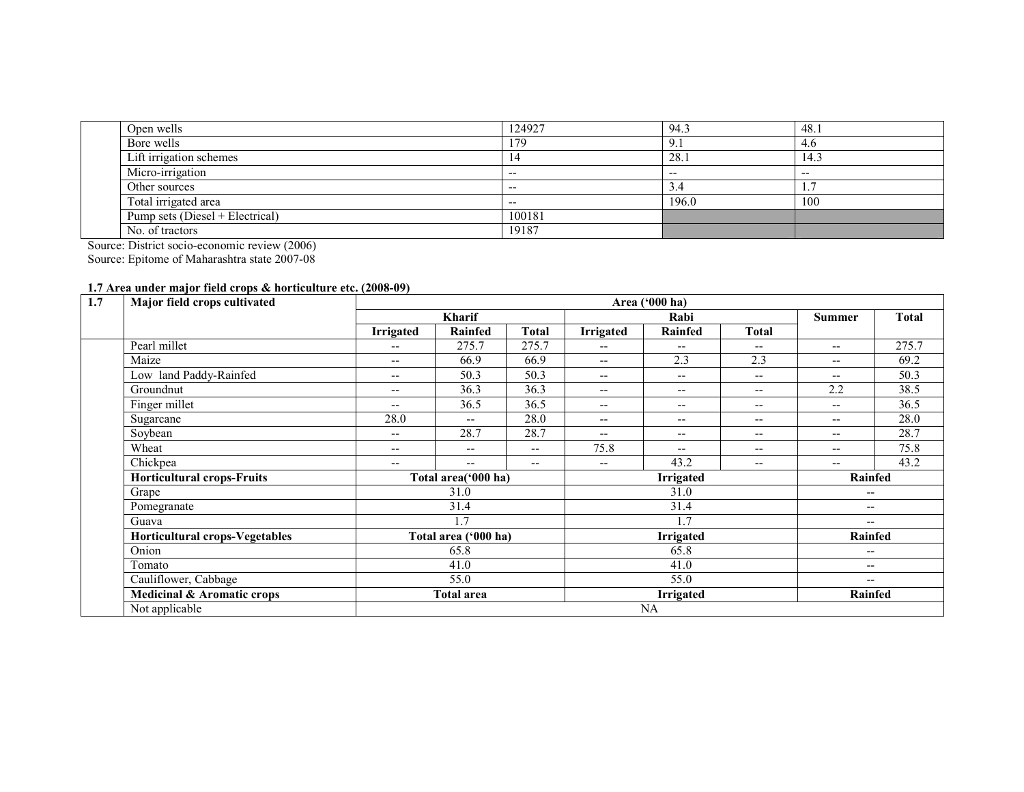| Open wells                      | 124927 | 94.3  | 48.1  |
|---------------------------------|--------|-------|-------|
| Bore wells                      | 79     |       | 4.6   |
| Lift irrigation schemes         |        | 28.1  | 14.3  |
| Micro-irrigation                | $- -$  | $- -$ | $- -$ |
| Other sources                   | $- -$  | ، د   |       |
| Total irrigated area            | $- -$  | 196.0 | 100   |
| Pump sets (Diesel + Electrical) | 100181 |       |       |
| No. of tractors                 | 19187  |       |       |

Source: District socio-economic review (2006) Source: Epitome of Maharashtra state 2007-08

## 1.7 Area under major field crops & horticulture etc. (2008-09)

| 1.7<br>Major field crops cultivated   | Area ('000 ha)                        |                          |                          |                                       |                                                     |                   |                          |              |
|---------------------------------------|---------------------------------------|--------------------------|--------------------------|---------------------------------------|-----------------------------------------------------|-------------------|--------------------------|--------------|
|                                       |                                       | <b>Kharif</b>            |                          |                                       | Rabi                                                |                   | <b>Summer</b>            | <b>Total</b> |
|                                       | <b>Irrigated</b>                      | Rainfed                  | <b>Total</b>             | Irrigated                             | <b>Rainfed</b>                                      | Total             |                          |              |
| Pearl millet                          | $-$                                   | 275.7                    | 275.7                    | $\overline{\phantom{m}}$              | --                                                  | $- -$             | $\overline{\phantom{m}}$ | 275.7        |
| Maize                                 | $\hspace{0.05cm}$ – $\hspace{0.05cm}$ | 66.9                     | 66.9                     | $\overline{\phantom{a}}$              | 2.3                                                 | 2.3               | $- -$                    | 69.2         |
| Low land Paddy-Rainfed                | $-$                                   | 50.3                     | 50.3                     | $\hspace{0.05cm} \ldots$              | $\overline{\phantom{m}}$                            | $\qquad \qquad -$ | $\overline{\phantom{m}}$ | 50.3         |
| Groundnut                             | $-$                                   | 36.3                     | 36.3                     | $\hspace{0.05cm} \ldots$              | $\hspace{0.05cm}$ – $\hspace{0.05cm}$               | $\qquad \qquad -$ | 2.2                      | 38.5         |
| Finger millet                         | $\overline{\phantom{a}}$              | 36.5                     | 36.5                     | $\overline{\phantom{m}}$              | $\hspace{0.05cm} -\hspace{0.05cm} -\hspace{0.05cm}$ | $\qquad \qquad -$ | $- -$                    | 36.5         |
| Sugarcane                             | 28.0                                  | $-$                      | 28.0                     | $\overline{\phantom{m}}$              | $- -$                                               | $\qquad \qquad -$ | $- -$                    | 28.0         |
| Soybean                               | $\overline{\phantom{a}}$              | 28.7                     | 28.7                     | $\overline{\phantom{a}}$              | $\hspace{0.05cm} -\hspace{0.05cm} -\hspace{0.05cm}$ | $\qquad \qquad -$ | $- -$                    | 28.7         |
| Wheat                                 | $\overline{\phantom{a}}$              | $\overline{\phantom{a}}$ | $\qquad \qquad -$        | 75.8                                  | $-$                                                 | $\qquad \qquad -$ | $- -$                    | 75.8         |
| Chickpea                              | $-$                                   | $- -$                    | $\overline{\phantom{m}}$ | $\hspace{0.05cm}$ – $\hspace{0.05cm}$ | 43.2                                                | $\qquad \qquad -$ | $- -$                    | 43.2         |
| <b>Horticultural crops-Fruits</b>     |                                       | Total area('000 ha)      |                          |                                       | <b>Irrigated</b>                                    | Rainfed           |                          |              |
| Grape                                 |                                       | 31.0                     |                          |                                       | 31.0                                                |                   | $\overline{\phantom{m}}$ |              |
| Pomegranate                           |                                       | 31.4                     |                          |                                       | 31.4                                                |                   | $\overline{\phantom{m}}$ |              |
| Guava                                 |                                       | 1.7                      |                          |                                       | 1.7                                                 |                   | $- -$                    |              |
| <b>Horticultural crops-Vegetables</b> |                                       | Total area ('000 ha)     |                          |                                       | <b>Irrigated</b>                                    |                   | Rainfed                  |              |
| Onion                                 |                                       | 65.8                     |                          |                                       | 65.8                                                |                   | $\overline{\phantom{a}}$ |              |
| Tomato                                |                                       | 41.0<br>55.0             |                          |                                       | 41.0                                                |                   | $\overline{\phantom{m}}$ |              |
| Cauliflower, Cabbage                  |                                       |                          |                          | 55.0                                  |                                                     |                   | $\overline{\phantom{a}}$ |              |
| Medicinal & Aromatic crops            |                                       | <b>Total area</b>        |                          | Irrigated                             |                                                     |                   | Rainfed                  |              |
| Not applicable                        |                                       |                          |                          |                                       | <b>NA</b>                                           |                   |                          |              |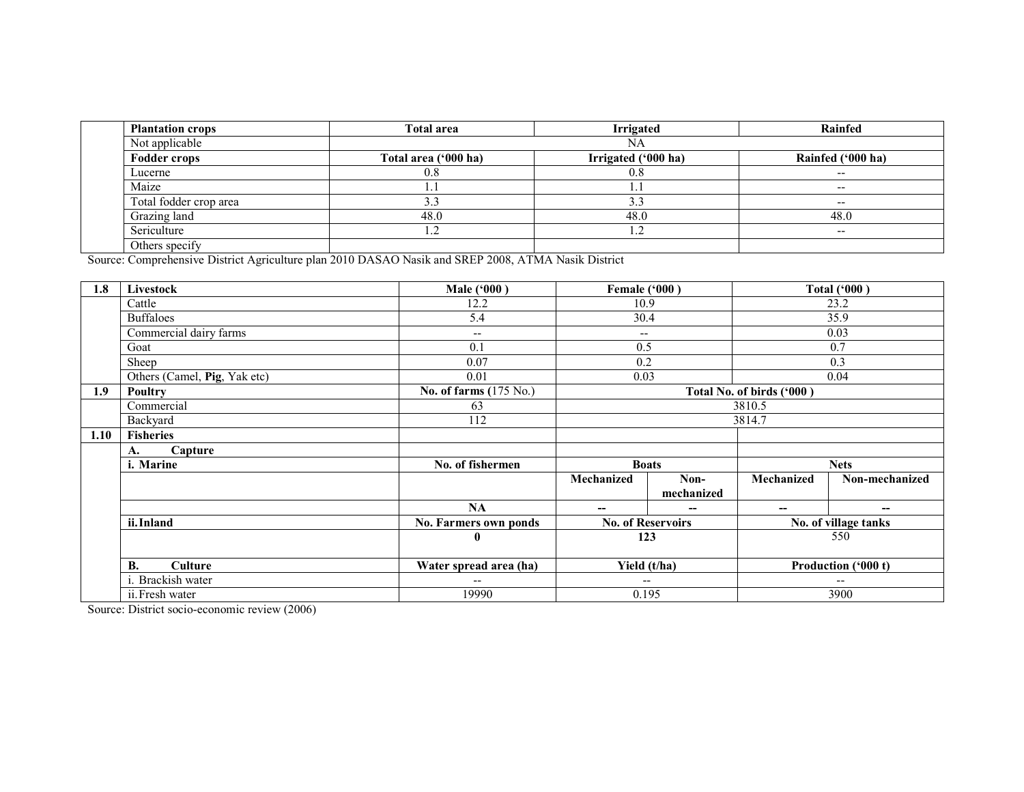| <b>Plantation crops</b> | Total area           | <b>Irrigated</b>    | <b>Rainfed</b>           |
|-------------------------|----------------------|---------------------|--------------------------|
| Not applicable          |                      | NA                  |                          |
| <b>Fodder crops</b>     | Total area ('000 ha) | Irrigated ('000 ha) | Rainfed ('000 ha)        |
| Lucerne                 | 0.8                  | 0.8                 | $- -$                    |
| Maize                   | .                    |                     | $\overline{\phantom{a}}$ |
| Total fodder crop area  | 3.3                  | د.                  | $- -$                    |
| Grazing land            | 48.0                 | 48.0                | 48.0                     |
| Sericulture             | 1.2                  | 1.2                 | $-$                      |
| Others specify          |                      |                     |                          |

Others specify Source: Comprehensive District Agriculture plan 2010 DASAO Nasik and SREP 2008, ATMA Nasik District

| 1.8  | Livestock                    | Male ('000)              | <b>Female ('000)</b>     |                          |                           | <b>Total ('000)</b>  |  |
|------|------------------------------|--------------------------|--------------------------|--------------------------|---------------------------|----------------------|--|
|      | Cattle                       | 12.2                     | 10.9                     |                          |                           | 23.2                 |  |
|      | <b>Buffaloes</b>             | 5.4                      | 30.4                     |                          |                           | 35.9                 |  |
|      | Commercial dairy farms       | $\overline{\phantom{a}}$ | $\overline{\phantom{a}}$ |                          |                           | 0.03                 |  |
|      | Goat                         | 0.1                      | 0.5                      |                          |                           | 0.7                  |  |
|      | Sheep                        | 0.07                     | 0.2                      |                          |                           | 0.3                  |  |
|      | Others (Camel, Pig, Yak etc) | 0.01                     | 0.03                     |                          |                           | 0.04                 |  |
| 1.9  | Poultry                      | No. of farms (175 No.)   |                          |                          | Total No. of birds ('000) |                      |  |
|      | Commercial                   | 63                       |                          |                          | 3810.5                    |                      |  |
|      | Backyard                     | 112                      |                          |                          |                           | 3814.7               |  |
| 1.10 | <b>Fisheries</b>             |                          |                          |                          |                           |                      |  |
|      | Capture<br>A.                |                          |                          |                          |                           |                      |  |
|      | i. Marine                    | No. of fishermen         |                          | <b>Boats</b>             | <b>Nets</b>               |                      |  |
|      |                              |                          | Mechanized               | Non-                     | <b>Mechanized</b>         | Non-mechanized       |  |
|      |                              |                          |                          | mechanized               |                           |                      |  |
|      |                              | <b>NA</b>                | --                       | --                       | --                        | --                   |  |
|      | ii. Inland                   | No. Farmers own ponds    |                          | <b>No. of Reservoirs</b> |                           | No. of village tanks |  |
|      |                              | $\bf{0}$                 |                          | 123                      |                           | 550                  |  |
|      |                              |                          | Yield (t/ha)             |                          |                           |                      |  |
|      | <b>B.</b><br><b>Culture</b>  | Water spread area (ha)   |                          |                          |                           | Production ('000 t)  |  |
|      | i. Brackish water            | $\overline{\phantom{a}}$ |                          | $-$                      | --                        |                      |  |
|      | ii. Fresh water              | 19990                    | 0.195                    |                          | 3900                      |                      |  |

Source: District socio-economic review (2006)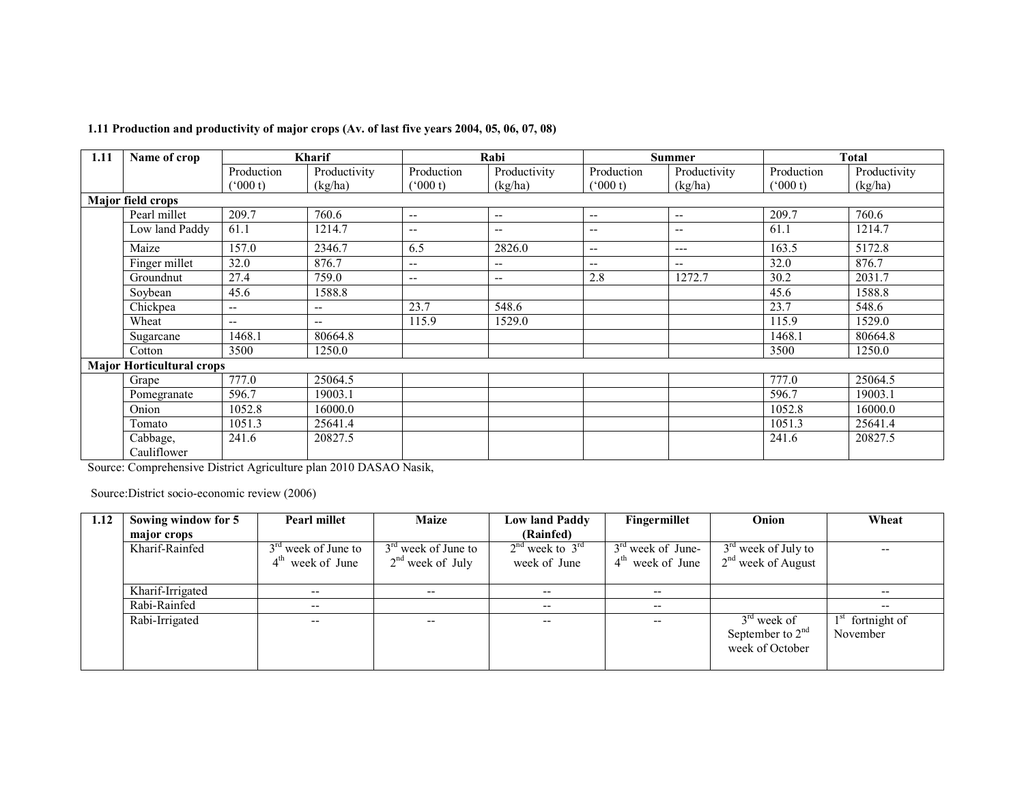| 1.11   | Name of crop                     |                                                                                           | Kharif                   |                          | Rabi                                  |                                       | <b>Summer</b>            |               | <b>Total</b> |
|--------|----------------------------------|-------------------------------------------------------------------------------------------|--------------------------|--------------------------|---------------------------------------|---------------------------------------|--------------------------|---------------|--------------|
|        |                                  | Production                                                                                | Productivity             | Production               | Productivity                          | Production                            | Productivity             | Production    | Productivity |
|        |                                  | (000 t)                                                                                   | (kg/ha)                  | $(^{o}000t)$             | (kg/ha)                               | $^{\circ}000$ t)                      | (kg/ha)                  | $(^{6}000 t)$ | (kg/ha)      |
|        | <b>Major field crops</b>         |                                                                                           |                          |                          |                                       |                                       |                          |               |              |
|        | Pearl millet                     | 209.7                                                                                     | 760.6                    | $\overline{\phantom{a}}$ | $\qquad \qquad -$                     | $\overline{\phantom{m}}$              | $\overline{\phantom{a}}$ | 209.7         | 760.6        |
|        | Low land Paddy                   | 61.1                                                                                      | 1214.7                   | $- -$                    | $\qquad \qquad -$                     | $\hspace{0.05cm}$ – $\hspace{0.05cm}$ | $\overline{\phantom{m}}$ | 61.1          | 1214.7       |
|        | Maize                            | 157.0                                                                                     | 2346.7                   | 6.5                      | 2826.0                                | $\overline{\phantom{m}}$              | $---$                    | 163.5         | 5172.8       |
|        | Finger millet                    | 32.0                                                                                      | 876.7                    | --                       | $\overline{\phantom{a}}$              | $\overline{\phantom{a}}$              | $\qquad \qquad -$        | 32.0          | 876.7        |
|        | Groundnut                        | 27.4                                                                                      | 759.0                    | $\qquad \qquad -$        | $\hspace{0.05cm}$ – $\hspace{0.05cm}$ | 2.8                                   | 1272.7                   | 30.2          | 2031.7       |
|        | Soybean                          | 45.6                                                                                      | 1588.8                   |                          |                                       |                                       |                          | 45.6          | 1588.8       |
|        | Chickpea                         | $\overline{\phantom{a}}$                                                                  | $\overline{\phantom{a}}$ | 23.7                     | 548.6                                 |                                       |                          | 23.7          | 548.6        |
|        | Wheat                            | $--$                                                                                      | $\overline{\phantom{m}}$ | 115.9                    | 1529.0                                |                                       |                          | 115.9         | 1529.0       |
|        | Sugarcane                        | 1468.1                                                                                    | 80664.8                  |                          |                                       |                                       |                          | 1468.1        | 80664.8      |
|        | Cotton                           | 3500                                                                                      | 1250.0                   |                          |                                       |                                       |                          | 3500          | 1250.0       |
|        | <b>Major Horticultural crops</b> |                                                                                           |                          |                          |                                       |                                       |                          |               |              |
|        | Grape                            | 777.0                                                                                     | 25064.5                  |                          |                                       |                                       |                          | 777.0         | 25064.5      |
|        | Pomegranate                      | 596.7                                                                                     | 19003.1                  |                          |                                       |                                       |                          | 596.7         | 19003.1      |
|        | Onion                            | 1052.8                                                                                    | 16000.0                  |                          |                                       |                                       |                          | 1052.8        | 16000.0      |
|        | Tomato                           | 1051.3                                                                                    | 25641.4                  |                          |                                       |                                       |                          | 1051.3        | 25641.4      |
|        | Cabbage,                         | 241.6                                                                                     | 20827.5                  |                          |                                       |                                       |                          | 241.6         | 20827.5      |
| $\sim$ | Cauliflower<br>$\sim$            | the company of the control of the control of the control of the control of the control of | 1.0010 B101011           |                          |                                       |                                       |                          |               |              |

### 1.11 Production and productivity of major crops (Av. of last five years 2004, 05, 06, 07, 08)

Source: Comprehensive District Agriculture plan 2010 DASAO Nasik,

Source:District socio-economic review (2006)

| 1.12 | Sowing window for 5 | <b>Pearl millet</b>             | <b>Maize</b>             | <b>Low land Paddy</b>    | Fingermillet        | Onion                 | Wheat        |
|------|---------------------|---------------------------------|--------------------------|--------------------------|---------------------|-----------------------|--------------|
|      | major crops         |                                 |                          | (Rainfed)                |                     |                       |              |
|      | Kharif-Rainfed      | $3rd$ week of June to           | $3rd$ week of June to    | $2nd$ week to $3rd$      | $3rd$ week of June- | $3rd$ week of July to | $- -$        |
|      |                     | $4^{\text{th}}$<br>week of June | $2nd$ week of July       | week of June             | $4th$ week of June  | $2nd$ week of August  |              |
|      |                     |                                 |                          |                          |                     |                       |              |
|      | Kharif-Irrigated    | $- -$                           | $- -$                    | $- -$                    | $- -$               |                       |              |
|      | Rabi-Rainfed        | $- -$                           |                          | $- -$                    | $- -$               |                       | --           |
|      | Rabi-Irrigated      | $\qquad \qquad -$               | $\overline{\phantom{a}}$ | $\overline{\phantom{a}}$ | $- -$               | $3rd$ week of         | fortnight of |
|      |                     |                                 |                          |                          |                     | September to $2nd$    | November     |
|      |                     |                                 |                          |                          |                     | week of October       |              |
|      |                     |                                 |                          |                          |                     |                       |              |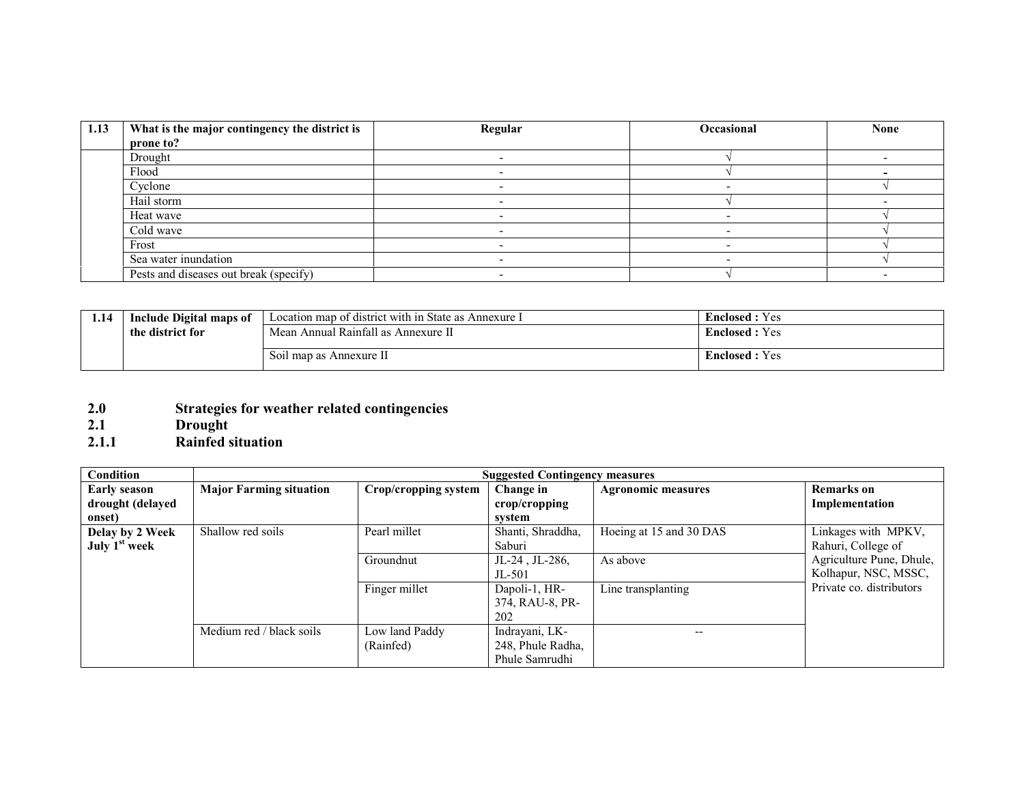| 1.13 | What is the major contingency the district is | Regular | <b>Occasional</b> | <b>None</b> |
|------|-----------------------------------------------|---------|-------------------|-------------|
|      | prone to?                                     |         |                   |             |
|      | Drought                                       |         |                   |             |
|      | Flood                                         |         |                   |             |
|      | Cyclone                                       |         |                   |             |
|      | Hail storm                                    |         |                   |             |
|      | Heat wave                                     |         |                   |             |
|      | Cold wave                                     |         |                   |             |
|      | Frost                                         |         |                   |             |
|      | Sea water inundation                          |         |                   |             |
|      | Pests and diseases out break (specify)        |         |                   |             |

| 1.14 | Include Digital maps of | Location map of district with in State as Annexure I | <b>Enclosed</b> : Yes |
|------|-------------------------|------------------------------------------------------|-----------------------|
|      | the district for        | Mean Annual Rainfall as Annexure II                  | <b>Enclosed</b> : Yes |
|      |                         | Soil map as Annexure II                              | <b>Enclosed</b> : Yes |

- 2.0 Strategies for weather related contingencies 2.1 Drought 2.1.1 Rainfed situation
- 
- 

| Condition                                    |                                | <b>Suggested Contingency measures</b> |                                                       |                           |                                                  |  |  |  |
|----------------------------------------------|--------------------------------|---------------------------------------|-------------------------------------------------------|---------------------------|--------------------------------------------------|--|--|--|
| <b>Early season</b><br>drought (delayed      | <b>Major Farming situation</b> | Crop/cropping system                  | Change in<br>crop/cropping                            | <b>Agronomic measures</b> | <b>Remarks</b> on<br>Implementation              |  |  |  |
| onset)                                       |                                |                                       | system                                                |                           |                                                  |  |  |  |
| Delay by 2 Week<br>July 1 <sup>st</sup> week | Shallow red soils              | Pearl millet                          | Shanti, Shraddha,<br>Saburi                           | Hoeing at 15 and 30 DAS   | Linkages with MPKV,<br>Rahuri, College of        |  |  |  |
|                                              |                                | Groundnut                             | $JL-24$ , $JL-286$ ,<br>$JL-501$                      | As above                  | Agriculture Pune, Dhule,<br>Kolhapur, NSC, MSSC, |  |  |  |
|                                              |                                | Finger millet                         | Dapoli-1, HR-<br>374, RAU-8, PR-<br>202               | Line transplanting        | Private co. distributors                         |  |  |  |
|                                              | Medium red / black soils       | Low land Paddy<br>(Rainfed)           | Indrayani, LK-<br>248, Phule Radha,<br>Phule Samrudhi | $-$                       |                                                  |  |  |  |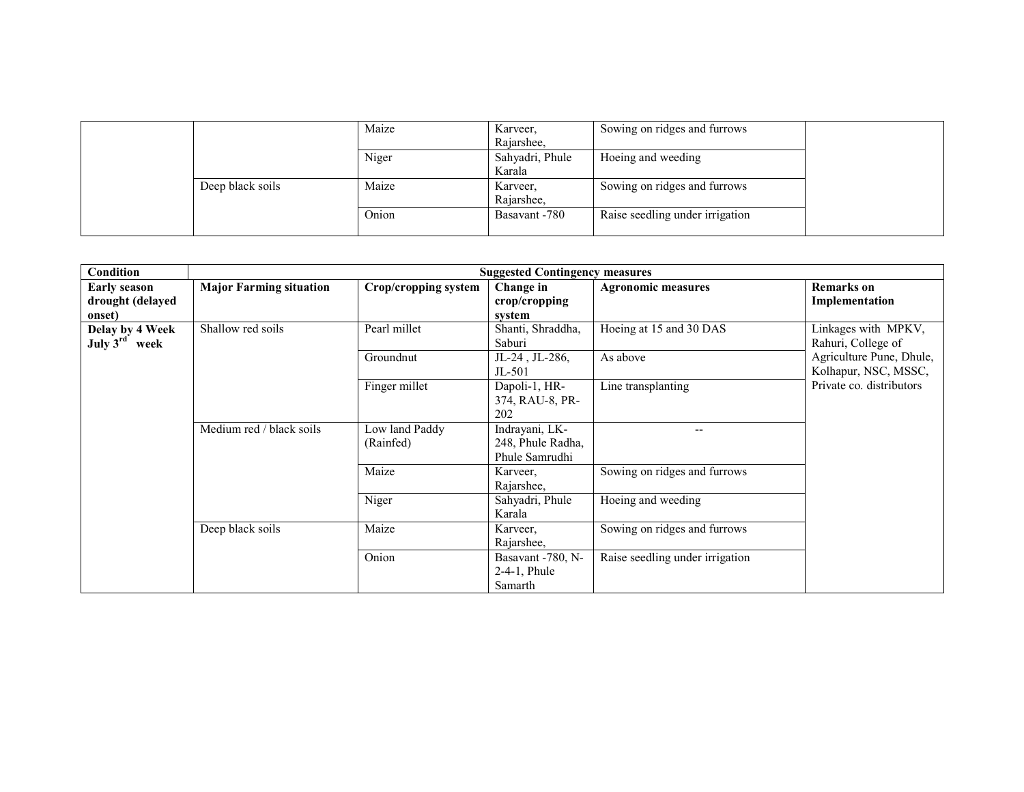|                  | Maize | Karveer,<br>Rajarshee,    | Sowing on ridges and furrows    |  |
|------------------|-------|---------------------------|---------------------------------|--|
|                  | Niger | Sahyadri, Phule<br>Karala | Hoeing and weeding              |  |
| Deep black soils | Maize | Karveer,<br>Rajarshee.    | Sowing on ridges and furrows    |  |
|                  | Onion | Basavant -780             | Raise seedling under irrigation |  |

| <b>Condition</b>                                  |                                | <b>Suggested Contingency measures</b> |                                                       |                                 |                                                  |  |  |  |
|---------------------------------------------------|--------------------------------|---------------------------------------|-------------------------------------------------------|---------------------------------|--------------------------------------------------|--|--|--|
| <b>Early season</b><br>drought (delayed<br>onset) | <b>Major Farming situation</b> | Crop/cropping system                  | Change in<br>crop/cropping<br>system                  | <b>Agronomic measures</b>       | <b>Remarks</b> on<br>Implementation              |  |  |  |
| Delay by 4 Week<br>July $3^{\text{rd}}$<br>week   | Shallow red soils              | Pearl millet                          | Shanti, Shraddha,<br>Saburi                           | Hoeing at 15 and 30 DAS         | Linkages with MPKV,<br>Rahuri, College of        |  |  |  |
|                                                   |                                | Groundnut                             | $JL-24$ , $JL-286$ ,<br>$JL-501$                      | As above                        | Agriculture Pune, Dhule,<br>Kolhapur, NSC, MSSC, |  |  |  |
|                                                   |                                | Finger millet                         | Dapoli-1, HR-<br>374, RAU-8, PR-<br>202               | Line transplanting              | Private co. distributors                         |  |  |  |
|                                                   | Medium red / black soils       | Low land Paddy<br>(Rainfed)           | Indrayani, LK-<br>248, Phule Radha,<br>Phule Samrudhi |                                 |                                                  |  |  |  |
|                                                   |                                | Maize                                 | Karveer,<br>Rajarshee,                                | Sowing on ridges and furrows    |                                                  |  |  |  |
|                                                   |                                | Niger                                 | Sahyadri, Phule<br>Karala                             | Hoeing and weeding              |                                                  |  |  |  |
|                                                   | Deep black soils               | Maize                                 | Karveer,<br>Rajarshee,                                | Sowing on ridges and furrows    |                                                  |  |  |  |
|                                                   |                                | Onion                                 | Basavant -780, N-<br>$2-4-1$ , Phule<br>Samarth       | Raise seedling under irrigation |                                                  |  |  |  |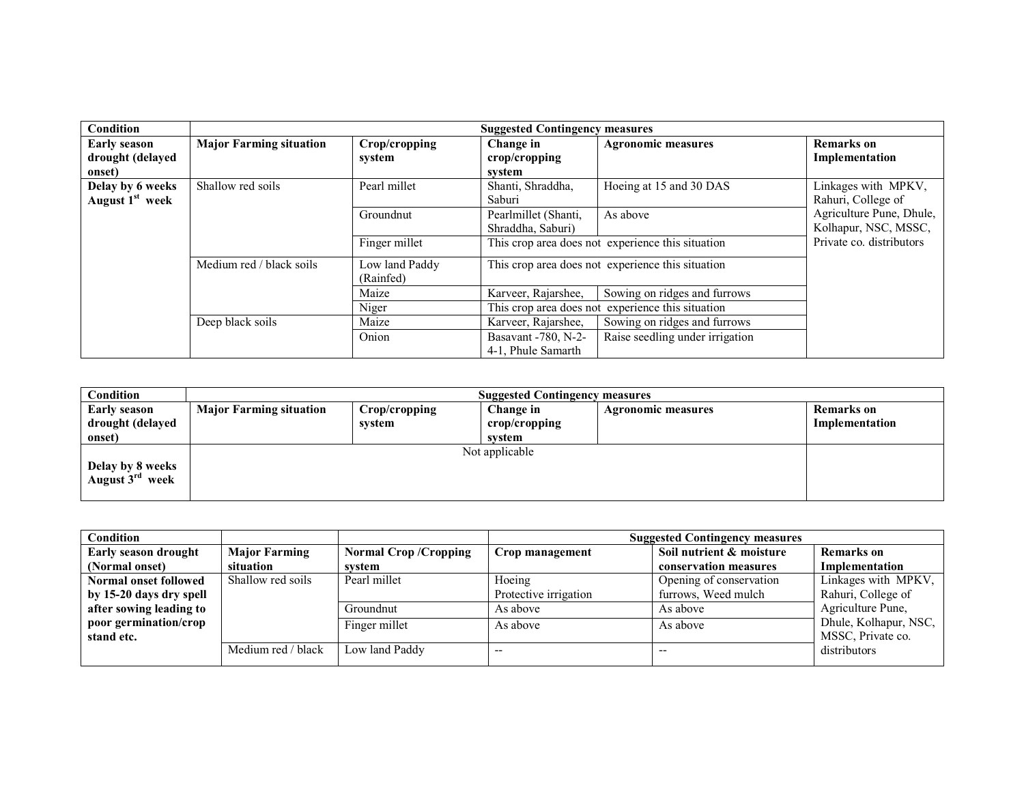| <b>Condition</b>                                  |                                                            | <b>Suggested Contingency measures</b> |                                                   |                                 |                                                  |  |
|---------------------------------------------------|------------------------------------------------------------|---------------------------------------|---------------------------------------------------|---------------------------------|--------------------------------------------------|--|
| <b>Early season</b><br>drought (delayed<br>onset) | <b>Major Farming situation</b>                             | Crop/cropping<br>system               | Change in<br>crop/cropping<br>system              | <b>Agronomic measures</b>       | <b>Remarks</b> on<br>Implementation              |  |
| Delay by 6 weeks<br>August 1 <sup>st</sup> week   | Shallow red soils                                          | Pearl millet                          | Shanti, Shraddha,<br>Saburi                       | Hoeing at 15 and 30 DAS         | Linkages with MPKV,<br>Rahuri, College of        |  |
|                                                   |                                                            | Groundnut                             | Pearlmillet (Shanti,<br>Shraddha, Saburi)         | As above                        | Agriculture Pune, Dhule,<br>Kolhapur, NSC, MSSC, |  |
|                                                   |                                                            | Finger millet                         | This crop area does not experience this situation |                                 | Private co. distributors                         |  |
|                                                   | Medium red / black soils                                   | Low land Paddy<br>(Rainfed)           | This crop area does not experience this situation |                                 |                                                  |  |
|                                                   |                                                            | Maize                                 | Karveer, Rajarshee,                               | Sowing on ridges and furrows    |                                                  |  |
|                                                   | This crop area does not experience this situation<br>Niger |                                       |                                                   |                                 |                                                  |  |
|                                                   | Deep black soils                                           | Maize                                 | Karveer, Rajarshee,                               | Sowing on ridges and furrows    |                                                  |  |
|                                                   |                                                            | Onion                                 | Basavant -780, N-2-<br>4-1, Phule Samarth         | Raise seedling under irrigation |                                                  |  |

| Condition                                | <b>Suggested Contingency measures</b> |                         |                            |                           |                              |  |  |
|------------------------------------------|---------------------------------------|-------------------------|----------------------------|---------------------------|------------------------------|--|--|
| <b>Early season</b><br>drought (delayed  | <b>Major Farming situation</b>        | Crop/cropping<br>system | Change in<br>crop/cropping | <b>Agronomic measures</b> | Remarks on<br>Implementation |  |  |
| onset)                                   |                                       |                         | svstem                     |                           |                              |  |  |
| Delay by 8 weeks<br>August $3^{rd}$ week |                                       |                         | Not applicable             |                           |                              |  |  |

| Condition                    |                      |                             |                       | <b>Suggested Contingency measures</b> |                       |
|------------------------------|----------------------|-----------------------------|-----------------------|---------------------------------------|-----------------------|
| <b>Early season drought</b>  | <b>Major Farming</b> | <b>Normal Crop/Cropping</b> | Crop management       | Soil nutrient & moisture              | Remarks on            |
| (Normal onset)               | situation            | system                      |                       | conservation measures                 | Implementation        |
| <b>Normal onset followed</b> | Shallow red soils    | Pearl millet                | Hoeing                | Opening of conservation               | Linkages with MPKV,   |
| by 15-20 days dry spell      |                      |                             | Protective irrigation | furrows, Weed mulch                   | Rahuri, College of    |
| after sowing leading to      |                      | Groundnut                   | As above              | As above                              | Agriculture Pune,     |
| poor germination/crop        |                      | Finger millet               | As above              | As above                              | Dhule, Kolhapur, NSC, |
| stand etc.                   |                      |                             |                       |                                       | MSSC, Private co.     |
|                              | Medium red / black   | Low land Paddy              |                       | $- -$                                 | distributors          |
|                              |                      |                             |                       |                                       |                       |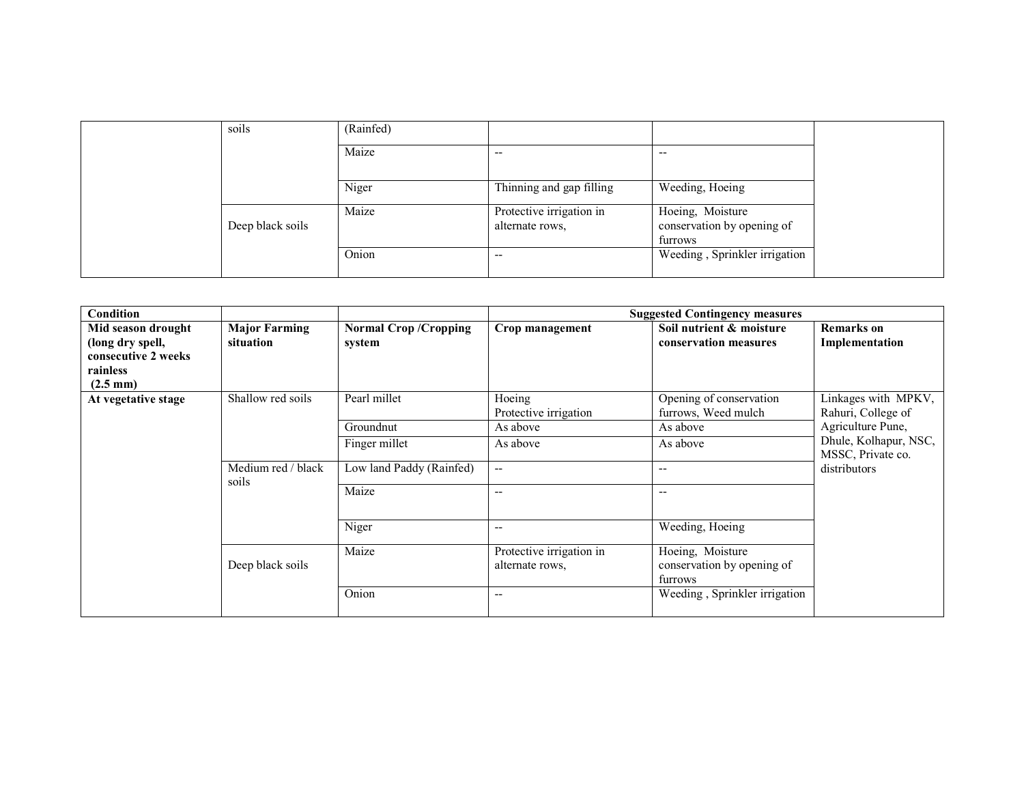| soils            | (Rainfed) |                                             |                                                           |
|------------------|-----------|---------------------------------------------|-----------------------------------------------------------|
|                  | Maize     | $- -$                                       | $- -$                                                     |
|                  | Niger     | Thinning and gap filling                    | Weeding, Hoeing                                           |
| Deep black soils | Maize     | Protective irrigation in<br>alternate rows. | Hoeing, Moisture<br>conservation by opening of<br>furrows |
|                  | Onion     | $- -$                                       | Weeding, Sprinkler irrigation                             |

| <b>Condition</b>                                                          |                                   |                                       |                                             | <b>Suggested Contingency measures</b>                     |                                            |
|---------------------------------------------------------------------------|-----------------------------------|---------------------------------------|---------------------------------------------|-----------------------------------------------------------|--------------------------------------------|
| Mid season drought<br>(long dry spell,<br>consecutive 2 weeks<br>rainless | <b>Major Farming</b><br>situation | <b>Normal Crop/Cropping</b><br>system | Crop management                             | Soil nutrient & moisture<br>conservation measures         | <b>Remarks</b> on<br>Implementation        |
| $(2.5 \text{ mm})$                                                        |                                   |                                       |                                             |                                                           |                                            |
| At vegetative stage                                                       | Shallow red soils                 | Pearl millet                          | Hoeing<br>Protective irrigation             | Opening of conservation<br>furrows, Weed mulch            | Linkages with MPKV,<br>Rahuri, College of  |
|                                                                           |                                   | Groundnut                             | As above                                    | As above                                                  | Agriculture Pune,                          |
|                                                                           |                                   | Finger millet                         | As above                                    | As above                                                  | Dhule, Kolhapur, NSC,<br>MSSC, Private co. |
|                                                                           | Medium red / black<br>soils       | Low land Paddy (Rainfed)              | $\overline{\phantom{a}}$                    | $- -$                                                     | distributors                               |
|                                                                           |                                   | Maize                                 | $- -$                                       | --                                                        |                                            |
|                                                                           |                                   | Niger                                 | $- -$                                       | Weeding, Hoeing                                           |                                            |
|                                                                           | Deep black soils                  | Maize                                 | Protective irrigation in<br>alternate rows. | Hoeing, Moisture<br>conservation by opening of<br>furrows |                                            |
|                                                                           |                                   | Onion                                 | --                                          | Weeding, Sprinkler irrigation                             |                                            |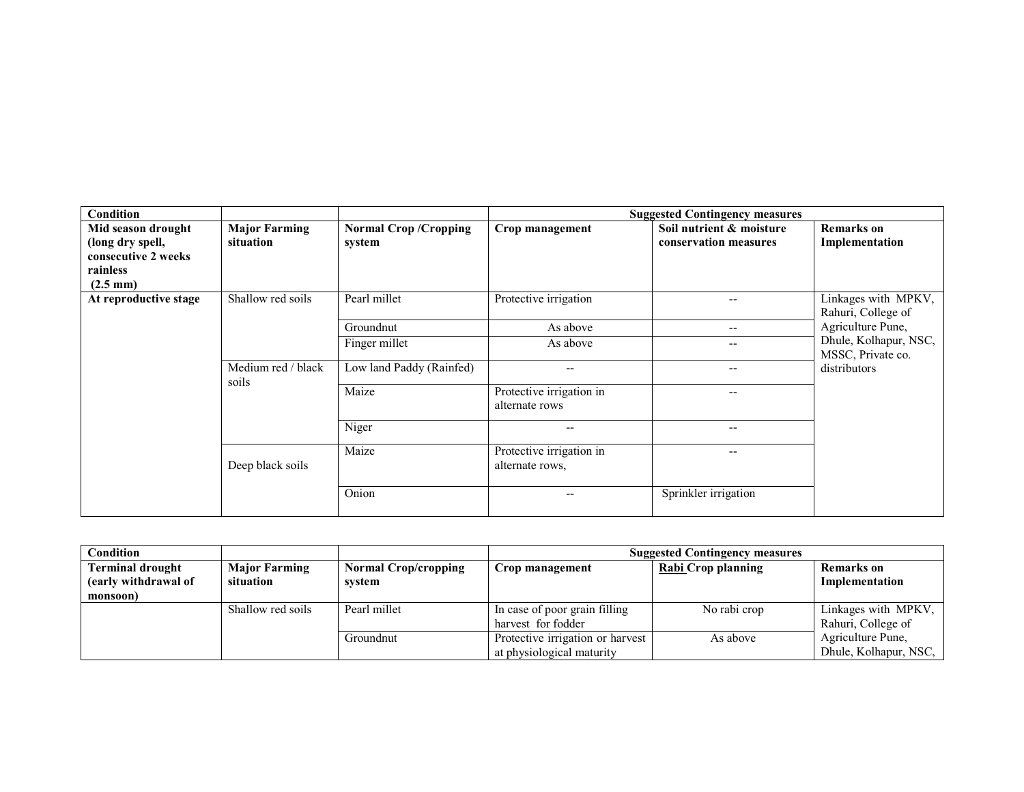| <b>Condition</b>                                                                                |                                   |                                       |                                             | <b>Suggested Contingency measures</b>             |                                            |
|-------------------------------------------------------------------------------------------------|-----------------------------------|---------------------------------------|---------------------------------------------|---------------------------------------------------|--------------------------------------------|
| Mid season drought<br>(long dry spell,<br>consecutive 2 weeks<br>rainless<br>$(2.5 \text{ mm})$ | <b>Major Farming</b><br>situation | <b>Normal Crop/Cropping</b><br>system | Crop management                             | Soil nutrient & moisture<br>conservation measures | <b>Remarks</b> on<br>Implementation        |
| At reproductive stage                                                                           | Shallow red soils                 | Pearl millet                          | Protective irrigation                       | --                                                | Linkages with MPKV,<br>Rahuri, College of  |
|                                                                                                 |                                   | Groundnut                             | As above                                    | $\qquad \qquad -$                                 | Agriculture Pune,                          |
|                                                                                                 |                                   | Finger millet                         | As above                                    | --                                                | Dhule, Kolhapur, NSC,<br>MSSC, Private co. |
|                                                                                                 | Medium red / black<br>soils       | Low land Paddy (Rainfed)              | $- -$                                       | $- -$                                             | distributors                               |
|                                                                                                 |                                   | Maize                                 | Protective irrigation in<br>alternate rows  | --                                                |                                            |
|                                                                                                 |                                   | Niger                                 | --                                          | $- -$                                             |                                            |
|                                                                                                 | Deep black soils                  | Maize                                 | Protective irrigation in<br>alternate rows. | $- -$                                             |                                            |
|                                                                                                 |                                   | Onion                                 | --                                          | Sprinkler irrigation                              |                                            |

| <b>Condition</b>                                            |                                   |                                       | <b>Suggested Contingency measures</b>                         |                           |                                            |  |
|-------------------------------------------------------------|-----------------------------------|---------------------------------------|---------------------------------------------------------------|---------------------------|--------------------------------------------|--|
| <b>Terminal drought</b><br>(early withdrawal of<br>monsoon) | <b>Major Farming</b><br>situation | <b>Normal Crop/cropping</b><br>system | Crop management                                               | <b>Rabi</b> Crop planning | <b>Remarks</b> on<br>Implementation        |  |
|                                                             | Shallow red soils                 | Pearl millet                          | In case of poor grain filling<br>harvest for fodder           | No rabi crop              | Linkages with MPKV,<br>Rahuri, College of  |  |
|                                                             |                                   | Groundnut                             | Protective irrigation or harvest<br>at physiological maturity | As above                  | Agriculture Pune,<br>Dhule, Kolhapur, NSC, |  |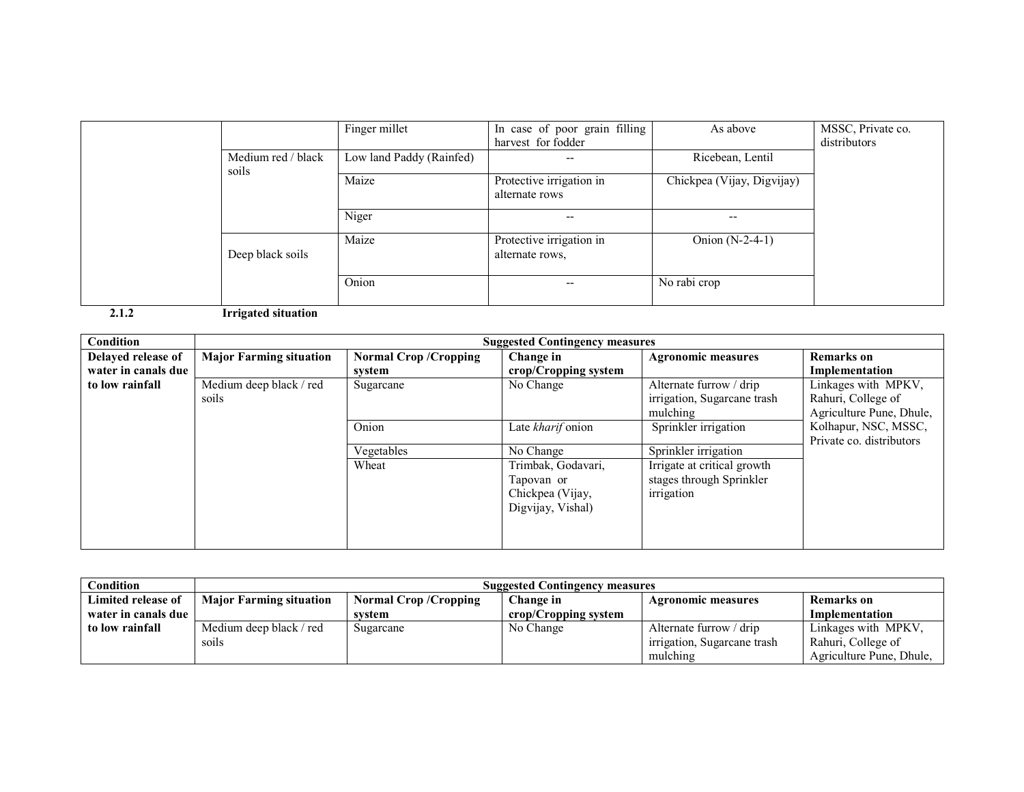|                             | Finger millet            | In case of poor grain filling<br>harvest for fodder | As above                   | MSSC, Private co.<br>distributors |
|-----------------------------|--------------------------|-----------------------------------------------------|----------------------------|-----------------------------------|
| Medium red / black<br>soils | Low land Paddy (Rainfed) | --                                                  | Ricebean, Lentil           |                                   |
|                             | Maize                    | Protective irrigation in<br>alternate rows          | Chickpea (Vijay, Digvijay) |                                   |
|                             | Niger                    | --                                                  | $- -$                      |                                   |
| Deep black soils            | Maize                    | Protective irrigation in<br>alternate rows.         | Onion $(N-2-4-1)$          |                                   |
|                             | Onion                    | $-$                                                 | No rabi crop               |                                   |

2.1.2 Irrigated situation

| Condition                                                        | <b>Suggested Contingency measures</b> |                                                                    |                                                                           |                                                                       |                                                  |
|------------------------------------------------------------------|---------------------------------------|--------------------------------------------------------------------|---------------------------------------------------------------------------|-----------------------------------------------------------------------|--------------------------------------------------|
| Delayed release of                                               | <b>Major Farming situation</b>        | <b>Normal Crop/Cropping</b>                                        | Change in                                                                 | <b>Agronomic measures</b>                                             | <b>Remarks</b> on                                |
| water in canals due                                              |                                       | svstem                                                             | crop/Cropping system                                                      |                                                                       | Implementation                                   |
| to low rainfall<br>Medium deep black / red<br>Sugarcane<br>soils | No Change                             | Alternate furrow / drip<br>irrigation, Sugarcane trash<br>mulching | Linkages with MPKV,<br>Rahuri, College of<br>Agriculture Pune, Dhule,     |                                                                       |                                                  |
|                                                                  |                                       | Onion                                                              | Late kharif onion                                                         | Sprinkler irrigation                                                  | Kolhapur, NSC, MSSC,<br>Private co. distributors |
|                                                                  |                                       | Vegetables                                                         | No Change                                                                 | Sprinkler irrigation                                                  |                                                  |
|                                                                  |                                       | Wheat                                                              | Trimbak, Godavari,<br>Tapovan or<br>Chickpea (Vijay,<br>Digvijay, Vishal) | Irrigate at critical growth<br>stages through Sprinkler<br>irrigation |                                                  |

| $\sim$ ondition     | <b>Suggested Contingency measures</b> |                                                                                     |                      |                             |                          |  |  |
|---------------------|---------------------------------------|-------------------------------------------------------------------------------------|----------------------|-----------------------------|--------------------------|--|--|
| Limited release of  | <b>Major Farming situation</b>        | <b>Normal Crop/Cropping</b><br>Change in<br>Remarks on<br><b>Agronomic measures</b> |                      |                             |                          |  |  |
| water in canals due |                                       | system                                                                              | crop/Cropping system |                             | Implementation           |  |  |
| to low rainfall     | Medium deep black / red               | Sugarcane                                                                           | No Change            | Alternate furrow / drip     | Linkages with MPKV,      |  |  |
|                     | soils                                 |                                                                                     |                      | irrigation, Sugarcane trash | Rahuri, College of       |  |  |
|                     |                                       |                                                                                     |                      | mulching                    | Agriculture Pune, Dhule, |  |  |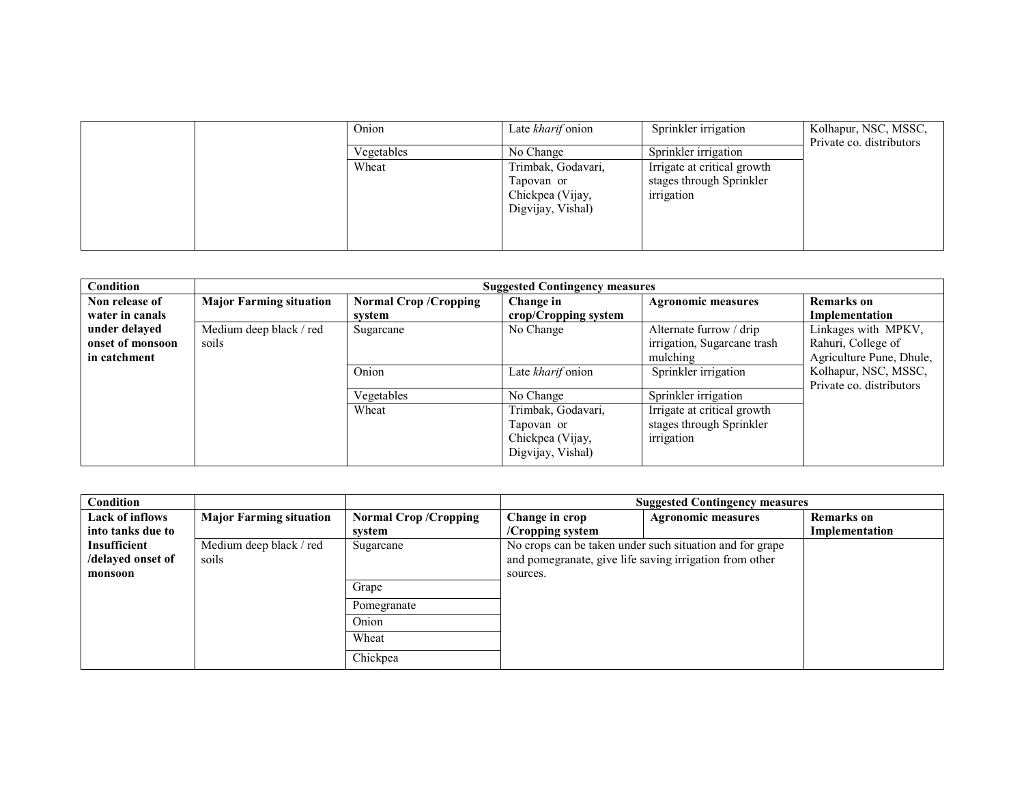| Onion      | Late <i>kharif</i> onion       | Sprinkler irrigation                   | Kolhapur, NSC, MSSC,     |
|------------|--------------------------------|----------------------------------------|--------------------------|
| Vegetables | No Change                      | Sprinkler irrigation                   | Private co. distributors |
| Wheat      | Trimbak, Godavari,             | Irrigate at critical growth            |                          |
|            | Tapovan or<br>Chickpea (Vijay, | stages through Sprinkler<br>irrigation |                          |
|            | Digvijay, Vishal)              |                                        |                          |
|            |                                |                                        |                          |
|            |                                |                                        |                          |

| <b>Condition</b> | <b>Suggested Contingency measures</b> |                             |                      |                             |                                                  |  |
|------------------|---------------------------------------|-----------------------------|----------------------|-----------------------------|--------------------------------------------------|--|
| Non release of   | <b>Major Farming situation</b>        | <b>Normal Crop/Cropping</b> | Change in            | <b>Agronomic measures</b>   | <b>Remarks</b> on                                |  |
| water in canals  |                                       | svstem                      | crop/Cropping system |                             | Implementation                                   |  |
| under delayed    | Medium deep black / red               | Sugarcane                   | No Change            | Alternate furrow / drip     | Linkages with MPKV,                              |  |
| onset of monsoon | soils                                 |                             |                      | irrigation, Sugarcane trash | Rahuri, College of                               |  |
| in catchment     |                                       |                             |                      | mulching                    | Agriculture Pune, Dhule,                         |  |
|                  |                                       | Onion                       | Late kharif onion    | Sprinkler irrigation        | Kolhapur, NSC, MSSC,<br>Private co. distributors |  |
|                  |                                       | Vegetables                  | No Change            | Sprinkler irrigation        |                                                  |  |
|                  |                                       | Wheat                       | Trimbak, Godavari,   | Irrigate at critical growth |                                                  |  |
|                  |                                       |                             | Tapovan or           | stages through Sprinkler    |                                                  |  |
|                  |                                       |                             | Chickpea (Vijay,     | irrigation                  |                                                  |  |
|                  |                                       |                             | Digvijay, Vishal)    |                             |                                                  |  |

| Condition         |                                |                             |                                                         | <b>Suggested Contingency measures</b>                    |                   |
|-------------------|--------------------------------|-----------------------------|---------------------------------------------------------|----------------------------------------------------------|-------------------|
| Lack of inflows   | <b>Major Farming situation</b> | <b>Normal Crop/Cropping</b> | Change in crop                                          | <b>Agronomic measures</b>                                | <b>Remarks</b> on |
| into tanks due to |                                | system                      | $/$ Cropping system                                     |                                                          | Implementation    |
| Insufficient      | Medium deep black / red        | Sugarcane                   |                                                         | No crops can be taken under such situation and for grape |                   |
| /delayed onset of | soils                          |                             | and pomegranate, give life saving irrigation from other |                                                          |                   |
| monsoon           |                                |                             | sources.                                                |                                                          |                   |
|                   |                                | Grape                       |                                                         |                                                          |                   |
|                   |                                | Pomegranate                 |                                                         |                                                          |                   |
|                   |                                | Onion                       |                                                         |                                                          |                   |
|                   |                                | Wheat                       |                                                         |                                                          |                   |
|                   |                                | Chickpea                    |                                                         |                                                          |                   |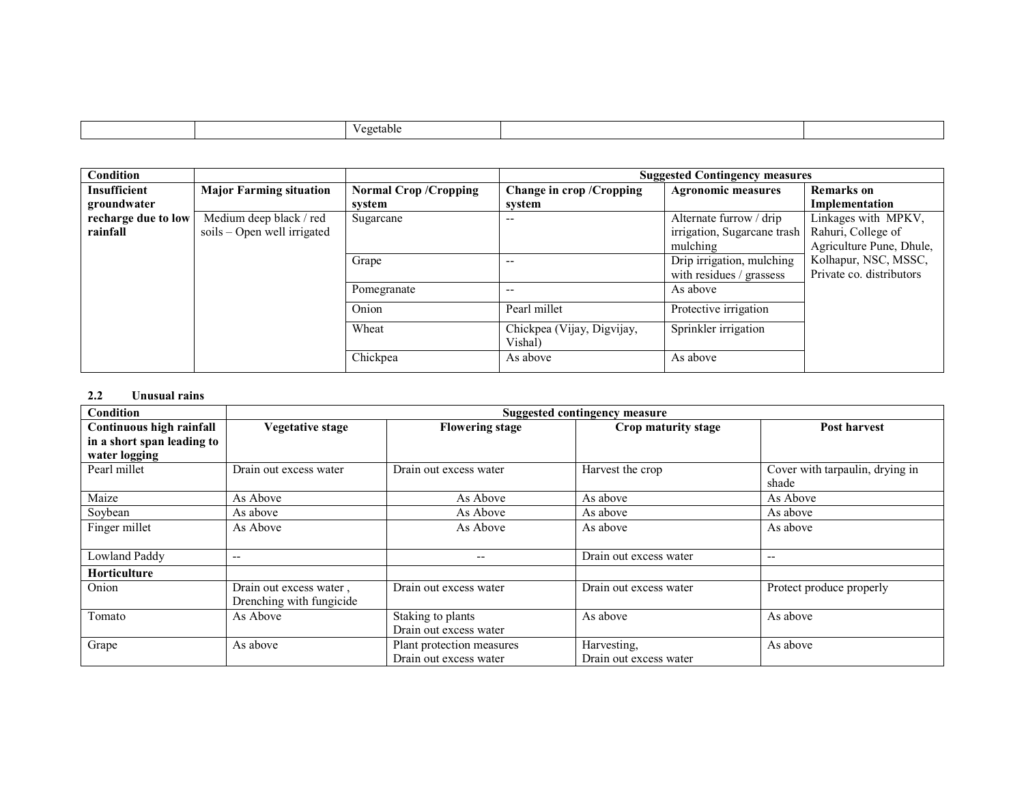|  |  |  | ≏getablu |  |  |
|--|--|--|----------|--|--|
|--|--|--|----------|--|--|

| Condition           |                                |                             |                                       | <b>Suggested Contingency measures</b> |                          |
|---------------------|--------------------------------|-----------------------------|---------------------------------------|---------------------------------------|--------------------------|
| <b>Insufficient</b> | <b>Major Farming situation</b> | <b>Normal Crop/Cropping</b> | Change in crop / Cropping             | <b>Agronomic measures</b>             | <b>Remarks</b> on        |
| groundwater         |                                | svstem                      | system                                |                                       | Implementation           |
| recharge due to low | Medium deep black / red        | Sugarcane                   |                                       | Alternate furrow / drip               | Linkages with MPKV,      |
| rainfall            | $s$ oils – Open well irrigated |                             |                                       | irrigation, Sugarcane trash           | Rahuri, College of       |
|                     |                                |                             |                                       | mulching                              | Agriculture Pune, Dhule, |
|                     |                                | Grape                       |                                       | Drip irrigation, mulching             | Kolhapur, NSC, MSSC,     |
|                     |                                |                             |                                       | with residues / grassess              | Private co. distributors |
|                     |                                | Pomegranate                 | --                                    | As above                              |                          |
|                     |                                | Onion                       | Pearl millet                          | Protective irrigation                 |                          |
|                     |                                | Wheat                       | Chickpea (Vijay, Digvijay,<br>Vishal) | Sprinkler irrigation                  |                          |
|                     |                                | Chickpea                    | As above                              | As above                              |                          |

#### 2.2Unusual rains

| <b>Condition</b>           | <b>Suggested contingency measure</b> |                           |                        |                                 |  |
|----------------------------|--------------------------------------|---------------------------|------------------------|---------------------------------|--|
| Continuous high rainfall   | Vegetative stage                     | <b>Flowering stage</b>    | Crop maturity stage    | Post harvest                    |  |
| in a short span leading to |                                      |                           |                        |                                 |  |
| water logging              |                                      |                           |                        |                                 |  |
| Pearl millet               | Drain out excess water               | Drain out excess water    | Harvest the crop       | Cover with tarpaulin, drying in |  |
|                            |                                      |                           |                        | shade                           |  |
| Maize                      | As Above                             | As Above                  | As above               | As Above                        |  |
| Soybean                    | As above                             | As Above                  | As above               | As above                        |  |
| Finger millet              | As Above                             | As Above                  | As above               | As above                        |  |
|                            |                                      |                           |                        |                                 |  |
| Lowland Paddy              | $- -$                                | $-$                       | Drain out excess water | $-$                             |  |
| Horticulture               |                                      |                           |                        |                                 |  |
| Onion                      | Drain out excess water,              | Drain out excess water    | Drain out excess water | Protect produce properly        |  |
|                            | Drenching with fungicide             |                           |                        |                                 |  |
| Tomato                     | As Above                             | Staking to plants         | As above               | As above                        |  |
|                            |                                      | Drain out excess water    |                        |                                 |  |
| Grape                      | As above                             | Plant protection measures | Harvesting,            | As above                        |  |
|                            |                                      | Drain out excess water    | Drain out excess water |                                 |  |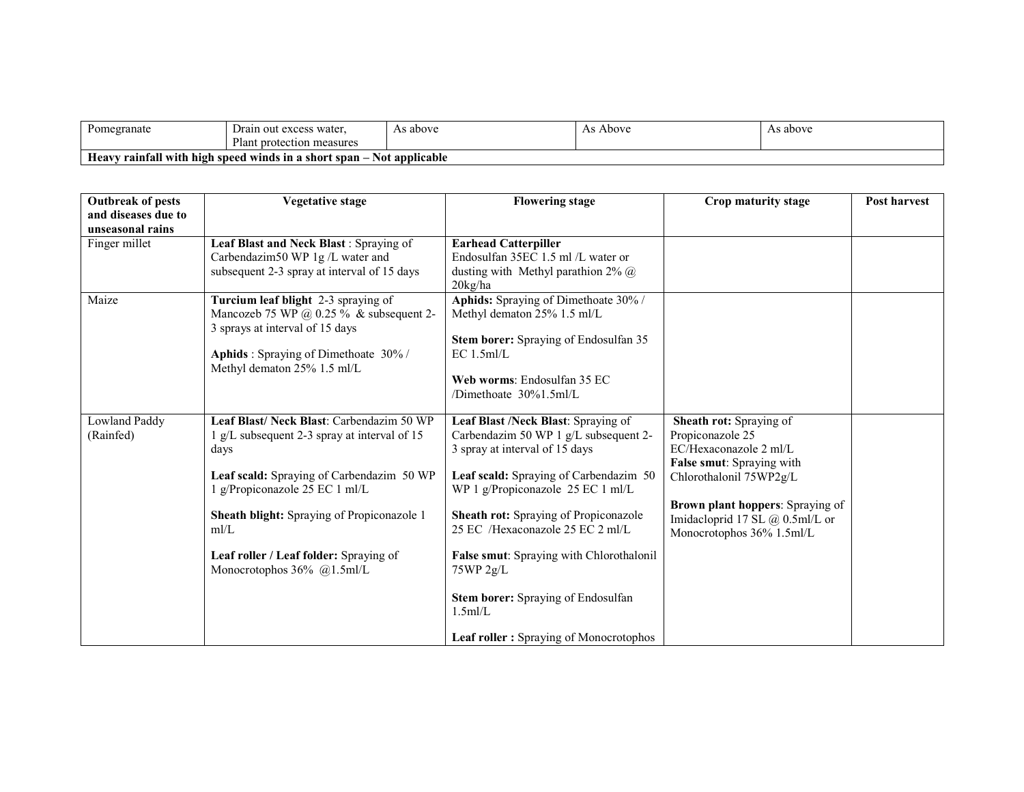| Pomegranate                                                                               | n out excess water.<br>⊿rain    | above ، | Above<br>33 | s above |  |  |
|-------------------------------------------------------------------------------------------|---------------------------------|---------|-------------|---------|--|--|
|                                                                                           | - 1<br>lant protection measures |         |             |         |  |  |
| ' rainfall with high speed winds in a<br>. short span -<br>Not applicable<br><b>Heavy</b> |                                 |         |             |         |  |  |

| <b>Outbreak of pests</b> | <b>Vegetative stage</b>                                                      | <b>Flowering stage</b>                                                      | Crop maturity stage                     | <b>Post harvest</b> |
|--------------------------|------------------------------------------------------------------------------|-----------------------------------------------------------------------------|-----------------------------------------|---------------------|
| and diseases due to      |                                                                              |                                                                             |                                         |                     |
| unseasonal rains         |                                                                              |                                                                             |                                         |                     |
| Finger millet            | Leaf Blast and Neck Blast: Spraying of                                       | <b>Earhead Catterpiller</b>                                                 |                                         |                     |
|                          | Carbendazim50 WP 1g/L water and                                              | Endosulfan 35EC 1.5 ml /L water or                                          |                                         |                     |
|                          | subsequent 2-3 spray at interval of 15 days                                  | dusting with Methyl parathion $2\%$ @<br>$20\text{kg/ha}$                   |                                         |                     |
| Maize                    | Turcium leaf blight 2-3 spraying of                                          | Aphids: Spraying of Dimethoate 30% /                                        |                                         |                     |
|                          | Mancozeb 75 WP @ $0.25\%$ & subsequent 2-<br>3 sprays at interval of 15 days | Methyl dematon 25% 1.5 ml/L                                                 |                                         |                     |
|                          |                                                                              | Stem borer: Spraying of Endosulfan 35                                       |                                         |                     |
|                          | Aphids: Spraying of Dimethoate 30%/<br>Methyl dematon 25% 1.5 ml/L           | $EC 1.5$ ml/L                                                               |                                         |                     |
|                          |                                                                              | Web worms: Endosulfan 35 EC                                                 |                                         |                     |
|                          |                                                                              | /Dimethoate 30%1.5ml/L                                                      |                                         |                     |
| <b>Lowland Paddy</b>     | Leaf Blast/ Neck Blast: Carbendazim 50 WP                                    | Leaf Blast /Neck Blast: Spraying of                                         | Sheath rot: Spraying of                 |                     |
| (Rainfed)                | g/L subsequent 2-3 spray at interval of 15                                   | Carbendazim 50 WP 1 g/L subsequent 2-                                       | Propiconazole 25                        |                     |
|                          | days                                                                         | 3 spray at interval of 15 days                                              | EC/Hexaconazole 2 ml/L                  |                     |
|                          |                                                                              |                                                                             | False smut: Spraying with               |                     |
|                          | Leaf scald: Spraying of Carbendazim 50 WP<br>g/Propiconazole 25 EC 1 ml/L    | Leaf scald: Spraying of Carbendazim 50<br>WP 1 g/Propiconazole 25 EC 1 ml/L | Chlorothalonil 75WP2g/L                 |                     |
|                          |                                                                              |                                                                             | <b>Brown plant hoppers:</b> Spraying of |                     |
|                          | Sheath blight: Spraying of Propiconazole 1                                   | Sheath rot: Spraying of Propiconazole                                       | Imidacloprid 17 SL $@$ 0.5ml/L or       |                     |
|                          | m/L                                                                          | 25 EC /Hexaconazole 25 EC 2 ml/L                                            | Monocrotophos 36% 1.5ml/L               |                     |
|                          | Leaf roller / Leaf folder: Spraying of                                       | False smut: Spraying with Chlorothalonil                                    |                                         |                     |
|                          | Monocrotophos 36% @1.5ml/L                                                   | 75WP 2g/L                                                                   |                                         |                     |
|                          |                                                                              | Stem borer: Spraying of Endosulfan                                          |                                         |                     |
|                          |                                                                              | 1.5m/L                                                                      |                                         |                     |
|                          |                                                                              | <b>Leaf roller:</b> Spraying of Monocrotophos                               |                                         |                     |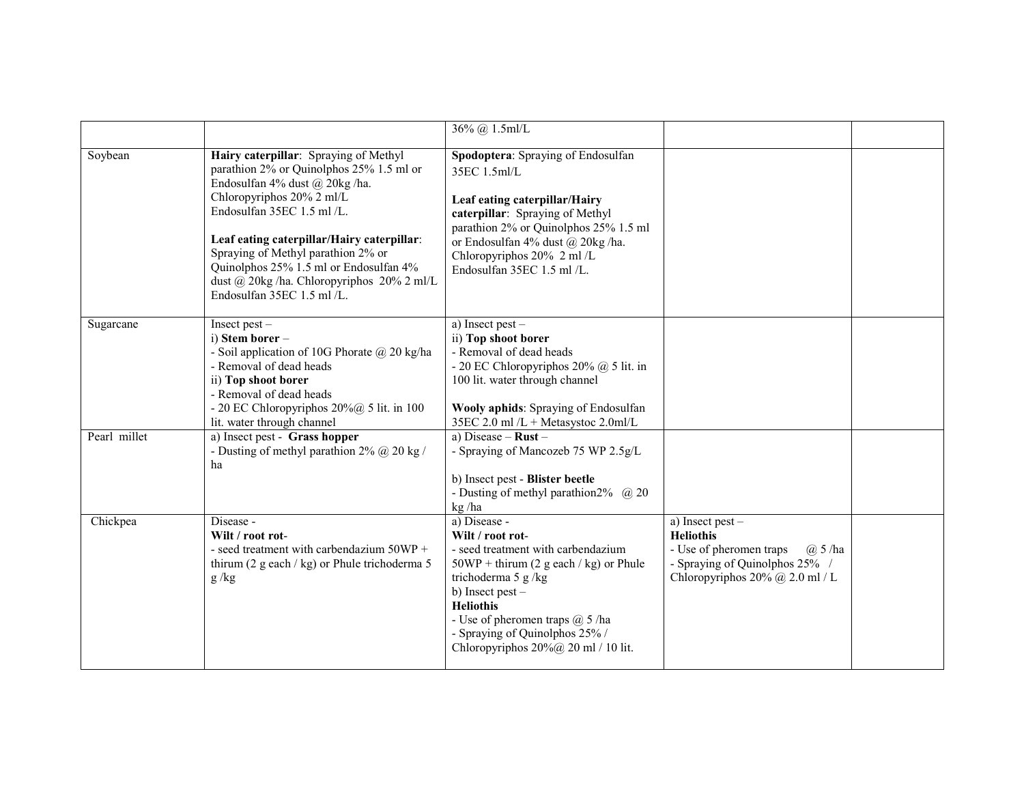|              |                                                                                                                                                                                                                                                                                                                                                                                         | 36% @ 1.5ml/L                                                                                                                                                                                                                                                                                                     |                                                                                                                                                              |  |
|--------------|-----------------------------------------------------------------------------------------------------------------------------------------------------------------------------------------------------------------------------------------------------------------------------------------------------------------------------------------------------------------------------------------|-------------------------------------------------------------------------------------------------------------------------------------------------------------------------------------------------------------------------------------------------------------------------------------------------------------------|--------------------------------------------------------------------------------------------------------------------------------------------------------------|--|
| Soybean      | Hairy caterpillar: Spraying of Methyl<br>parathion 2% or Quinolphos 25% 1.5 ml or<br>Endosulfan 4% dust @ 20kg/ha.<br>Chloropyriphos 20% 2 ml/L<br>Endosulfan 35EC 1.5 ml /L.<br>Leaf eating caterpillar/Hairy caterpillar:<br>Spraying of Methyl parathion 2% or<br>Quinolphos 25% 1.5 ml or Endosulfan 4%<br>dust @ 20kg /ha. Chloropyriphos 20% 2 ml/L<br>Endosulfan 35EC 1.5 ml /L. | Spodoptera: Spraying of Endosulfan<br>35EC 1.5ml/L<br>Leaf eating caterpillar/Hairy<br>caterpillar: Spraying of Methyl<br>parathion 2% or Quinolphos 25% 1.5 ml<br>or Endosulfan 4% dust @ 20kg /ha.<br>Chloropyriphos 20% 2 ml /L<br>Endosulfan 35EC 1.5 ml /L.                                                  |                                                                                                                                                              |  |
| Sugarcane    | Insect pest-<br>i) Stem borer -<br>- Soil application of 10G Phorate $\omega$ 20 kg/ha<br>- Removal of dead heads<br>ii) Top shoot borer<br>- Removal of dead heads<br>- 20 EC Chloropyriphos $20\%$ ( $\ddot{\omega}$ 5 lit. in 100<br>lit. water through channel                                                                                                                      | a) Insect pest -<br>ii) Top shoot borer<br>- Removal of dead heads<br>- 20 EC Chloropyriphos $20\%$ @ 5 lit. in<br>100 lit. water through channel<br>Wooly aphids: Spraying of Endosulfan<br>35EC 2.0 ml /L + Metasystoc 2.0ml/L                                                                                  |                                                                                                                                                              |  |
| Pearl millet | a) Insect pest - Grass hopper<br>- Dusting of methyl parathion $2\%$ (a) $20 \text{ kg}$ /<br>ha                                                                                                                                                                                                                                                                                        | a) Disease – $Rust -$<br>- Spraying of Mancozeb 75 WP 2.5g/L<br>b) Insect pest - Blister beetle<br>- Dusting of methyl parathion $2\%$ ( $\omega$ ) $20$<br>kg/ha                                                                                                                                                 |                                                                                                                                                              |  |
| Chickpea     | Disease -<br>Wilt / root rot-<br>- seed treatment with carbendazium 50WP +<br>thirum (2 g each / kg) or Phule trichoderma 5<br>g/kg                                                                                                                                                                                                                                                     | a) Disease -<br>Wilt / root rot-<br>- seed treatment with carbendazium<br>$50WP + thirum (2 g each / kg)$ or Phule<br>trichoderma 5 g/kg<br>b) Insect pest $-$<br><b>Heliothis</b><br>- Use of pheromen traps $(a)$ 5 /ha<br>- Spraying of Quinolphos 25% /<br>Chloropyriphos $20\%$ ( <i>a</i> ) 20 ml / 10 lit. | a) Insect pest $-$<br><b>Heliothis</b><br>- Use of pheromen traps<br>$(a)$ 5 /ha<br>- Spraying of Quinolphos 25% /<br>Chloropyriphos $20\%$ $@$ $2.0$ ml / L |  |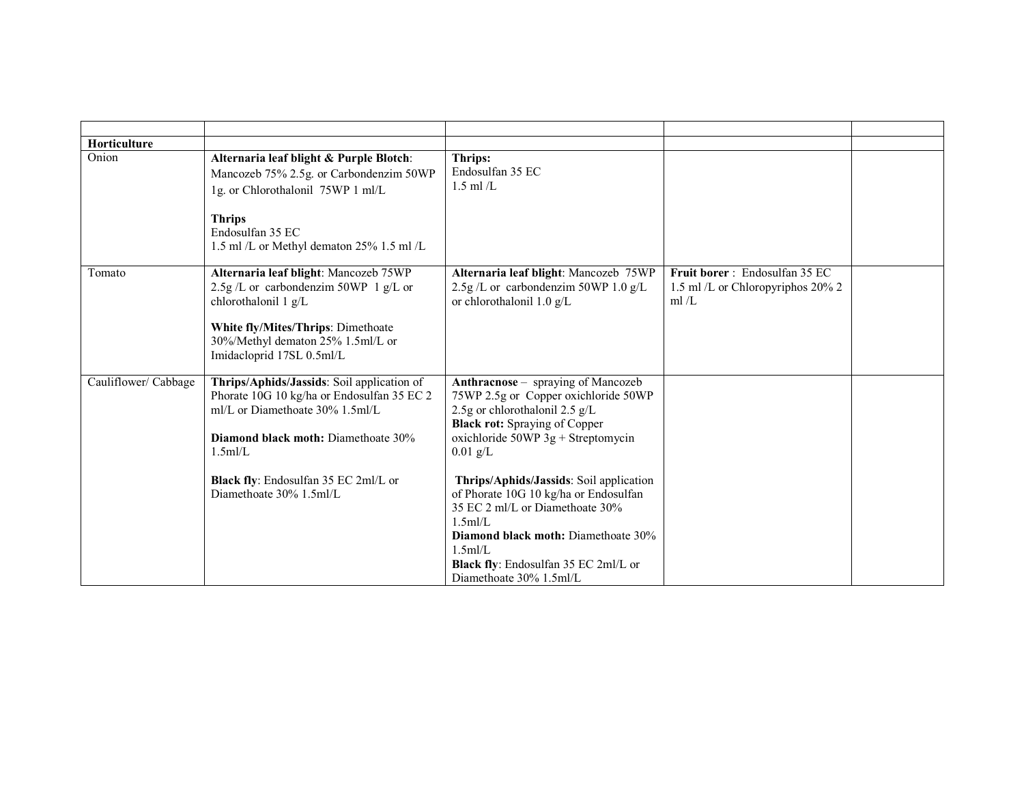| Horticulture         |                                                                                                                                                                                                                                                 |                                                                                                                                                                                                                                                                                                                                                                                                                                                                            |                                                                              |  |
|----------------------|-------------------------------------------------------------------------------------------------------------------------------------------------------------------------------------------------------------------------------------------------|----------------------------------------------------------------------------------------------------------------------------------------------------------------------------------------------------------------------------------------------------------------------------------------------------------------------------------------------------------------------------------------------------------------------------------------------------------------------------|------------------------------------------------------------------------------|--|
| Onion                | Alternaria leaf blight & Purple Blotch:<br>Mancozeb 75% 2.5g. or Carbondenzim 50WP<br>1g. or Chlorothalonil 75WP 1 ml/L<br><b>Thrips</b><br>Endosulfan 35 EC<br>1.5 ml /L or Methyl dematon 25% 1.5 ml /L                                       | Thrips:<br>Endosulfan 35 EC<br>$1.5$ ml $/L$                                                                                                                                                                                                                                                                                                                                                                                                                               |                                                                              |  |
| Tomato               | Alternaria leaf blight: Mancozeb 75WP<br>2.5g/L or carbondenzim 50WP 1 $g/L$ or<br>chlorothalonil $1 g/L$<br>White fly/Mites/Thrips: Dimethoate<br>30%/Methyl dematon 25% 1.5ml/L or<br>Imidacloprid 17SL 0.5ml/L                               | Alternaria leaf blight: Mancozeb 75WP<br>$2.5g/L$ or carbondenzim 50WP 1.0 g/L<br>or chlorothalonil $1.0 \text{ g/L}$                                                                                                                                                                                                                                                                                                                                                      | Fruit borer: Endosulfan 35 EC<br>1.5 ml/L or Chloropyriphos 20% 2<br>ml $/L$ |  |
| Cauliflower/ Cabbage | Thrips/Aphids/Jassids: Soil application of<br>Phorate 10G 10 kg/ha or Endosulfan 35 EC 2<br>ml/L or Diamethoate 30% 1.5ml/L<br>Diamond black moth: Diamethoate 30%<br>1.5m/L<br>Black fly: Endosulfan 35 EC 2ml/L or<br>Diamethoate 30% 1.5ml/L | Anthracnose – spraying of Mancozeb<br>75WP 2.5g or Copper oxichloride 50WP<br>2.5g or chlorothalonil 2.5 g/L<br><b>Black rot:</b> Spraying of Copper<br>oxichloride $50WP$ 3g + Streptomycin<br>$0.01$ g/L<br>Thrips/Aphids/Jassids: Soil application<br>of Phorate 10G 10 kg/ha or Endosulfan<br>35 EC 2 ml/L or Diamethoate 30%<br>$1.5$ ml/L<br><b>Diamond black moth:</b> Diamethoate 30%<br>1.5m/L<br>Black fly: Endosulfan 35 EC 2ml/L or<br>Diamethoate 30% 1.5ml/L |                                                                              |  |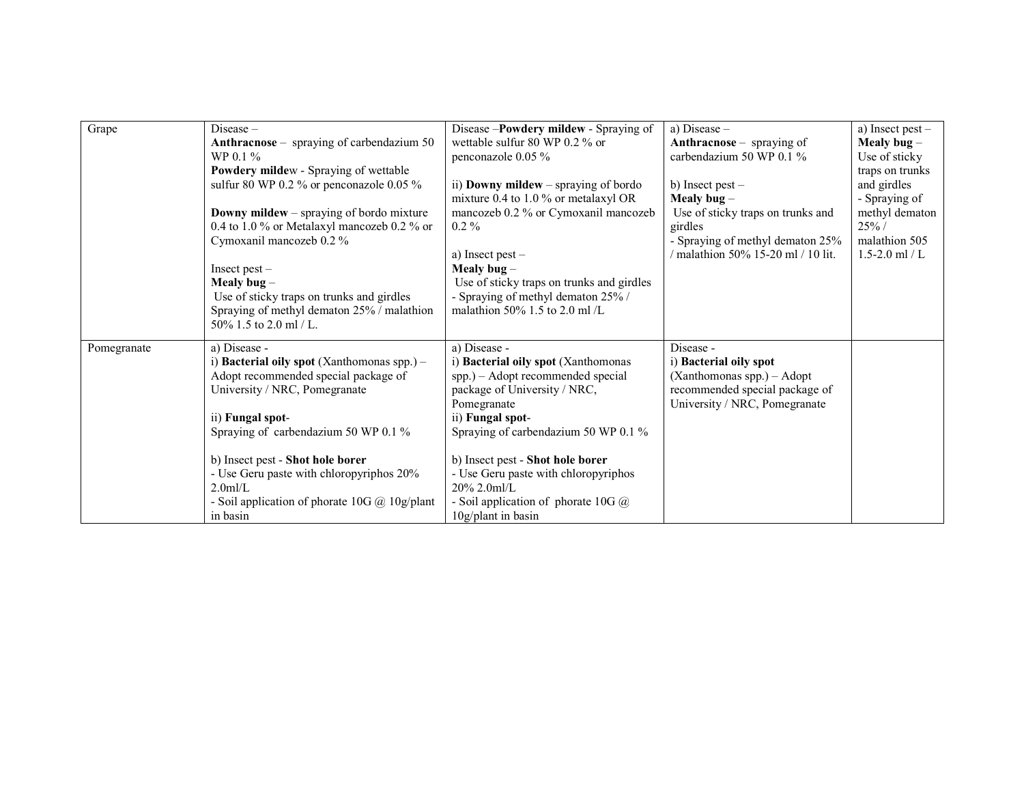| Grape       | $Disease -$                                                     | Disease -Powdery mildew - Spraying of     | a) Disease $-$                                           | a) Insect pest -   |
|-------------|-----------------------------------------------------------------|-------------------------------------------|----------------------------------------------------------|--------------------|
|             | Anthracnose - spraying of carbendazium 50                       | wettable sulfur 80 WP 0.2 % or            | Anthracnose – spraying of                                | Mealy bug $-$      |
|             | $WP 0.1 \%$                                                     | penconazole 0.05 %                        | carbendazium 50 WP $0.1\%$                               | Use of sticky      |
|             | Powdery mildew - Spraying of wettable                           |                                           |                                                          | traps on trunks    |
|             | sulfur 80 WP 0.2 % or penconazole 0.05 %                        | ii) Downy mildew – spraying of bordo      | b) Insect pest $-$                                       | and girdles        |
|             |                                                                 | mixture 0.4 to 1.0 % or metalaxyl OR      | Mealy bug $-$                                            | - Spraying of      |
|             | <b>Downy mildew</b> – spraying of bordo mixture                 | mancozeb 0.2 % or Cymoxanil mancozeb      | Use of sticky traps on trunks and                        | methyl dematon     |
|             | 0.4 to 1.0 % or Metalaxyl mancozeb 0.2 % or                     | $0.2\%$                                   | girdles                                                  | $25\%$ /           |
|             | Cymoxanil mancozeb 0.2 %                                        |                                           | - Spraying of methyl dematon 25%                         | malathion 505      |
|             |                                                                 | a) Insect pest $-$                        | $\frac{1}{10}$ malathion 50% 15-20 ml $\frac{1}{10}$ lit | $1.5 - 2.0$ ml / L |
|             | Insect pest $-$                                                 | Mealy bug $-$                             |                                                          |                    |
|             | Mealy bug $-$                                                   | Use of sticky traps on trunks and girdles |                                                          |                    |
|             | Use of sticky traps on trunks and girdles                       | - Spraying of methyl dematon 25% /        |                                                          |                    |
|             | Spraying of methyl dematon 25% / malathion                      | malathion 50% 1.5 to 2.0 ml $/L$          |                                                          |                    |
|             | 50\% 1.5 to 2.0 ml / L.                                         |                                           |                                                          |                    |
| Pomegranate | a) Disease -                                                    | a) Disease -                              | Disease -                                                |                    |
|             | i) <b>Bacterial oily spot</b> (Xanthomonas spp.) $-$            | i) Bacterial oily spot (Xanthomonas       | i) Bacterial oily spot                                   |                    |
|             | Adopt recommended special package of                            | spp.) - Adopt recommended special         | (Xanthomonas spp.) - Adopt                               |                    |
|             | University / NRC, Pomegranate                                   | package of University / NRC,              | recommended special package of                           |                    |
|             |                                                                 | Pomegranate                               | University / NRC, Pomegranate                            |                    |
|             | ii) Fungal spot-                                                | ii) Fungal spot-                          |                                                          |                    |
|             | Spraying of carbendazium 50 WP 0.1 %                            | Spraying of carbendazium 50 WP 0.1 %      |                                                          |                    |
|             |                                                                 |                                           |                                                          |                    |
|             | b) Insect pest - Shot hole borer                                | b) Insect pest - Shot hole borer          |                                                          |                    |
|             | - Use Geru paste with chloropyriphos 20%                        | - Use Geru paste with chloropyriphos      |                                                          |                    |
|             | $2.0$ ml/L                                                      | $20\%$ 2.0ml/L                            |                                                          |                    |
|             | - Soil application of phorate $10G$ ( $\ddot{\omega}$ 10g/plant | - Soil application of phorate 10G $@$     |                                                          |                    |
|             | in basin                                                        | $10g$ /plant in basin                     |                                                          |                    |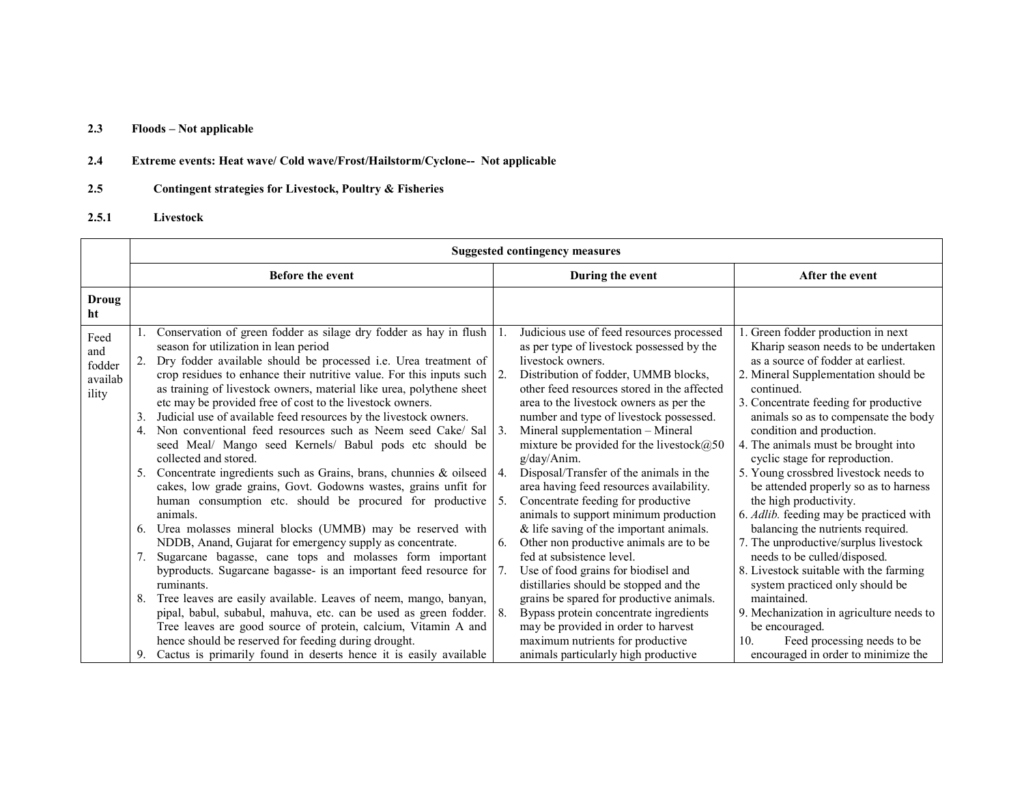#### 2.3Floods – Not applicable

#### 2.4Extreme events: Heat wave/ Cold wave/Frost/Hailstorm/Cyclone-- Not applicable

#### 2.5Contingent strategies for Livestock, Poultry & Fisheries

## 2.5.1 Livestock

|                                           | <b>Suggested contingency measures</b>                                                                                                                                                                                                                                                                                                                                                                                                                                                                                                                                                                                                                                                                                                                                                                                                                                                                                                                                                                                                                                                                                                                                                                                                      |                                                                                                                                                                                                                                                                                                                                                                                                                                                                                                                                                                                                                                                                                                                                                                                                                                           |                                                                                                                                                                                                                                                                                                                                                                                                                                                                                                                                                                                                                                                                                                                                |  |  |  |  |
|-------------------------------------------|--------------------------------------------------------------------------------------------------------------------------------------------------------------------------------------------------------------------------------------------------------------------------------------------------------------------------------------------------------------------------------------------------------------------------------------------------------------------------------------------------------------------------------------------------------------------------------------------------------------------------------------------------------------------------------------------------------------------------------------------------------------------------------------------------------------------------------------------------------------------------------------------------------------------------------------------------------------------------------------------------------------------------------------------------------------------------------------------------------------------------------------------------------------------------------------------------------------------------------------------|-------------------------------------------------------------------------------------------------------------------------------------------------------------------------------------------------------------------------------------------------------------------------------------------------------------------------------------------------------------------------------------------------------------------------------------------------------------------------------------------------------------------------------------------------------------------------------------------------------------------------------------------------------------------------------------------------------------------------------------------------------------------------------------------------------------------------------------------|--------------------------------------------------------------------------------------------------------------------------------------------------------------------------------------------------------------------------------------------------------------------------------------------------------------------------------------------------------------------------------------------------------------------------------------------------------------------------------------------------------------------------------------------------------------------------------------------------------------------------------------------------------------------------------------------------------------------------------|--|--|--|--|
|                                           | <b>Before the event</b>                                                                                                                                                                                                                                                                                                                                                                                                                                                                                                                                                                                                                                                                                                                                                                                                                                                                                                                                                                                                                                                                                                                                                                                                                    | During the event                                                                                                                                                                                                                                                                                                                                                                                                                                                                                                                                                                                                                                                                                                                                                                                                                          | After the event                                                                                                                                                                                                                                                                                                                                                                                                                                                                                                                                                                                                                                                                                                                |  |  |  |  |
| Droug<br>ht                               |                                                                                                                                                                                                                                                                                                                                                                                                                                                                                                                                                                                                                                                                                                                                                                                                                                                                                                                                                                                                                                                                                                                                                                                                                                            |                                                                                                                                                                                                                                                                                                                                                                                                                                                                                                                                                                                                                                                                                                                                                                                                                                           |                                                                                                                                                                                                                                                                                                                                                                                                                                                                                                                                                                                                                                                                                                                                |  |  |  |  |
| Feed<br>and<br>fodder<br>availab<br>ility | Conservation of green fodder as silage dry fodder as hay in flush<br>season for utilization in lean period<br>Dry fodder available should be processed i.e. Urea treatment of<br>crop residues to enhance their nutritive value. For this inputs such $\vert$ 2.<br>as training of livestock owners, material like urea, polythene sheet<br>etc may be provided free of cost to the livestock owners.<br>Judicial use of available feed resources by the livestock owners.<br>3.<br>Non conventional feed resources such as Neem seed Cake/ Sal<br>4.<br>seed Meal/ Mango seed Kernels/ Babul pods etc should be<br>collected and stored.<br>Concentrate ingredients such as Grains, brans, chunnies & oilseed $\vert$ 4.<br>5.<br>cakes, low grade grains, Govt. Godowns wastes, grains unfit for<br>human consumption etc. should be procured for productive 5.<br>animals.<br>Urea molasses mineral blocks (UMMB) may be reserved with<br>6.<br>NDDB, Anand, Gujarat for emergency supply as concentrate.<br>Sugarcane bagasse, cane tops and molasses form important<br>7.<br>byproducts. Sugarcane bagasse- is an important feed resource for<br>ruminants.<br>Tree leaves are easily available. Leaves of neem, mango, banyan,<br>8. | Judicious use of feed resources processed<br>as per type of livestock possessed by the<br>livestock owners.<br>Distribution of fodder, UMMB blocks,<br>other feed resources stored in the affected<br>area to the livestock owners as per the<br>number and type of livestock possessed.<br>Mineral supplementation - Mineral<br>$\overline{3}$ .<br>mixture be provided for the livestock@50<br>g/day/Anim.<br>Disposal/Transfer of the animals in the<br>area having feed resources availability.<br>Concentrate feeding for productive<br>animals to support minimum production<br>$&$ life saving of the important animals.<br>Other non productive animals are to be<br>6.<br>fed at subsistence level.<br>Use of food grains for biodisel and<br>distillaries should be stopped and the<br>grains be spared for productive animals. | 1. Green fodder production in next<br>Kharip season needs to be undertaken<br>as a source of fodder at earliest.<br>2. Mineral Supplementation should be<br>continued.<br>3. Concentrate feeding for productive<br>animals so as to compensate the body<br>condition and production.<br>4. The animals must be brought into<br>cyclic stage for reproduction.<br>5. Young crossbred livestock needs to<br>be attended properly so as to harness<br>the high productivity.<br>6. Adlib. feeding may be practiced with<br>balancing the nutrients required.<br>7. The unproductive/surplus livestock<br>needs to be culled/disposed.<br>8. Livestock suitable with the farming<br>system practiced only should be<br>maintained. |  |  |  |  |
|                                           | pipal, babul, subabul, mahuva, etc. can be used as green fodder.  <br>Tree leaves are good source of protein, calcium, Vitamin A and<br>hence should be reserved for feeding during drought.<br>Cactus is primarily found in deserts hence it is easily available<br>9.                                                                                                                                                                                                                                                                                                                                                                                                                                                                                                                                                                                                                                                                                                                                                                                                                                                                                                                                                                    | Bypass protein concentrate ingredients<br>-8.<br>may be provided in order to harvest<br>maximum nutrients for productive<br>animals particularly high productive                                                                                                                                                                                                                                                                                                                                                                                                                                                                                                                                                                                                                                                                          | 9. Mechanization in agriculture needs to<br>be encouraged.<br>Feed processing needs to be<br>10 <sub>1</sub><br>encouraged in order to minimize the                                                                                                                                                                                                                                                                                                                                                                                                                                                                                                                                                                            |  |  |  |  |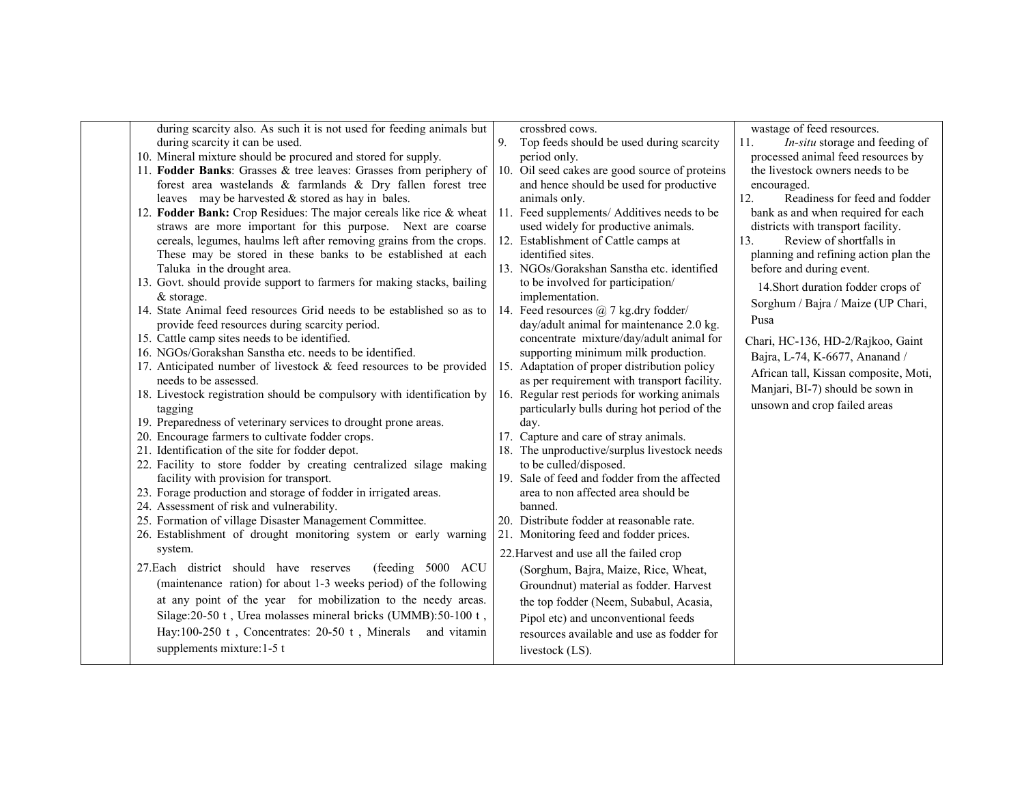| during scarcity also. As such it is not used for feeding animals but                                 | crossbred cows.                                | wastage of feed resources.                   |
|------------------------------------------------------------------------------------------------------|------------------------------------------------|----------------------------------------------|
| during scarcity it can be used.                                                                      | 9.<br>Top feeds should be used during scarcity | <i>In-situ</i> storage and feeding of<br>11. |
| 10. Mineral mixture should be procured and stored for supply.                                        | period only.                                   | processed animal feed resources by           |
| 11. Fodder Banks: Grasses & tree leaves: Grasses from periphery of                                   | 10. Oil seed cakes are good source of proteins | the livestock owners needs to be             |
| forest area wastelands & farmlands & Dry fallen forest tree                                          | and hence should be used for productive        | encouraged.                                  |
| leaves may be harvested $&$ stored as hay in bales.                                                  | animals only.                                  | Readiness for feed and fodder<br>12.         |
| 12. Fodder Bank: Crop Residues: The major cereals like rice & wheat                                  | Feed supplements/ Additives needs to be<br>11. | bank as and when required for each           |
| straws are more important for this purpose. Next are coarse                                          | used widely for productive animals.            | districts with transport facility.           |
| cereals, legumes, haulms left after removing grains from the crops.                                  | 12. Establishment of Cattle camps at           | Review of shortfalls in<br>13.               |
| These may be stored in these banks to be established at each                                         | identified sites.                              | planning and refining action plan the        |
| Taluka in the drought area.                                                                          | 13. NGOs/Gorakshan Sanstha etc. identified     | before and during event.                     |
| 13. Govt. should provide support to farmers for making stacks, bailing                               | to be involved for participation/              | 14. Short duration fodder crops of           |
| $&$ storage.                                                                                         | implementation.                                | Sorghum / Bajra / Maize (UP Chari,           |
| 14. State Animal feed resources Grid needs to be established so as to                                | 14. Feed resources @ 7 kg.dry fodder/          |                                              |
| provide feed resources during scarcity period.                                                       | day/adult animal for maintenance 2.0 kg.       | Pusa                                         |
| 15. Cattle camp sites needs to be identified.                                                        | concentrate mixture/day/adult animal for       | Chari, HC-136, HD-2/Rajkoo, Gaint            |
| 16. NGOs/Gorakshan Sanstha etc. needs to be identified.                                              | supporting minimum milk production.            | Bajra, L-74, K-6677, Ananand /               |
| 17. Anticipated number of livestock $\&$ feed resources to be provided                               | 15. Adaptation of proper distribution policy   | African tall, Kissan composite, Moti,        |
| needs to be assessed.                                                                                | as per requirement with transport facility.    | Manjari, BI-7) should be sown in             |
| 18. Livestock registration should be compulsory with identification by                               | 16. Regular rest periods for working animals   | unsown and crop failed areas                 |
| tagging                                                                                              | particularly bulls during hot period of the    |                                              |
| 19. Preparedness of veterinary services to drought prone areas.                                      | day.                                           |                                              |
| 20. Encourage farmers to cultivate fodder crops.                                                     | 17. Capture and care of stray animals.         |                                              |
| 21. Identification of the site for fodder depot.                                                     | 18. The unproductive/surplus livestock needs   |                                              |
| 22. Facility to store fodder by creating centralized silage making                                   | to be culled/disposed.                         |                                              |
| facility with provision for transport.                                                               | 19. Sale of feed and fodder from the affected  |                                              |
| 23. Forage production and storage of fodder in irrigated areas.                                      | area to non affected area should be<br>banned. |                                              |
| 24. Assessment of risk and vulnerability.<br>25. Formation of village Disaster Management Committee. | 20. Distribute fodder at reasonable rate.      |                                              |
| 26. Establishment of drought monitoring system or early warning                                      | 21. Monitoring feed and fodder prices.         |                                              |
| system.                                                                                              |                                                |                                              |
|                                                                                                      | 22. Harvest and use all the failed crop        |                                              |
| 27. Each district should have reserves<br>(feeding 5000 ACU                                          | (Sorghum, Bajra, Maize, Rice, Wheat,           |                                              |
| (maintenance ration) for about 1-3 weeks period) of the following                                    | Groundnut) material as fodder. Harvest         |                                              |
| at any point of the year for mobilization to the needy areas.                                        | the top fodder (Neem, Subabul, Acasia,         |                                              |
| Silage: 20-50 t, Urea molasses mineral bricks (UMMB): 50-100 t,                                      | Pipol etc) and unconventional feeds            |                                              |
| Hay:100-250 t, Concentrates: 20-50 t, Minerals and vitamin                                           | resources available and use as fodder for      |                                              |
| supplements mixture: 1-5 t                                                                           | livestock (LS).                                |                                              |
|                                                                                                      |                                                |                                              |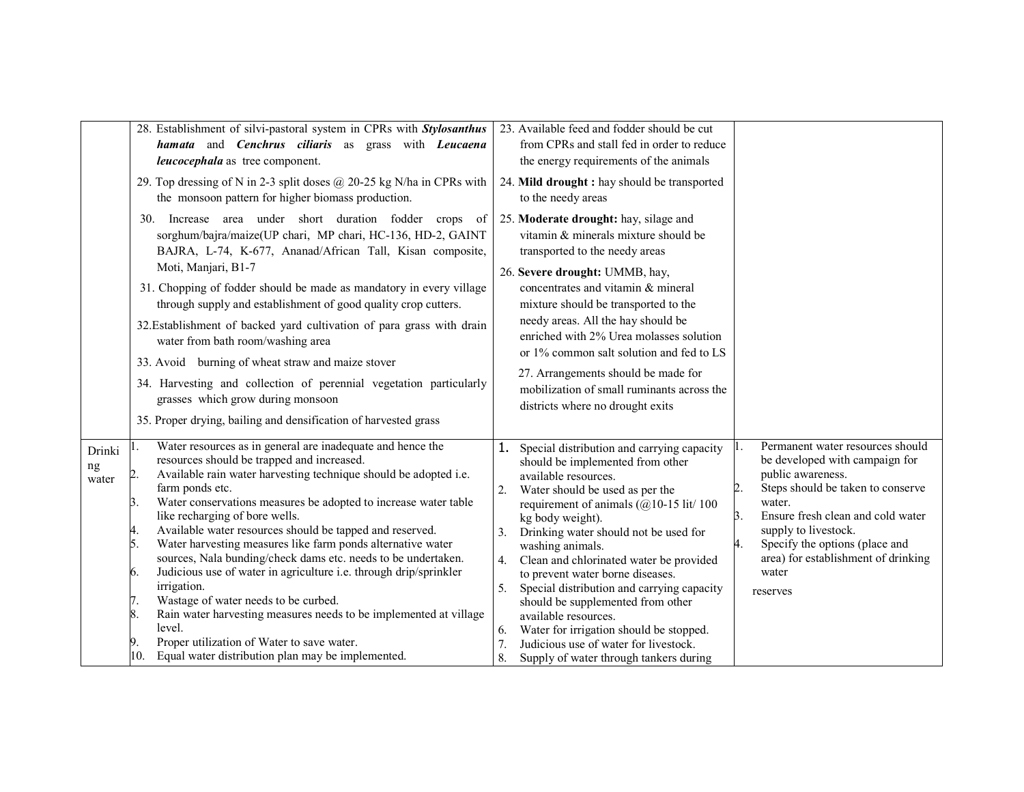|                       | 28. Establishment of silvi-pastoral system in CPRs with Stylosanthus<br>hamata and Cenchrus ciliaris as grass with Leucaena<br>leucocephala as tree component.<br>29. Top dressing of N in 2-3 split doses @ 20-25 kg N/ha in CPRs with<br>the monsoon pattern for higher biomass production.<br>30. Increase area under short duration fodder crops of<br>sorghum/bajra/maize(UP chari, MP chari, HC-136, HD-2, GAINT<br>BAJRA, L-74, K-677, Ananad/African Tall, Kisan composite,<br>Moti, Manjari, B1-7<br>31. Chopping of fodder should be made as mandatory in every village<br>through supply and establishment of good quality crop cutters.<br>32. Establishment of backed yard cultivation of para grass with drain<br>water from bath room/washing area<br>33. Avoid burning of wheat straw and maize stover<br>34. Harvesting and collection of perennial vegetation particularly<br>grasses which grow during monsoon<br>35. Proper drying, bailing and densification of harvested grass | 23. Available feed and fodder should be cut<br>from CPRs and stall fed in order to reduce<br>the energy requirements of the animals<br>24. Mild drought : hay should be transported<br>to the needy areas<br>25. Moderate drought: hay, silage and<br>vitamin & minerals mixture should be<br>transported to the needy areas<br>26. Severe drought: UMMB, hay,<br>concentrates and vitamin & mineral<br>mixture should be transported to the<br>needy areas. All the hay should be<br>enriched with 2% Urea molasses solution<br>or 1% common salt solution and fed to LS<br>27. Arrangements should be made for<br>mobilization of small ruminants across the<br>districts where no drought exits |                                                                                                                                                                                                                                                                                                               |
|-----------------------|------------------------------------------------------------------------------------------------------------------------------------------------------------------------------------------------------------------------------------------------------------------------------------------------------------------------------------------------------------------------------------------------------------------------------------------------------------------------------------------------------------------------------------------------------------------------------------------------------------------------------------------------------------------------------------------------------------------------------------------------------------------------------------------------------------------------------------------------------------------------------------------------------------------------------------------------------------------------------------------------------|----------------------------------------------------------------------------------------------------------------------------------------------------------------------------------------------------------------------------------------------------------------------------------------------------------------------------------------------------------------------------------------------------------------------------------------------------------------------------------------------------------------------------------------------------------------------------------------------------------------------------------------------------------------------------------------------------|---------------------------------------------------------------------------------------------------------------------------------------------------------------------------------------------------------------------------------------------------------------------------------------------------------------|
| Drinki<br>ng<br>water | Water resources as in general are inadequate and hence the<br>resources should be trapped and increased.<br>Available rain water harvesting technique should be adopted i.e.<br>2.<br>farm ponds etc.<br>Water conservations measures be adopted to increase water table<br>Β.<br>like recharging of bore wells.<br>Available water resources should be tapped and reserved.<br>15.<br>Water harvesting measures like farm ponds alternative water<br>sources, Nala bunding/check dams etc. needs to be undertaken.<br>Judicious use of water in agriculture i.e. through drip/sprinkler<br>6.<br>irrigation.<br>Wastage of water needs to be curbed.<br>17.<br>8.<br>Rain water harvesting measures needs to be implemented at village<br>level.<br>Proper utilization of Water to save water.<br>Equal water distribution plan may be implemented.<br>10.                                                                                                                                          | Special distribution and carrying capacity<br>1.<br>should be implemented from other<br>available resources.<br>Water should be used as per the<br>2.<br>requirement of animals $(Q10-15$ lit/ 100<br>kg body weight).<br>3.<br>Drinking water should not be used for<br>washing animals.<br>4. Clean and chlorinated water be provided<br>to prevent water borne diseases.<br>Special distribution and carrying capacity<br>5.<br>should be supplemented from other<br>available resources.<br>Water for irrigation should be stopped.<br>6.<br>7.<br>Judicious use of water for livestock.<br>8.<br>Supply of water through tankers during                                                       | Permanent water resources should<br>be developed with campaign for<br>public awareness.<br>Steps should be taken to conserve<br>water.<br>Ensure fresh clean and cold water<br>3.<br>supply to livestock.<br>Specify the options (place and<br>4.<br>area) for establishment of drinking<br>water<br>reserves |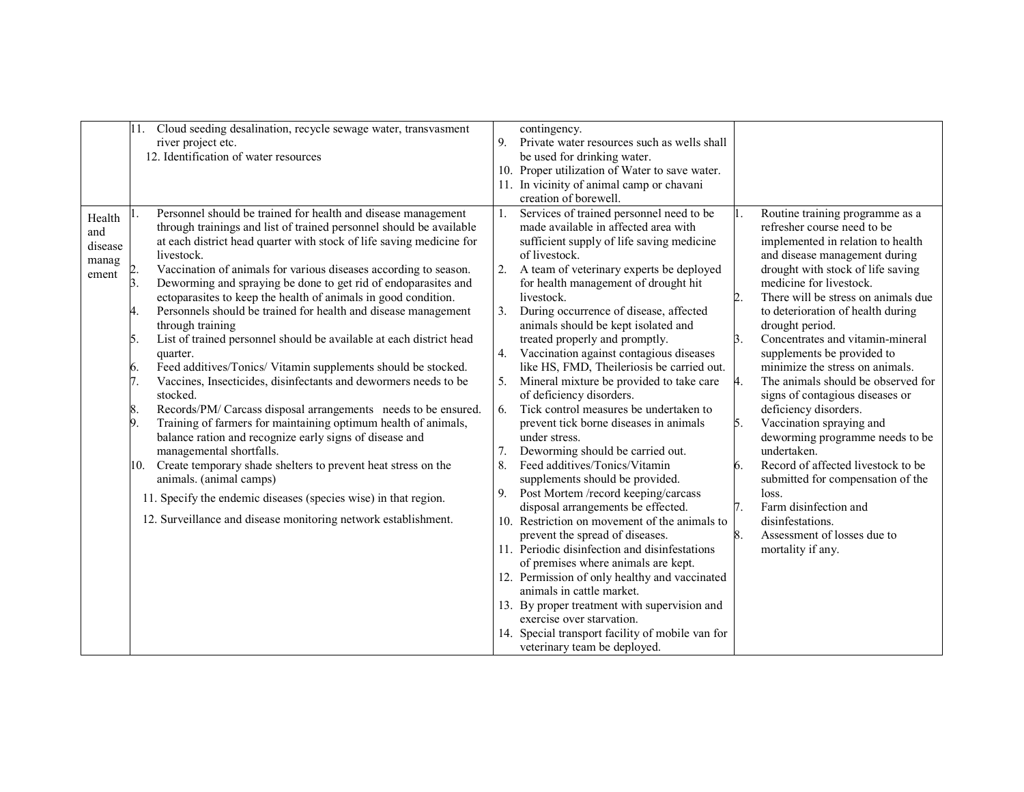|         | 11.             | Cloud seeding desalination, recycle sewage water, transvasment       |                | contingency.                                               |    |                                     |
|---------|-----------------|----------------------------------------------------------------------|----------------|------------------------------------------------------------|----|-------------------------------------|
|         |                 | river project etc.                                                   | 9.             | Private water resources such as wells shall                |    |                                     |
|         |                 | 12. Identification of water resources                                |                | be used for drinking water.                                |    |                                     |
|         |                 |                                                                      |                | 10. Proper utilization of Water to save water.             |    |                                     |
|         |                 |                                                                      |                | 11. In vicinity of animal camp or chavani                  |    |                                     |
|         |                 |                                                                      |                | creation of borewell.                                      |    |                                     |
|         |                 | Personnel should be trained for health and disease management        | 1.             | Services of trained personnel need to be                   |    | Routine training programme as a     |
| Health  |                 | through trainings and list of trained personnel should be available  |                | made available in affected area with                       |    | refresher course need to be         |
| and     |                 |                                                                      |                |                                                            |    |                                     |
| disease |                 | at each district head quarter with stock of life saving medicine for |                | sufficient supply of life saving medicine<br>of livestock. |    | implemented in relation to health   |
| manag   |                 | livestock.                                                           |                |                                                            |    | and disease management during       |
| ement   |                 | Vaccination of animals for various diseases according to season.     | 2.             | A team of veterinary experts be deployed                   |    | drought with stock of life saving   |
|         | 3.              | Deworming and spraying be done to get rid of endoparasites and       |                | for health management of drought hit                       |    | medicine for livestock.             |
|         |                 | ectoparasites to keep the health of animals in good condition.       |                | livestock.                                                 |    | There will be stress on animals due |
|         | 4.              | Personnels should be trained for health and disease management       | 3 <sub>1</sub> | During occurrence of disease, affected                     |    | to deterioration of health during   |
|         |                 | through training                                                     |                | animals should be kept isolated and                        |    | drought period.                     |
|         | 5.              | List of trained personnel should be available at each district head  |                | treated properly and promptly.                             | 3. | Concentrates and vitamin-mineral    |
|         |                 | quarter.                                                             |                | 4. Vaccination against contagious diseases                 |    | supplements be provided to          |
|         | 6.              | Feed additives/Tonics/ Vitamin supplements should be stocked.        |                | like HS, FMD, Theileriosis be carried out.                 |    | minimize the stress on animals.     |
|         | 17.             | Vaccines, Insecticides, disinfectants and dewormers needs to be      |                | Mineral mixture be provided to take care                   | 4. | The animals should be observed for  |
|         |                 | stocked.                                                             |                | of deficiency disorders.                                   |    | signs of contagious diseases or     |
|         | 8.              | Records/PM/ Carcass disposal arrangements needs to be ensured.       | 6.             | Tick control measures be undertaken to                     |    | deficiency disorders.               |
|         | $\vert 9 \vert$ | Training of farmers for maintaining optimum health of animals,       |                | prevent tick borne diseases in animals                     | 5. | Vaccination spraying and            |
|         |                 | balance ration and recognize early signs of disease and              |                | under stress.                                              |    | deworming programme needs to be     |
|         |                 | managemental shortfalls.                                             |                | Deworming should be carried out.                           |    | undertaken.                         |
|         | 10.             | Create temporary shade shelters to prevent heat stress on the        | 8.             | Feed additives/Tonics/Vitamin                              | 6. | Record of affected livestock to be  |
|         |                 | animals. (animal camps)                                              |                | supplements should be provided.                            |    | submitted for compensation of the   |
|         |                 | 11. Specify the endemic diseases (species wise) in that region.      | 9.             | Post Mortem /record keeping/carcass                        |    | loss.                               |
|         |                 |                                                                      |                | disposal arrangements be effected.                         | 7. | Farm disinfection and               |
|         |                 | 12. Surveillance and disease monitoring network establishment.       |                | 10. Restriction on movement of the animals to              |    | disinfestations.                    |
|         |                 |                                                                      |                | prevent the spread of diseases.                            | 8. | Assessment of losses due to         |
|         |                 |                                                                      |                | 11. Periodic disinfection and disinfestations              |    | mortality if any.                   |
|         |                 |                                                                      |                | of premises where animals are kept.                        |    |                                     |
|         |                 |                                                                      |                | 12. Permission of only healthy and vaccinated              |    |                                     |
|         |                 |                                                                      |                | animals in cattle market.                                  |    |                                     |
|         |                 |                                                                      |                | 13. By proper treatment with supervision and               |    |                                     |
|         |                 |                                                                      |                | exercise over starvation.                                  |    |                                     |
|         |                 |                                                                      |                | 14. Special transport facility of mobile van for           |    |                                     |
|         |                 |                                                                      |                | veterinary team be deployed.                               |    |                                     |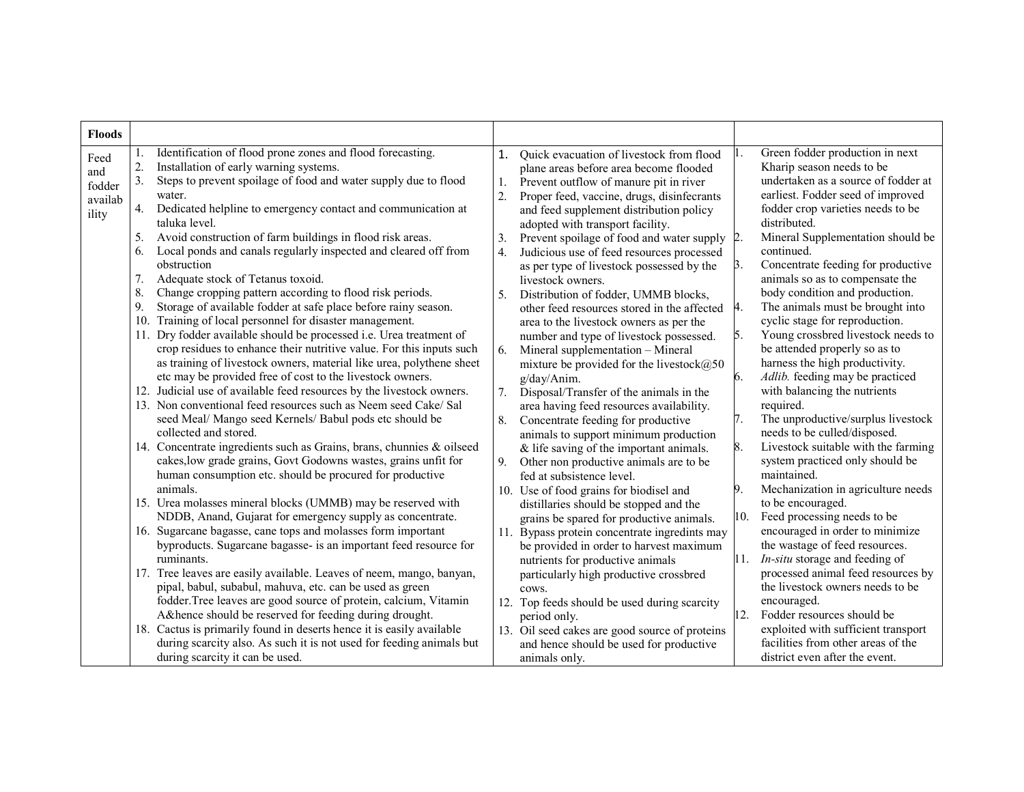| <b>Floods</b>                    |                                                                                                                                                                                                                                                                     |                                                                                                                                                                                                                                         |                                                                                                                                                                               |
|----------------------------------|---------------------------------------------------------------------------------------------------------------------------------------------------------------------------------------------------------------------------------------------------------------------|-----------------------------------------------------------------------------------------------------------------------------------------------------------------------------------------------------------------------------------------|-------------------------------------------------------------------------------------------------------------------------------------------------------------------------------|
| Feed<br>and<br>fodder<br>availab | Identification of flood prone zones and flood forecasting.<br>2.<br>Installation of early warning systems.<br>3.<br>Steps to prevent spoilage of food and water supply due to flood<br>water.<br>Dedicated helpline to emergency contact and communication at<br>4. | Quick evacuation of livestock from flood<br>1.<br>plane areas before area become flooded<br>Prevent outflow of manure pit in river<br>1.<br>2.<br>Proper feed, vaccine, drugs, disinfecrants<br>and feed supplement distribution policy | Green fodder production in next<br>Kharip season needs to be<br>undertaken as a source of fodder at<br>earliest. Fodder seed of improved<br>fodder crop varieties needs to be |
| ility                            | taluka level.<br>Avoid construction of farm buildings in flood risk areas.<br>5.                                                                                                                                                                                    | adopted with transport facility.<br>3.<br>Prevent spoilage of food and water supply                                                                                                                                                     | distributed.<br>Mineral Supplementation should be                                                                                                                             |
|                                  | Local ponds and canals regularly inspected and cleared off from<br>6.<br>obstruction                                                                                                                                                                                | Judicious use of feed resources processed<br>$\overline{4}$ .                                                                                                                                                                           | continued.<br>Concentrate feeding for productive<br>3.                                                                                                                        |
|                                  | Adequate stock of Tetanus toxoid.<br>7.<br>8.<br>Change cropping pattern according to flood risk periods.                                                                                                                                                           | as per type of livestock possessed by the<br>livestock owners.                                                                                                                                                                          | animals so as to compensate the<br>body condition and production.                                                                                                             |
|                                  | 9.<br>Storage of available fodder at safe place before rainy season.<br>Training of local personnel for disaster management.<br>10.                                                                                                                                 | Distribution of fodder, UMMB blocks,<br>5.<br>other feed resources stored in the affected                                                                                                                                               | The animals must be brought into<br>4.<br>cyclic stage for reproduction.                                                                                                      |
|                                  | Dry fodder available should be processed i.e. Urea treatment of<br>crop residues to enhance their nutritive value. For this inputs such                                                                                                                             | area to the livestock owners as per the<br>number and type of livestock possessed.<br>Mineral supplementation - Mineral<br>6.                                                                                                           | Young crossbred livestock needs to<br>5.<br>be attended properly so as to                                                                                                     |
|                                  | as training of livestock owners, material like urea, polythene sheet<br>etc may be provided free of cost to the livestock owners.                                                                                                                                   | mixture be provided for the livestock $@50$<br>6.<br>g/day/Anim.                                                                                                                                                                        | harness the high productivity.<br>Adlib. feeding may be practiced                                                                                                             |
|                                  | Judicial use of available feed resources by the livestock owners.<br>12.<br>13. Non conventional feed resources such as Neem seed Cake/ Sal                                                                                                                         | 7.<br>Disposal/Transfer of the animals in the<br>area having feed resources availability.                                                                                                                                               | with balancing the nutrients<br>required.                                                                                                                                     |
|                                  | seed Meal/ Mango seed Kernels/ Babul pods etc should be<br>collected and stored.                                                                                                                                                                                    | Concentrate feeding for productive<br>8.<br>animals to support minimum production                                                                                                                                                       | The unproductive/surplus livestock<br>7.<br>needs to be culled/disposed.                                                                                                      |
|                                  | 14. Concentrate ingredients such as Grains, brans, chunnies & oilseed<br>cakes, low grade grains, Govt Godowns wastes, grains unfit for<br>human consumption etc. should be procured for productive                                                                 | $&$ life saving of the important animals.<br>Other non productive animals are to be<br>9.<br>fed at subsistence level.                                                                                                                  | Livestock suitable with the farming<br>8.<br>system practiced only should be<br>maintained.                                                                                   |
|                                  | animals.<br>15. Urea molasses mineral blocks (UMMB) may be reserved with                                                                                                                                                                                            | 9.<br>10. Use of food grains for biodisel and<br>distillaries should be stopped and the                                                                                                                                                 | Mechanization in agriculture needs<br>to be encouraged.                                                                                                                       |
|                                  | NDDB, Anand, Gujarat for emergency supply as concentrate.<br>16. Sugarcane bagasse, cane tops and molasses form important<br>byproducts. Sugarcane bagasse- is an important feed resource for<br>ruminants.                                                         | grains be spared for productive animals.<br>11. Bypass protein concentrate ingredints may<br>be provided in order to harvest maximum                                                                                                    | Feed processing needs to be<br>10.<br>encouraged in order to minimize<br>the wastage of feed resources.                                                                       |
|                                  | 17. Tree leaves are easily available. Leaves of neem, mango, banyan,<br>pipal, babul, subabul, mahuva, etc. can be used as green                                                                                                                                    | nutrients for productive animals<br>particularly high productive crossbred<br>cows.                                                                                                                                                     | In-situ storage and feeding of<br>11.<br>processed animal feed resources by<br>the livestock owners needs to be                                                               |
|                                  | fodder. Tree leaves are good source of protein, calcium, Vitamin<br>A& hence should be reserved for feeding during drought.                                                                                                                                         | 12. Top feeds should be used during scarcity<br>period only.                                                                                                                                                                            | encouraged.<br>12.<br>Fodder resources should be                                                                                                                              |
|                                  | 18. Cactus is primarily found in deserts hence it is easily available<br>during scarcity also. As such it is not used for feeding animals but<br>during scarcity it can be used.                                                                                    | 13. Oil seed cakes are good source of proteins<br>and hence should be used for productive<br>animals only.                                                                                                                              | exploited with sufficient transport<br>facilities from other areas of the<br>district even after the event.                                                                   |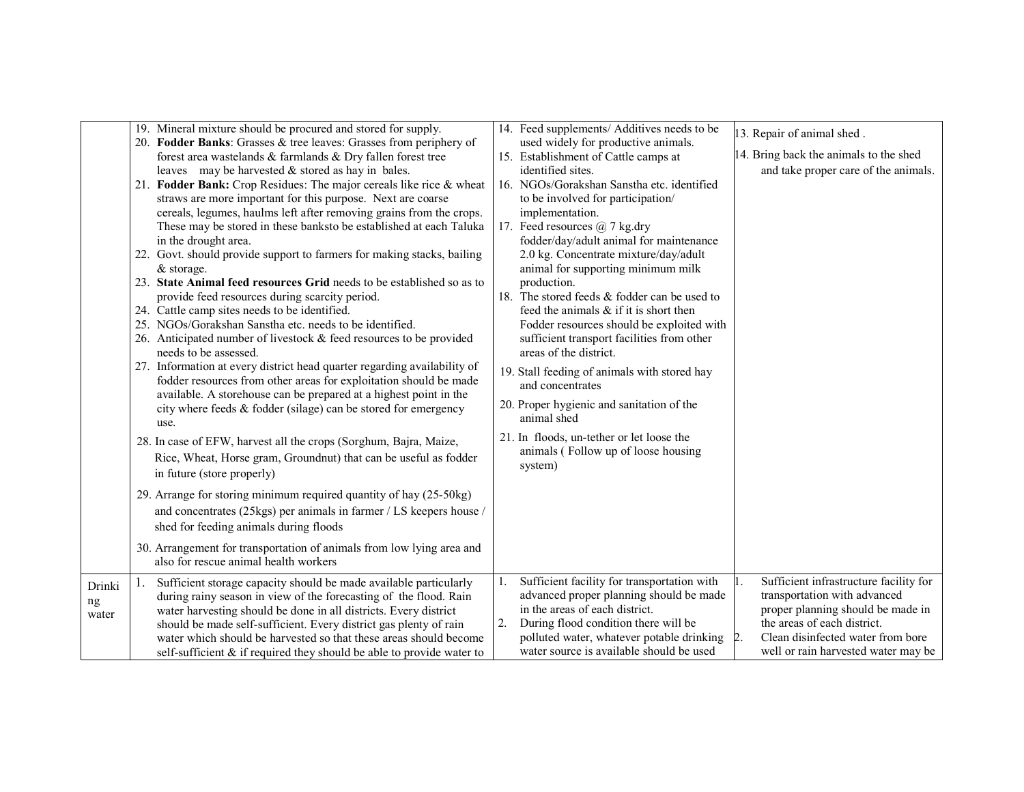|                       | 19. Mineral mixture should be procured and stored for supply.<br>20. Fodder Banks: Grasses & tree leaves: Grasses from periphery of<br>forest area wastelands & farmlands & Dry fallen forest tree<br>leaves may be harvested $&$ stored as hay in bales.<br>21. Fodder Bank: Crop Residues: The major cereals like rice & wheat<br>straws are more important for this purpose. Next are coarse<br>cereals, legumes, haulms left after removing grains from the crops.<br>These may be stored in these banksto be established at each Taluka<br>in the drought area.<br>22. Govt. should provide support to farmers for making stacks, bailing<br>$&$ storage.<br>23. State Animal feed resources Grid needs to be established so as to<br>provide feed resources during scarcity period.<br>24. Cattle camp sites needs to be identified.<br>25. NGOs/Gorakshan Sanstha etc. needs to be identified.<br>26. Anticipated number of livestock $&$ feed resources to be provided<br>needs to be assessed.<br>27. Information at every district head quarter regarding availability of<br>fodder resources from other areas for exploitation should be made<br>available. A storehouse can be prepared at a highest point in the<br>city where feeds & fodder (silage) can be stored for emergency<br>use.<br>28. In case of EFW, harvest all the crops (Sorghum, Bajra, Maize,<br>Rice, Wheat, Horse gram, Groundnut) that can be useful as fodder<br>in future (store properly)<br>29. Arrange for storing minimum required quantity of hay (25-50kg)<br>and concentrates (25kgs) per animals in farmer / LS keepers house /<br>shed for feeding animals during floods<br>30. Arrangement for transportation of animals from low lying area and<br>also for rescue animal health workers | 14. Feed supplements/ Additives needs to be<br>used widely for productive animals.<br>15. Establishment of Cattle camps at<br>identified sites.<br>16. NGOs/Gorakshan Sanstha etc. identified<br>to be involved for participation/<br>implementation.<br>17. Feed resources $\omega$ 7 kg.dry<br>fodder/day/adult animal for maintenance<br>2.0 kg. Concentrate mixture/day/adult<br>animal for supporting minimum milk<br>production.<br>18. The stored feeds & fodder can be used to<br>feed the animals $\&$ if it is short then<br>Fodder resources should be exploited with<br>sufficient transport facilities from other<br>areas of the district.<br>19. Stall feeding of animals with stored hay<br>and concentrates<br>20. Proper hygienic and sanitation of the<br>animal shed<br>21. In floods, un-tether or let loose the<br>animals (Follow up of loose housing<br>system) | 13. Repair of animal shed.<br>14. Bring back the animals to the shed<br>and take proper care of the animals.                                                                                                           |
|-----------------------|-----------------------------------------------------------------------------------------------------------------------------------------------------------------------------------------------------------------------------------------------------------------------------------------------------------------------------------------------------------------------------------------------------------------------------------------------------------------------------------------------------------------------------------------------------------------------------------------------------------------------------------------------------------------------------------------------------------------------------------------------------------------------------------------------------------------------------------------------------------------------------------------------------------------------------------------------------------------------------------------------------------------------------------------------------------------------------------------------------------------------------------------------------------------------------------------------------------------------------------------------------------------------------------------------------------------------------------------------------------------------------------------------------------------------------------------------------------------------------------------------------------------------------------------------------------------------------------------------------------------------------------------------------------------------------------------------------------------------------------------------------------------------------------------|-----------------------------------------------------------------------------------------------------------------------------------------------------------------------------------------------------------------------------------------------------------------------------------------------------------------------------------------------------------------------------------------------------------------------------------------------------------------------------------------------------------------------------------------------------------------------------------------------------------------------------------------------------------------------------------------------------------------------------------------------------------------------------------------------------------------------------------------------------------------------------------------|------------------------------------------------------------------------------------------------------------------------------------------------------------------------------------------------------------------------|
| Drinki<br>ng<br>water | Sufficient storage capacity should be made available particularly<br>during rainy season in view of the forecasting of the flood. Rain<br>water harvesting should be done in all districts. Every district<br>should be made self-sufficient. Every district gas plenty of rain<br>water which should be harvested so that these areas should become<br>self-sufficient $\&$ if required they should be able to provide water to                                                                                                                                                                                                                                                                                                                                                                                                                                                                                                                                                                                                                                                                                                                                                                                                                                                                                                                                                                                                                                                                                                                                                                                                                                                                                                                                                        | Sufficient facility for transportation with<br>1.<br>advanced proper planning should be made<br>in the areas of each district.<br>2.<br>During flood condition there will be<br>polluted water, whatever potable drinking<br>water source is available should be used                                                                                                                                                                                                                                                                                                                                                                                                                                                                                                                                                                                                                   | Sufficient infrastructure facility for<br>transportation with advanced<br>proper planning should be made in<br>the areas of each district.<br>Clean disinfected water from bore<br>well or rain harvested water may be |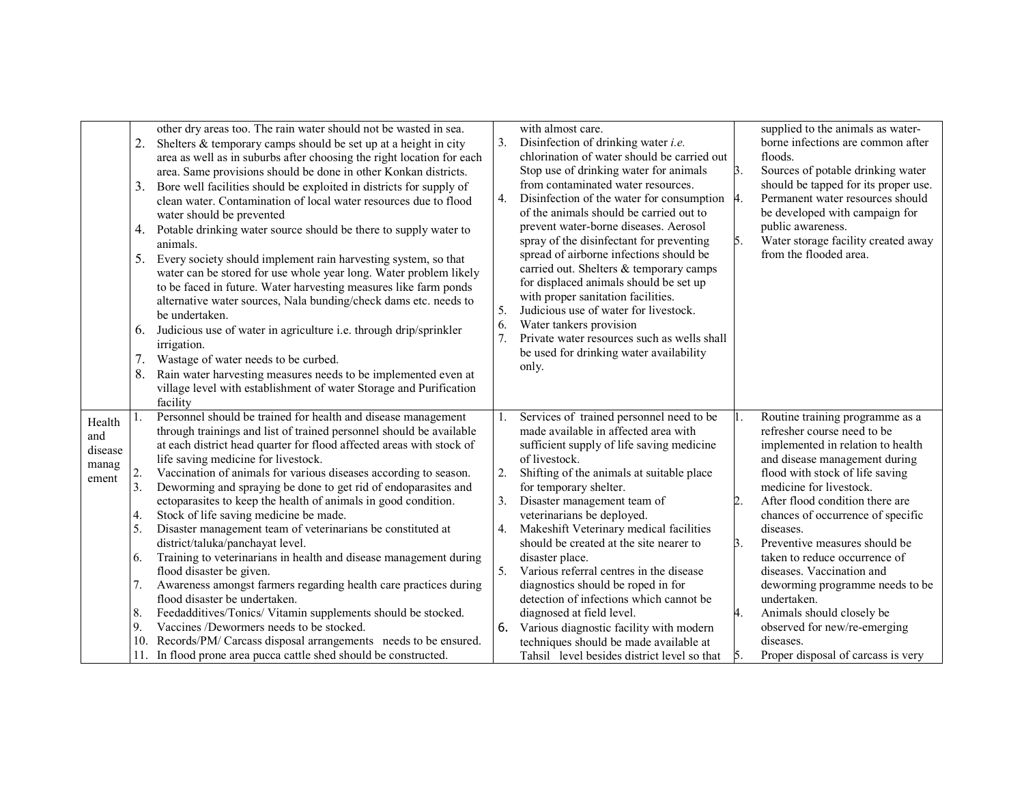|                | 2.<br>3. | other dry areas too. The rain water should not be wasted in sea.<br>Shelters $&$ temporary camps should be set up at a height in city<br>area as well as in suburbs after choosing the right location for each<br>area. Same provisions should be done in other Konkan districts.<br>Bore well facilities should be exploited in districts for supply of                       | 3.       | with almost care.<br>Disinfection of drinking water <i>i.e.</i><br>chlorination of water should be carried out<br>Stop use of drinking water for animals<br>from contaminated water resources.                                         | $\beta$ . | supplied to the animals as water-<br>borne infections are common after<br>floods.<br>Sources of potable drinking water<br>should be tapped for its proper use. |
|----------------|----------|--------------------------------------------------------------------------------------------------------------------------------------------------------------------------------------------------------------------------------------------------------------------------------------------------------------------------------------------------------------------------------|----------|----------------------------------------------------------------------------------------------------------------------------------------------------------------------------------------------------------------------------------------|-----------|----------------------------------------------------------------------------------------------------------------------------------------------------------------|
|                | 4.       | clean water. Contamination of local water resources due to flood<br>water should be prevented<br>Potable drinking water source should be there to supply water to                                                                                                                                                                                                              | 4.       | Disinfection of the water for consumption<br>of the animals should be carried out to<br>prevent water-borne diseases. Aerosol<br>spray of the disinfectant for preventing                                                              | 4.<br>5.  | Permanent water resources should<br>be developed with campaign for<br>public awareness.<br>Water storage facility created away                                 |
|                | 5.<br>6. | animals.<br>Every society should implement rain harvesting system, so that<br>water can be stored for use whole year long. Water problem likely<br>to be faced in future. Water harvesting measures like farm ponds<br>alternative water sources, Nala bunding/check dams etc. needs to<br>be undertaken.<br>Judicious use of water in agriculture i.e. through drip/sprinkler | 5.<br>6. | spread of airborne infections should be<br>carried out. Shelters & temporary camps<br>for displaced animals should be set up<br>with proper sanitation facilities.<br>Judicious use of water for livestock.<br>Water tankers provision |           | from the flooded area.                                                                                                                                         |
|                |          | <i>irrigation.</i>                                                                                                                                                                                                                                                                                                                                                             | 7.       | Private water resources such as wells shall                                                                                                                                                                                            |           |                                                                                                                                                                |
|                | 7.       | Wastage of water needs to be curbed.                                                                                                                                                                                                                                                                                                                                           |          | be used for drinking water availability<br>only.                                                                                                                                                                                       |           |                                                                                                                                                                |
|                | 8.       | Rain water harvesting measures needs to be implemented even at                                                                                                                                                                                                                                                                                                                 |          |                                                                                                                                                                                                                                        |           |                                                                                                                                                                |
|                |          | village level with establishment of water Storage and Purification                                                                                                                                                                                                                                                                                                             |          |                                                                                                                                                                                                                                        |           |                                                                                                                                                                |
|                |          | facility                                                                                                                                                                                                                                                                                                                                                                       |          |                                                                                                                                                                                                                                        |           |                                                                                                                                                                |
| Health         |          | Personnel should be trained for health and disease management<br>through trainings and list of trained personnel should be available                                                                                                                                                                                                                                           | 1.       | Services of trained personnel need to be<br>made available in affected area with                                                                                                                                                       |           | Routine training programme as a<br>refresher course need to be                                                                                                 |
| and            |          | at each district head quarter for flood affected areas with stock of                                                                                                                                                                                                                                                                                                           |          | sufficient supply of life saving medicine                                                                                                                                                                                              |           | implemented in relation to health                                                                                                                              |
| disease        |          | life saving medicine for livestock.                                                                                                                                                                                                                                                                                                                                            |          | of livestock.                                                                                                                                                                                                                          |           | and disease management during                                                                                                                                  |
| manag<br>ement | 2.       | Vaccination of animals for various diseases according to season.                                                                                                                                                                                                                                                                                                               | 2.       | Shifting of the animals at suitable place                                                                                                                                                                                              |           | flood with stock of life saving                                                                                                                                |
|                | 3.       | Deworming and spraying be done to get rid of endoparasites and                                                                                                                                                                                                                                                                                                                 |          | for temporary shelter.                                                                                                                                                                                                                 |           | medicine for livestock.                                                                                                                                        |
|                |          | ectoparasites to keep the health of animals in good condition.                                                                                                                                                                                                                                                                                                                 | 3.       | Disaster management team of                                                                                                                                                                                                            | 2.        | After flood condition there are                                                                                                                                |
|                | 4.       | Stock of life saving medicine be made.                                                                                                                                                                                                                                                                                                                                         |          | veterinarians be deployed.                                                                                                                                                                                                             |           | chances of occurrence of specific                                                                                                                              |
|                | 5.       | Disaster management team of veterinarians be constituted at<br>district/taluka/panchayat level.                                                                                                                                                                                                                                                                                | 4.       | Makeshift Veterinary medical facilities<br>should be created at the site nearer to                                                                                                                                                     | 3.        | diseases.<br>Preventive measures should be                                                                                                                     |
|                | 6.       | Training to veterinarians in health and disease management during                                                                                                                                                                                                                                                                                                              |          | disaster place.                                                                                                                                                                                                                        |           | taken to reduce occurrence of                                                                                                                                  |
|                |          | flood disaster be given.                                                                                                                                                                                                                                                                                                                                                       | 5.       | Various referral centres in the disease                                                                                                                                                                                                |           | diseases. Vaccination and                                                                                                                                      |
|                | 7.       | Awareness amongst farmers regarding health care practices during                                                                                                                                                                                                                                                                                                               |          | diagnostics should be roped in for                                                                                                                                                                                                     |           | deworming programme needs to be                                                                                                                                |
|                |          | flood disaster be undertaken.                                                                                                                                                                                                                                                                                                                                                  |          | detection of infections which cannot be                                                                                                                                                                                                |           | undertaken.                                                                                                                                                    |
|                | 8.       | Feedadditives/Tonics/ Vitamin supplements should be stocked.                                                                                                                                                                                                                                                                                                                   |          | diagnosed at field level.                                                                                                                                                                                                              | 4.        | Animals should closely be                                                                                                                                      |
|                | 9.       | Vaccines /Dewormers needs to be stocked.                                                                                                                                                                                                                                                                                                                                       | 6.       | Various diagnostic facility with modern                                                                                                                                                                                                |           | observed for new/re-emerging                                                                                                                                   |
|                | 10.      | Records/PM/ Carcass disposal arrangements needs to be ensured.                                                                                                                                                                                                                                                                                                                 |          | techniques should be made available at                                                                                                                                                                                                 |           | diseases.                                                                                                                                                      |
|                | 11.      | In flood prone area pucca cattle shed should be constructed.                                                                                                                                                                                                                                                                                                                   |          | Tahsil level besides district level so that                                                                                                                                                                                            | 15.       | Proper disposal of carcass is very                                                                                                                             |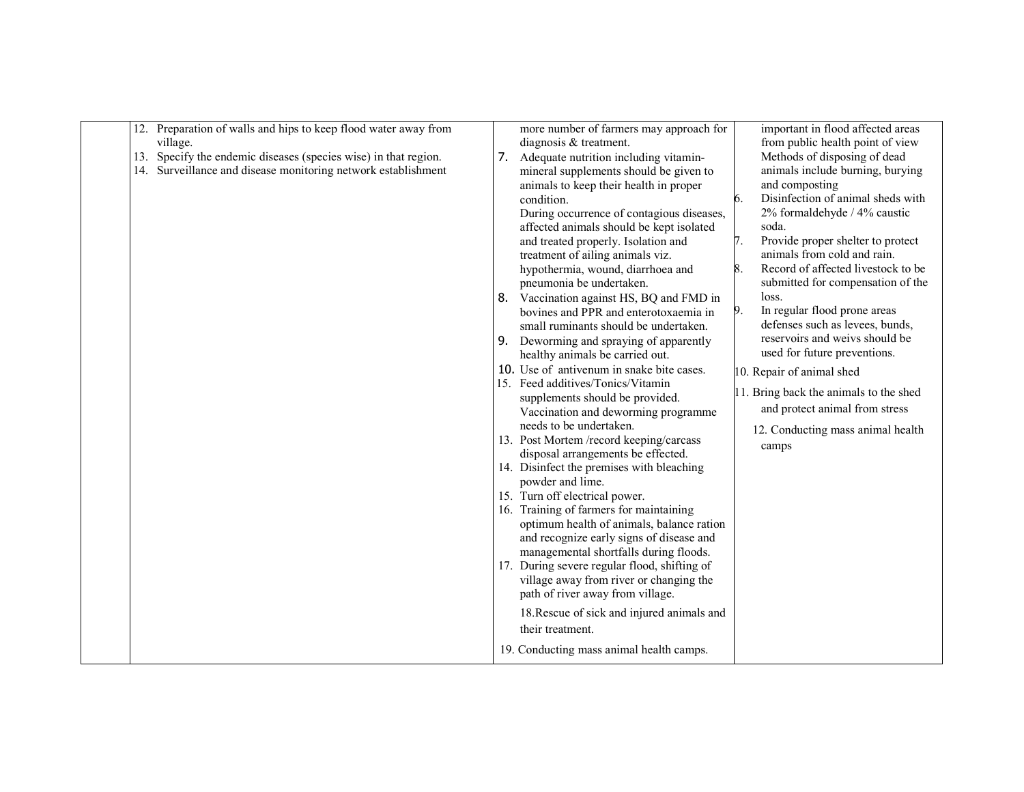| 12. Preparation of walls and hips to keep flood water away from<br>village.<br>13. Specify the endemic diseases (species wise) in that region.<br>14. Surveillance and disease monitoring network establishment | 7.<br>8. | more number of farmers may approach for<br>diagnosis & treatment.<br>Adequate nutrition including vitamin-<br>mineral supplements should be given to<br>animals to keep their health in proper<br>condition.<br>During occurrence of contagious diseases,<br>affected animals should be kept isolated<br>and treated properly. Isolation and<br>treatment of ailing animals viz.<br>hypothermia, wound, diarrhoea and<br>pneumonia be undertaken.<br>Vaccination against HS, BQ and FMD in<br>bovines and PPR and enterotoxaemia in<br>small ruminants should be undertaken.<br>Deworming and spraying of apparently<br>healthy animals be carried out.<br>10. Use of antivenum in snake bite cases.<br>15. Feed additives/Tonics/Vitamin<br>supplements should be provided.<br>Vaccination and deworming programme<br>needs to be undertaken.<br>13. Post Mortem /record keeping/carcass<br>disposal arrangements be effected.<br>14. Disinfect the premises with bleaching<br>powder and lime.<br>15. Turn off electrical power.<br>16. Training of farmers for maintaining<br>optimum health of animals, balance ration<br>and recognize early signs of disease and<br>managemental shortfalls during floods.<br>17. During severe regular flood, shifting of | important in flood affected areas<br>from public health point of view<br>Methods of disposing of dead<br>animals include burning, burying<br>and composting<br>Disinfection of animal sheds with<br>6.<br>2% formaldehyde / 4% caustic<br>soda.<br>7.<br>Provide proper shelter to protect<br>animals from cold and rain.<br>8.<br>Record of affected livestock to be<br>submitted for compensation of the<br>loss.<br>9.<br>In regular flood prone areas<br>defenses such as levees, bunds,<br>reservoirs and weivs should be<br>used for future preventions.<br>10. Repair of animal shed<br>11. Bring back the animals to the shed<br>and protect animal from stress<br>12. Conducting mass animal health<br>camps |
|-----------------------------------------------------------------------------------------------------------------------------------------------------------------------------------------------------------------|----------|------------------------------------------------------------------------------------------------------------------------------------------------------------------------------------------------------------------------------------------------------------------------------------------------------------------------------------------------------------------------------------------------------------------------------------------------------------------------------------------------------------------------------------------------------------------------------------------------------------------------------------------------------------------------------------------------------------------------------------------------------------------------------------------------------------------------------------------------------------------------------------------------------------------------------------------------------------------------------------------------------------------------------------------------------------------------------------------------------------------------------------------------------------------------------------------------------------------------------------------------------------------|-----------------------------------------------------------------------------------------------------------------------------------------------------------------------------------------------------------------------------------------------------------------------------------------------------------------------------------------------------------------------------------------------------------------------------------------------------------------------------------------------------------------------------------------------------------------------------------------------------------------------------------------------------------------------------------------------------------------------|
|                                                                                                                                                                                                                 |          | village away from river or changing the<br>path of river away from village.<br>18. Rescue of sick and injured animals and<br>their treatment.<br>19. Conducting mass animal health camps.                                                                                                                                                                                                                                                                                                                                                                                                                                                                                                                                                                                                                                                                                                                                                                                                                                                                                                                                                                                                                                                                        |                                                                                                                                                                                                                                                                                                                                                                                                                                                                                                                                                                                                                                                                                                                       |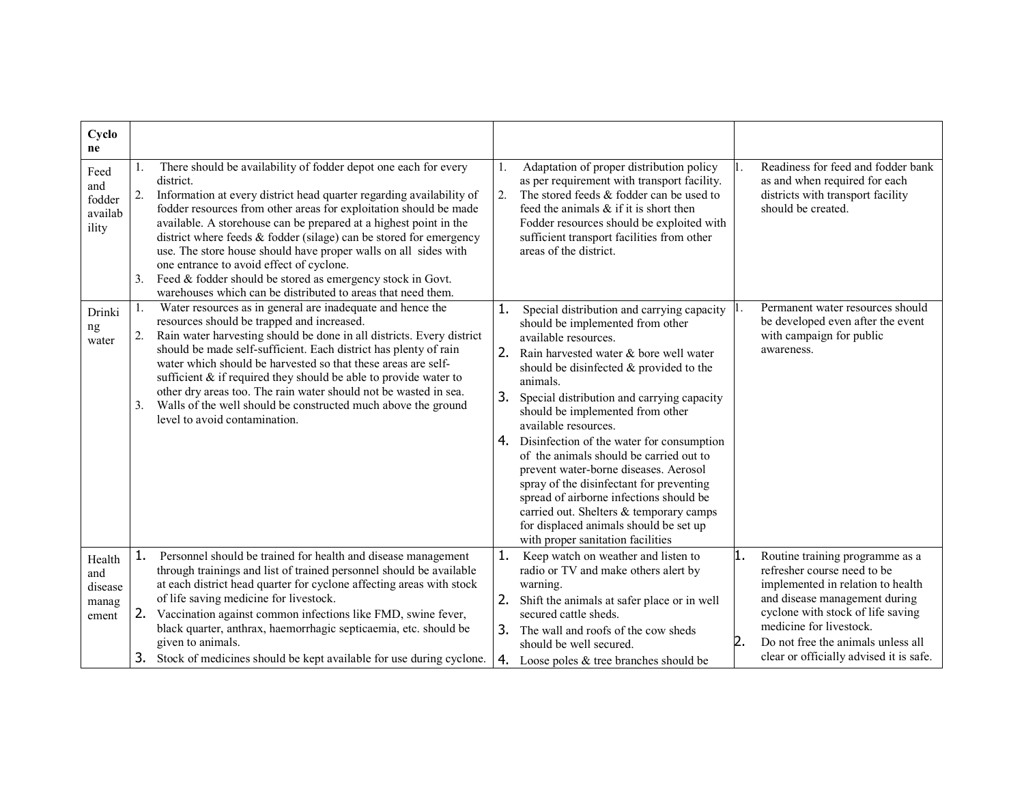| Cyclo<br>ne                                |                                                                                                                                                                                                                                                                                                                                                                                                                                                                                                                                                                                                                               |                                                                                                                                                                                                                                                                                                                                                                                                                                                                                                                                                                                                                                                                                         |                                                                                                                                                                                                                                                                                                   |
|--------------------------------------------|-------------------------------------------------------------------------------------------------------------------------------------------------------------------------------------------------------------------------------------------------------------------------------------------------------------------------------------------------------------------------------------------------------------------------------------------------------------------------------------------------------------------------------------------------------------------------------------------------------------------------------|-----------------------------------------------------------------------------------------------------------------------------------------------------------------------------------------------------------------------------------------------------------------------------------------------------------------------------------------------------------------------------------------------------------------------------------------------------------------------------------------------------------------------------------------------------------------------------------------------------------------------------------------------------------------------------------------|---------------------------------------------------------------------------------------------------------------------------------------------------------------------------------------------------------------------------------------------------------------------------------------------------|
| Feed<br>and<br>fodder<br>availab<br>ility  | There should be availability of fodder depot one each for every<br>district.<br>Information at every district head quarter regarding availability of<br>2.<br>fodder resources from other areas for exploitation should be made<br>available. A storehouse can be prepared at a highest point in the<br>district where feeds & fodder (silage) can be stored for emergency<br>use. The store house should have proper walls on all sides with<br>one entrance to avoid effect of cyclone.<br>Feed & fodder should be stored as emergency stock in Govt.<br>3.<br>warehouses which can be distributed to areas that need them. | Adaptation of proper distribution policy<br>1.<br>as per requirement with transport facility.<br>2.<br>The stored feeds & fodder can be used to<br>feed the animals & if it is short then<br>Fodder resources should be exploited with<br>sufficient transport facilities from other<br>areas of the district.                                                                                                                                                                                                                                                                                                                                                                          | Readiness for feed and fodder bank<br>as and when required for each<br>districts with transport facility<br>should be created.                                                                                                                                                                    |
| Drinki<br>ng<br>water                      | Water resources as in general are inadequate and hence the<br>1.<br>resources should be trapped and increased.<br>Rain water harvesting should be done in all districts. Every district<br>2.<br>should be made self-sufficient. Each district has plenty of rain<br>water which should be harvested so that these areas are self-<br>sufficient $\&$ if required they should be able to provide water to<br>other dry areas too. The rain water should not be wasted in sea.<br>Walls of the well should be constructed much above the ground<br>3.<br>level to avoid contamination.                                         | Special distribution and carrying capacity<br>1.<br>should be implemented from other<br>available resources.<br>2. Rain harvested water & bore well water<br>should be disinfected $&$ provided to the<br>animals.<br>3.<br>Special distribution and carrying capacity<br>should be implemented from other<br>available resources.<br>4. Disinfection of the water for consumption<br>of the animals should be carried out to<br>prevent water-borne diseases. Aerosol<br>spray of the disinfectant for preventing<br>spread of airborne infections should be<br>carried out. Shelters & temporary camps<br>for displaced animals should be set up<br>with proper sanitation facilities | Permanent water resources should<br>be developed even after the event<br>with campaign for public<br>awareness.                                                                                                                                                                                   |
| Health<br>and<br>disease<br>manag<br>ement | Personnel should be trained for health and disease management<br>1.<br>through trainings and list of trained personnel should be available<br>at each district head quarter for cyclone affecting areas with stock<br>of life saving medicine for livestock.<br>2.<br>Vaccination against common infections like FMD, swine fever,<br>black quarter, anthrax, haemorrhagic septicaemia, etc. should be<br>given to animals.<br>3.<br>Stock of medicines should be kept available for use during cyclone.                                                                                                                      | 1.<br>Keep watch on weather and listen to<br>radio or TV and make others alert by<br>warning.<br>2.<br>Shift the animals at safer place or in well<br>secured cattle sheds.<br>3. The wall and roofs of the cow sheds<br>should be well secured.<br>4. Loose poles $&$ tree branches should be                                                                                                                                                                                                                                                                                                                                                                                          | 1.<br>Routine training programme as a<br>refresher course need to be<br>implemented in relation to health<br>and disease management during<br>cyclone with stock of life saving<br>medicine for livestock.<br>2.<br>Do not free the animals unless all<br>clear or officially advised it is safe. |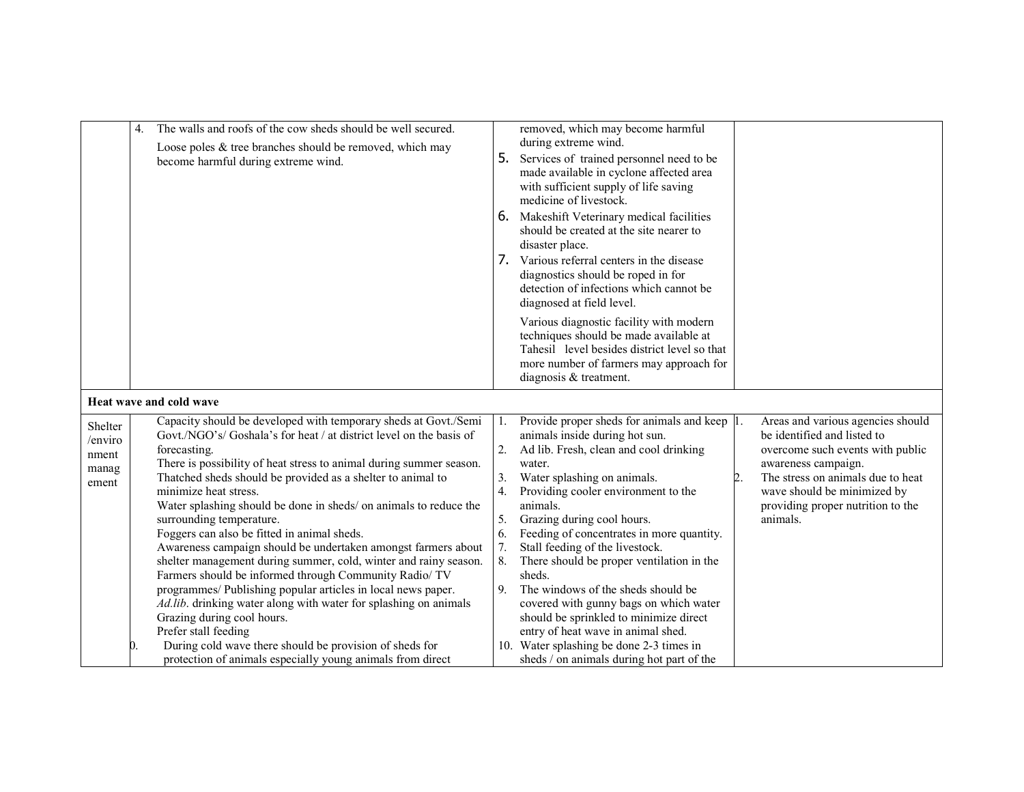|                                               | 4. | The walls and roofs of the cow sheds should be well secured.<br>Loose poles & tree branches should be removed, which may<br>become harmful during extreme wind.                                                                                                                                                                                                                                                                                                                                                                                                                                                                                                                                                                                                                                                                                                                                                           | 5.<br>6.<br>7.                                     | removed, which may become harmful<br>during extreme wind.<br>Services of trained personnel need to be<br>made available in cyclone affected area<br>with sufficient supply of life saving<br>medicine of livestock.<br>Makeshift Veterinary medical facilities<br>should be created at the site nearer to<br>disaster place.<br>Various referral centers in the disease<br>diagnostics should be roped in for                                                                                                                                                                                         |    |                                                                                                                                                                                                                                                  |
|-----------------------------------------------|----|---------------------------------------------------------------------------------------------------------------------------------------------------------------------------------------------------------------------------------------------------------------------------------------------------------------------------------------------------------------------------------------------------------------------------------------------------------------------------------------------------------------------------------------------------------------------------------------------------------------------------------------------------------------------------------------------------------------------------------------------------------------------------------------------------------------------------------------------------------------------------------------------------------------------------|----------------------------------------------------|-------------------------------------------------------------------------------------------------------------------------------------------------------------------------------------------------------------------------------------------------------------------------------------------------------------------------------------------------------------------------------------------------------------------------------------------------------------------------------------------------------------------------------------------------------------------------------------------------------|----|--------------------------------------------------------------------------------------------------------------------------------------------------------------------------------------------------------------------------------------------------|
|                                               |    |                                                                                                                                                                                                                                                                                                                                                                                                                                                                                                                                                                                                                                                                                                                                                                                                                                                                                                                           |                                                    | detection of infections which cannot be<br>diagnosed at field level.<br>Various diagnostic facility with modern<br>techniques should be made available at<br>Tahesil level besides district level so that<br>more number of farmers may approach for<br>diagnosis & treatment.                                                                                                                                                                                                                                                                                                                        |    |                                                                                                                                                                                                                                                  |
|                                               |    | Heat wave and cold wave                                                                                                                                                                                                                                                                                                                                                                                                                                                                                                                                                                                                                                                                                                                                                                                                                                                                                                   |                                                    |                                                                                                                                                                                                                                                                                                                                                                                                                                                                                                                                                                                                       |    |                                                                                                                                                                                                                                                  |
| Shelter<br>/enviro<br>nment<br>manag<br>ement | D. | Capacity should be developed with temporary sheds at Govt./Semi<br>Govt./NGO's/ Goshala's for heat / at district level on the basis of<br>forecasting.<br>There is possibility of heat stress to animal during summer season.<br>Thatched sheds should be provided as a shelter to animal to<br>minimize heat stress.<br>Water splashing should be done in sheds/ on animals to reduce the<br>surrounding temperature.<br>Foggers can also be fitted in animal sheds.<br>Awareness campaign should be undertaken amongst farmers about<br>shelter management during summer, cold, winter and rainy season.<br>Farmers should be informed through Community Radio/ TV<br>programmes/ Publishing popular articles in local news paper.<br>Ad.lib. drinking water along with water for splashing on animals<br>Grazing during cool hours.<br>Prefer stall feeding<br>During cold wave there should be provision of sheds for | 1.<br>2.<br>3.<br>4.<br>5.<br>6.<br>7.<br>8.<br>9. | Provide proper sheds for animals and keep 1.<br>animals inside during hot sun.<br>Ad lib. Fresh, clean and cool drinking<br>water.<br>Water splashing on animals.<br>Providing cooler environment to the<br>animals.<br>Grazing during cool hours.<br>Feeding of concentrates in more quantity.<br>Stall feeding of the livestock.<br>There should be proper ventilation in the<br>sheds.<br>The windows of the sheds should be<br>covered with gunny bags on which water<br>should be sprinkled to minimize direct<br>entry of heat wave in animal shed.<br>10. Water splashing be done 2-3 times in | 2. | Areas and various agencies should<br>be identified and listed to<br>overcome such events with public<br>awareness campaign.<br>The stress on animals due to heat<br>wave should be minimized by<br>providing proper nutrition to the<br>animals. |
|                                               |    | protection of animals especially young animals from direct                                                                                                                                                                                                                                                                                                                                                                                                                                                                                                                                                                                                                                                                                                                                                                                                                                                                |                                                    | sheds / on animals during hot part of the                                                                                                                                                                                                                                                                                                                                                                                                                                                                                                                                                             |    |                                                                                                                                                                                                                                                  |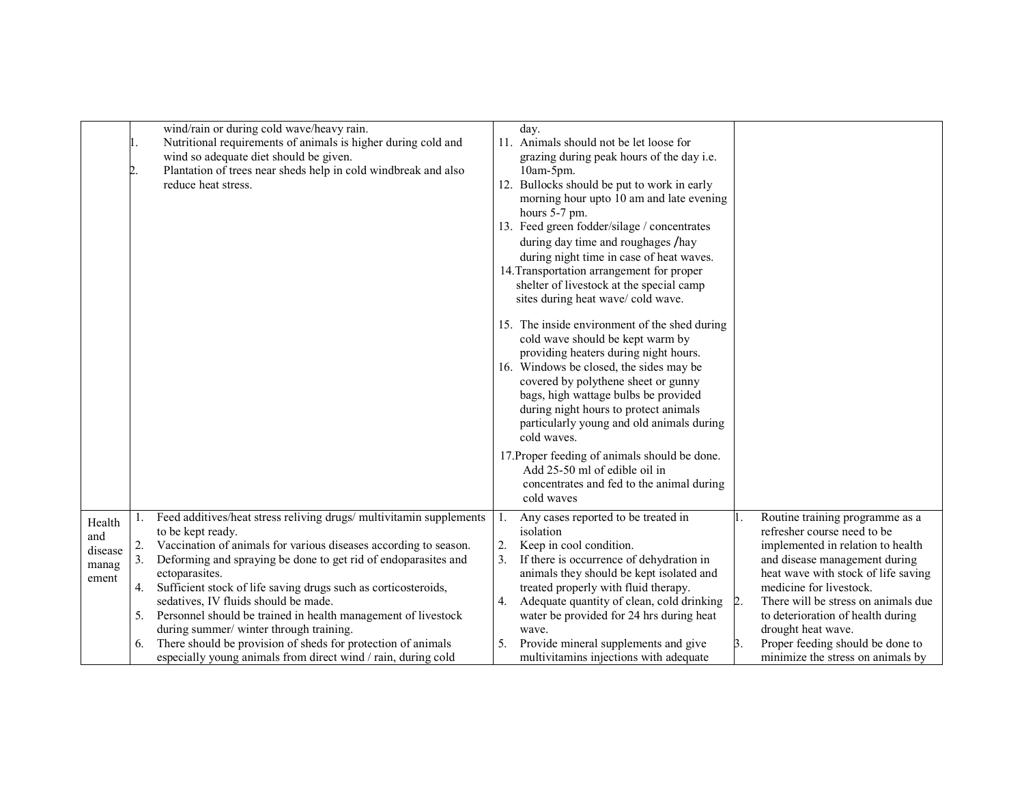|                                            |                            | wind/rain or during cold wave/heavy rain.<br>Nutritional requirements of animals is higher during cold and<br>wind so adequate diet should be given.<br>Plantation of trees near sheds help in cold windbreak and also<br>reduce heat stress.                                                                                                                                                                                                                                                                                                                                                           |                       | day.<br>11. Animals should not be let loose for<br>grazing during peak hours of the day i.e.<br>$10am-5pm.$<br>12. Bullocks should be put to work in early<br>morning hour upto 10 am and late evening<br>hours 5-7 pm.<br>13. Feed green fodder/silage / concentrates<br>during day time and roughages /hay<br>during night time in case of heat waves.<br>14. Transportation arrangement for proper<br>shelter of livestock at the special camp<br>sites during heat wave/ cold wave.<br>15. The inside environment of the shed during<br>cold wave should be kept warm by<br>providing heaters during night hours.<br>16. Windows be closed, the sides may be<br>covered by polythene sheet or gunny<br>bags, high wattage bulbs be provided<br>during night hours to protect animals<br>particularly young and old animals during<br>cold waves. |    |                                                                                                                                                                                                                                                                                                                                                                                   |
|--------------------------------------------|----------------------------|---------------------------------------------------------------------------------------------------------------------------------------------------------------------------------------------------------------------------------------------------------------------------------------------------------------------------------------------------------------------------------------------------------------------------------------------------------------------------------------------------------------------------------------------------------------------------------------------------------|-----------------------|------------------------------------------------------------------------------------------------------------------------------------------------------------------------------------------------------------------------------------------------------------------------------------------------------------------------------------------------------------------------------------------------------------------------------------------------------------------------------------------------------------------------------------------------------------------------------------------------------------------------------------------------------------------------------------------------------------------------------------------------------------------------------------------------------------------------------------------------------|----|-----------------------------------------------------------------------------------------------------------------------------------------------------------------------------------------------------------------------------------------------------------------------------------------------------------------------------------------------------------------------------------|
|                                            |                            |                                                                                                                                                                                                                                                                                                                                                                                                                                                                                                                                                                                                         |                       | 17. Proper feeding of animals should be done.<br>Add 25-50 ml of edible oil in<br>concentrates and fed to the animal during<br>cold waves                                                                                                                                                                                                                                                                                                                                                                                                                                                                                                                                                                                                                                                                                                            |    |                                                                                                                                                                                                                                                                                                                                                                                   |
| Health<br>and<br>disease<br>manag<br>ement | 2.<br>3.<br>4.<br>5.<br>6. | Feed additives/heat stress reliving drugs/ multivitamin supplements<br>to be kept ready.<br>Vaccination of animals for various diseases according to season.<br>Deforming and spraying be done to get rid of endoparasites and<br>ectoparasites.<br>Sufficient stock of life saving drugs such as corticosteroids,<br>sedatives, IV fluids should be made.<br>Personnel should be trained in health management of livestock<br>during summer/ winter through training.<br>There should be provision of sheds for protection of animals<br>especially young animals from direct wind / rain, during cold | -1.<br>2.<br>3.<br>4. | Any cases reported to be treated in<br>isolation<br>Keep in cool condition.<br>If there is occurrence of dehydration in<br>animals they should be kept isolated and<br>treated properly with fluid therapy.<br>Adequate quantity of clean, cold drinking<br>water be provided for 24 hrs during heat<br>wave.<br>Provide mineral supplements and give<br>multivitamins injections with adequate                                                                                                                                                                                                                                                                                                                                                                                                                                                      | 2. | Routine training programme as a<br>refresher course need to be<br>implemented in relation to health<br>and disease management during<br>heat wave with stock of life saving<br>medicine for livestock.<br>There will be stress on animals due<br>to deterioration of health during<br>drought heat wave.<br>Proper feeding should be done to<br>minimize the stress on animals by |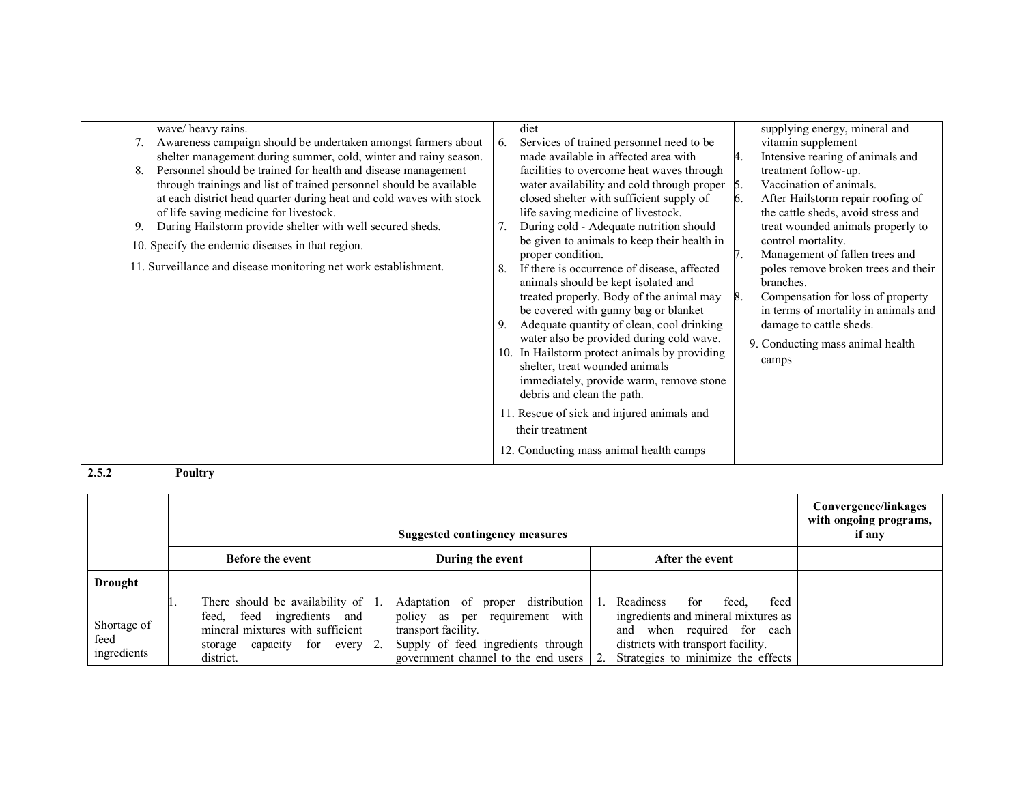| wave/heavy rains.<br>Awareness campaign should be undertaken amongst farmers about<br>shelter management during summer, cold, winter and rainy season.<br>Personnel should be trained for health and disease management<br>8.<br>through trainings and list of trained personnel should be available<br>at each district head quarter during heat and cold waves with stock<br>of life saving medicine for livestock.<br>During Hailstorm provide shelter with well secured sheds.<br>9.<br>10. Specify the endemic diseases in that region.<br>11. Surveillance and disease monitoring net work establishment. | diet<br>supplying energy, mineral and<br>Services of trained personnel need to be.<br>vitamin supplement<br>6.<br>made available in affected area with<br>Intensive rearing of animals and<br>4.<br>treatment follow-up.<br>facilities to overcome heat waves through<br>Vaccination of animals.<br>water availability and cold through proper 5.<br>closed shelter with sufficient supply of<br>After Hailstorm repair roofing of<br>6.<br>life saving medicine of livestock.<br>the cattle sheds, avoid stress and<br>During cold - Adequate nutrition should<br>treat wounded animals properly to<br>7.<br>be given to animals to keep their health in<br>control mortality.<br>Management of fallen trees and<br>proper condition.<br>If there is occurrence of disease, affected<br>poles remove broken trees and their<br>8.<br>animals should be kept isolated and<br>branches.<br>treated properly. Body of the animal may<br>Compensation for loss of property<br>8.<br>be covered with gunny bag or blanket<br>in terms of mortality in animals and<br>Adequate quantity of clean, cool drinking<br>damage to cattle sheds.<br>9.<br>water also be provided during cold wave.<br>9. Conducting mass animal health<br>In Hailstorm protect animals by providing<br>10.<br>camps<br>shelter, treat wounded animals<br>immediately, provide warm, remove stone<br>debris and clean the path.<br>11. Rescue of sick and injured animals and<br>their treatment<br>12. Conducting mass animal health camps |
|-----------------------------------------------------------------------------------------------------------------------------------------------------------------------------------------------------------------------------------------------------------------------------------------------------------------------------------------------------------------------------------------------------------------------------------------------------------------------------------------------------------------------------------------------------------------------------------------------------------------|-----------------------------------------------------------------------------------------------------------------------------------------------------------------------------------------------------------------------------------------------------------------------------------------------------------------------------------------------------------------------------------------------------------------------------------------------------------------------------------------------------------------------------------------------------------------------------------------------------------------------------------------------------------------------------------------------------------------------------------------------------------------------------------------------------------------------------------------------------------------------------------------------------------------------------------------------------------------------------------------------------------------------------------------------------------------------------------------------------------------------------------------------------------------------------------------------------------------------------------------------------------------------------------------------------------------------------------------------------------------------------------------------------------------------------------------------------------------------------------------------------------------|
|-----------------------------------------------------------------------------------------------------------------------------------------------------------------------------------------------------------------------------------------------------------------------------------------------------------------------------------------------------------------------------------------------------------------------------------------------------------------------------------------------------------------------------------------------------------------------------------------------------------------|-----------------------------------------------------------------------------------------------------------------------------------------------------------------------------------------------------------------------------------------------------------------------------------------------------------------------------------------------------------------------------------------------------------------------------------------------------------------------------------------------------------------------------------------------------------------------------------------------------------------------------------------------------------------------------------------------------------------------------------------------------------------------------------------------------------------------------------------------------------------------------------------------------------------------------------------------------------------------------------------------------------------------------------------------------------------------------------------------------------------------------------------------------------------------------------------------------------------------------------------------------------------------------------------------------------------------------------------------------------------------------------------------------------------------------------------------------------------------------------------------------------------|

2.5.2 Poultry

|                                    |                                                                                                                                                          | Convergence/linkages<br>with ongoing programs,<br>if any                                                                                                                                          |                                                                                                                                                                                       |  |
|------------------------------------|----------------------------------------------------------------------------------------------------------------------------------------------------------|---------------------------------------------------------------------------------------------------------------------------------------------------------------------------------------------------|---------------------------------------------------------------------------------------------------------------------------------------------------------------------------------------|--|
|                                    | <b>Before the event</b>                                                                                                                                  | During the event                                                                                                                                                                                  | After the event                                                                                                                                                                       |  |
| <b>Drought</b>                     |                                                                                                                                                          |                                                                                                                                                                                                   |                                                                                                                                                                                       |  |
| Shortage of<br>feed<br>ingredients | There should be availability of<br>ingredients and<br>feed<br>feed.<br>mineral mixtures with sufficient<br>for<br>storage capacity<br>every<br>district. | distribution<br>Adaptation of<br>proper<br>requirement with<br>policy as<br>per<br>transport facility.<br>Supply of feed ingredients through<br>government channel to the end users<br>$\cdot$ 2. | feed<br>Readiness<br>feed.<br>tor<br>ingredients and mineral mixtures as<br>when required for each<br>and<br>districts with transport facility.<br>Strategies to minimize the effects |  |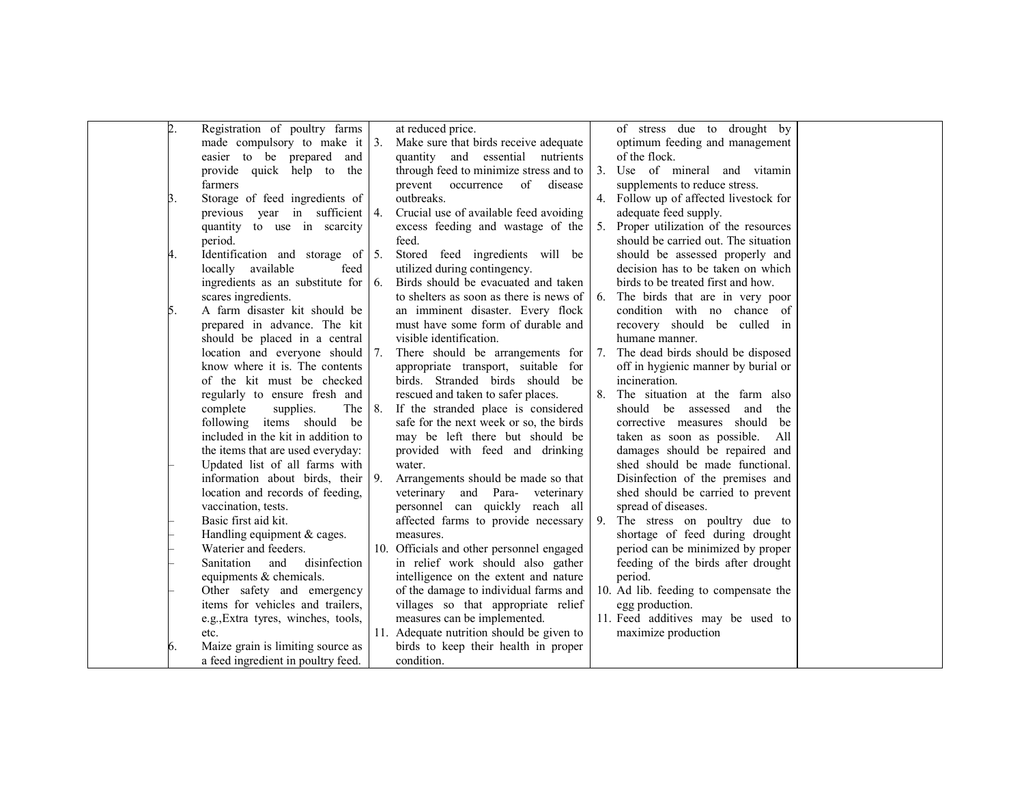| $\overline{2}$ . | Registration of poultry farms             |    | at reduced price.                         |                | of stress due to drought by           |  |
|------------------|-------------------------------------------|----|-------------------------------------------|----------------|---------------------------------------|--|
|                  | made compulsory to make it $ 3$ .         |    | Make sure that birds receive adequate     |                | optimum feeding and management        |  |
|                  | easier to be prepared and                 |    | quantity and essential nutrients          |                | of the flock.                         |  |
|                  | provide quick help to the                 |    | through feed to minimize stress and to    | 3 <sub>1</sub> | Use of mineral and vitamin            |  |
|                  | farmers                                   |    | prevent occurrence of disease             |                | supplements to reduce stress.         |  |
| Β.               | Storage of feed ingredients of            |    | outbreaks.                                | 4.             | Follow up of affected livestock for   |  |
|                  | previous year in sufficient 4.            |    | Crucial use of available feed avoiding    |                | adequate feed supply.                 |  |
|                  | quantity to use in scarcity               |    | excess feeding and wastage of the         | 5.             | Proper utilization of the resources   |  |
|                  | period.                                   |    | feed.                                     |                | should be carried out. The situation  |  |
| 4.               | Identification and storage of $\vert 5$ . |    | Stored feed ingredients will be           |                | should be assessed properly and       |  |
|                  | locally available<br>feed                 |    | utilized during contingency.              |                | decision has to be taken on which     |  |
|                  | ingredients as an substitute for          | 6. | Birds should be evacuated and taken       |                | birds to be treated first and how.    |  |
|                  | scares ingredients.                       |    | to shelters as soon as there is news of   | 6.             | The birds that are in very poor       |  |
| 5.               | A farm disaster kit should be             |    | an imminent disaster. Every flock         |                | condition with no chance of           |  |
|                  | prepared in advance. The kit              |    | must have some form of durable and        |                | recovery should be culled in          |  |
|                  | should be placed in a central             |    | visible identification.                   |                | humane manner.                        |  |
|                  | location and everyone should              | 7. | There should be arrangements for          | 7.             | The dead birds should be disposed     |  |
|                  | know where it is. The contents            |    | appropriate transport, suitable for       |                | off in hygienic manner by burial or   |  |
|                  | of the kit must be checked                |    | birds. Stranded birds should be           |                | incineration.                         |  |
|                  | regularly to ensure fresh and             |    | rescued and taken to safer places.        | 8.             | The situation at the farm also        |  |
|                  | complete<br>supplies.<br>The 1            | 8. | If the stranded place is considered       |                | should be assessed and the            |  |
|                  | following items should be                 |    | safe for the next week or so, the birds   |                | corrective measures should be         |  |
|                  | included in the kit in addition to        |    | may be left there but should be           |                | taken as soon as possible.<br>All     |  |
|                  | the items that are used everyday:         |    | provided with feed and drinking           |                | damages should be repaired and        |  |
|                  | Updated list of all farms with            |    | water.                                    |                | shed should be made functional.       |  |
|                  | information about birds, their            | 9. | Arrangements should be made so that       |                | Disinfection of the premises and      |  |
|                  | location and records of feeding,          |    | veterinary and Para- veterinary           |                | shed should be carried to prevent     |  |
|                  | vaccination, tests.                       |    | personnel can quickly reach all           |                | spread of diseases.                   |  |
|                  | Basic first aid kit.                      |    | affected farms to provide necessary       | 9.             | The stress on poultry due to          |  |
|                  | Handling equipment $&$ cages.             |    | measures.                                 |                | shortage of feed during drought       |  |
|                  | Waterier and feeders.                     |    | 10. Officials and other personnel engaged |                | period can be minimized by proper     |  |
|                  | disinfection<br>Sanitation<br>and         |    | in relief work should also gather         |                | feeding of the birds after drought    |  |
|                  | equipments & chemicals.                   |    | intelligence on the extent and nature     |                | period.                               |  |
|                  | Other safety and emergency                |    | of the damage to individual farms and     |                | 10. Ad lib. feeding to compensate the |  |
|                  | items for vehicles and trailers,          |    | villages so that appropriate relief       |                | egg production.                       |  |
|                  | e.g., Extra tyres, winches, tools,        |    | measures can be implemented.              |                | 11. Feed additives may be used to     |  |
|                  | etc.                                      |    | 11. Adequate nutrition should be given to |                | maximize production                   |  |
| 6.               | Maize grain is limiting source as         |    | birds to keep their health in proper      |                |                                       |  |
|                  | a feed ingredient in poultry feed.        |    | condition.                                |                |                                       |  |
|                  |                                           |    |                                           |                |                                       |  |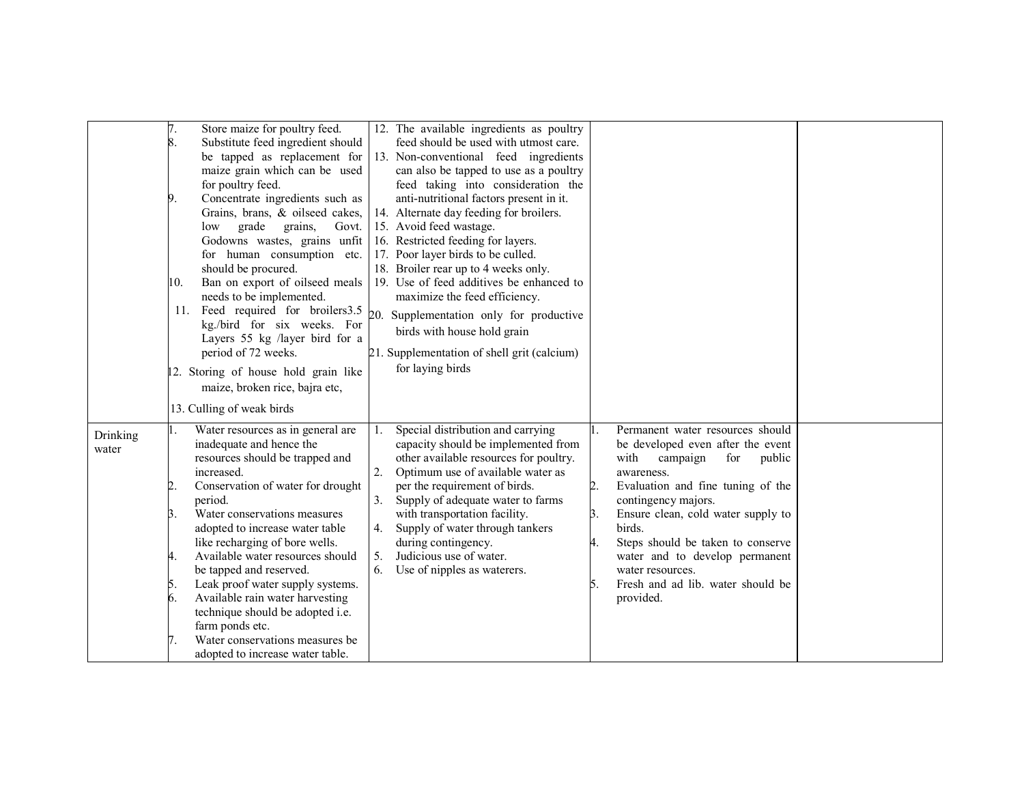|                   | Store maize for poultry feed.<br>8.<br>Substitute feed ingredient should<br>be tapped as replacement for<br>maize grain which can be used<br>for poultry feed.<br>Concentrate ingredients such as<br>9.<br>Grains, brans, & oilseed cakes,<br>grade<br>grains,<br>Govt.<br>low<br>Godowns wastes, grains unfit<br>for human consumption etc.<br>should be procured.<br>Ban on export of oilseed meals<br>10.<br>needs to be implemented.<br>11. Feed required for broilers 3.5 $_{20}$<br>kg./bird for six weeks. For<br>Layers 55 kg /layer bird for a<br>period of 72 weeks.<br>12. Storing of house hold grain like<br>maize, broken rice, bajra etc, | 12. The available ingredients as poultry<br>feed should be used with utmost care.<br>13. Non-conventional feed ingredients<br>can also be tapped to use as a poultry<br>feed taking into consideration the<br>anti-nutritional factors present in it.<br>14. Alternate day feeding for broilers.<br>15. Avoid feed wastage.<br>16. Restricted feeding for layers.<br>17. Poor layer birds to be culled.<br>18. Broiler rear up to 4 weeks only.<br>19. Use of feed additives be enhanced to<br>maximize the feed efficiency.<br>Supplementation only for productive<br>birds with house hold grain<br>21. Supplementation of shell grit (calcium)<br>for laying birds                                                                                                                                                         |  |
|-------------------|----------------------------------------------------------------------------------------------------------------------------------------------------------------------------------------------------------------------------------------------------------------------------------------------------------------------------------------------------------------------------------------------------------------------------------------------------------------------------------------------------------------------------------------------------------------------------------------------------------------------------------------------------------|-------------------------------------------------------------------------------------------------------------------------------------------------------------------------------------------------------------------------------------------------------------------------------------------------------------------------------------------------------------------------------------------------------------------------------------------------------------------------------------------------------------------------------------------------------------------------------------------------------------------------------------------------------------------------------------------------------------------------------------------------------------------------------------------------------------------------------|--|
|                   | 13. Culling of weak birds                                                                                                                                                                                                                                                                                                                                                                                                                                                                                                                                                                                                                                |                                                                                                                                                                                                                                                                                                                                                                                                                                                                                                                                                                                                                                                                                                                                                                                                                               |  |
| Drinking<br>water | Water resources as in general are<br>inadequate and hence the<br>resources should be trapped and<br>increased.<br>Conservation of water for drought<br>2.<br>period.<br>Water conservations measures<br>3.<br>adopted to increase water table<br>like recharging of bore wells.<br>Available water resources should<br>4.<br>be tapped and reserved.<br>Leak proof water supply systems.<br>5.<br>6.<br>Available rain water harvesting<br>technique should be adopted i.e.<br>farm ponds etc.<br>Water conservations measures be<br>7.<br>adopted to increase water table.                                                                              | Special distribution and carrying<br>Permanent water resources should<br>1.<br>capacity should be implemented from<br>be developed even after the event<br>other available resources for poultry.<br>with<br>campaign<br>for<br>public<br>2.<br>Optimum use of available water as<br>awareness.<br>per the requirement of birds.<br>2.<br>Evaluation and fine tuning of the<br>Supply of adequate water to farms<br>contingency majors.<br>with transportation facility.<br>B.<br>Ensure clean, cold water supply to<br>Supply of water through tankers<br>4.<br>birds.<br>during contingency.<br>Steps should be taken to conserve<br>4.<br>5.<br>Judicious use of water.<br>water and to develop permanent<br>Use of nipples as waterers.<br>6.<br>water resources.<br>Fresh and ad lib. water should be<br>5.<br>provided. |  |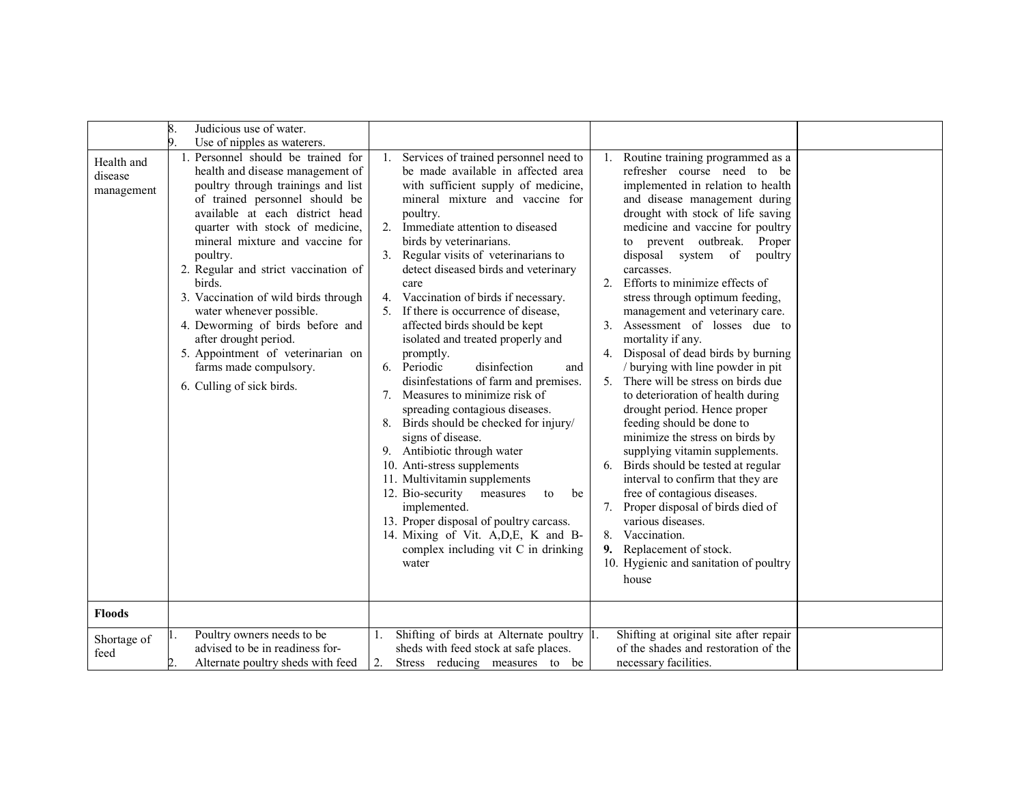|                                     | 8.<br>Judicious use of water.<br>9.                                                                                                                                                                                                                                                                                                                                                                                                                                                                                                                                               |                                                                                                                                                                                                                                                                                                                                                                                                                                                                                                                                                                                                                                                                                                                                                                                                                                                                                                                                                                                                                                                            |                                                                                                                                                                                                                                                                                                                                                                                                                                                                                                                                                                                                                                                                                                                                                                                                                                                                                                                                                                                                                                       |  |
|-------------------------------------|-----------------------------------------------------------------------------------------------------------------------------------------------------------------------------------------------------------------------------------------------------------------------------------------------------------------------------------------------------------------------------------------------------------------------------------------------------------------------------------------------------------------------------------------------------------------------------------|------------------------------------------------------------------------------------------------------------------------------------------------------------------------------------------------------------------------------------------------------------------------------------------------------------------------------------------------------------------------------------------------------------------------------------------------------------------------------------------------------------------------------------------------------------------------------------------------------------------------------------------------------------------------------------------------------------------------------------------------------------------------------------------------------------------------------------------------------------------------------------------------------------------------------------------------------------------------------------------------------------------------------------------------------------|---------------------------------------------------------------------------------------------------------------------------------------------------------------------------------------------------------------------------------------------------------------------------------------------------------------------------------------------------------------------------------------------------------------------------------------------------------------------------------------------------------------------------------------------------------------------------------------------------------------------------------------------------------------------------------------------------------------------------------------------------------------------------------------------------------------------------------------------------------------------------------------------------------------------------------------------------------------------------------------------------------------------------------------|--|
| Health and<br>disease<br>management | Use of nipples as waterers.<br>1. Personnel should be trained for<br>health and disease management of<br>poultry through trainings and list<br>of trained personnel should be<br>available at each district head<br>quarter with stock of medicine,<br>mineral mixture and vaccine for<br>poultry.<br>2. Regular and strict vaccination of<br>birds.<br>3. Vaccination of wild birds through<br>water whenever possible.<br>4. Deworming of birds before and<br>after drought period.<br>5. Appointment of veterinarian on<br>farms made compulsory.<br>6. Culling of sick birds. | Services of trained personnel need to<br>1.<br>be made available in affected area<br>with sufficient supply of medicine,<br>mineral mixture and vaccine for<br>poultry.<br>2. Immediate attention to diseased<br>birds by veterinarians.<br>3. Regular visits of veterinarians to<br>detect diseased birds and veterinary<br>care<br>4. Vaccination of birds if necessary.<br>5. If there is occurrence of disease,<br>affected birds should be kept<br>isolated and treated properly and<br>promptly.<br>disinfection<br>6. Periodic<br>and<br>disinfestations of farm and premises.<br>Measures to minimize risk of<br>$7_{\scriptscriptstyle{\ddots}}$<br>spreading contagious diseases.<br>Birds should be checked for injury/<br>8.<br>signs of disease.<br>9. Antibiotic through water<br>10. Anti-stress supplements<br>11. Multivitamin supplements<br>12. Bio-security<br>measures<br>to<br>be<br>implemented.<br>13. Proper disposal of poultry carcass.<br>14. Mixing of Vit. A, D, E, K and B-<br>complex including vit C in drinking<br>water | Routine training programmed as a<br>refresher course need to be<br>implemented in relation to health<br>and disease management during<br>drought with stock of life saving<br>medicine and vaccine for poultry<br>to prevent outbreak. Proper<br>disposal system of<br>poultry<br>carcasses.<br>2. Efforts to minimize effects of<br>stress through optimum feeding,<br>management and veterinary care.<br>3. Assessment of losses due to<br>mortality if any.<br>4. Disposal of dead birds by burning<br>/ burying with line powder in pit<br>5. There will be stress on birds due<br>to deterioration of health during<br>drought period. Hence proper<br>feeding should be done to<br>minimize the stress on birds by<br>supplying vitamin supplements.<br>Birds should be tested at regular<br>interval to confirm that they are<br>free of contagious diseases.<br>7. Proper disposal of birds died of<br>various diseases.<br>8. Vaccination.<br>Replacement of stock.<br>9.<br>10. Hygienic and sanitation of poultry<br>house |  |
| <b>Floods</b>                       |                                                                                                                                                                                                                                                                                                                                                                                                                                                                                                                                                                                   |                                                                                                                                                                                                                                                                                                                                                                                                                                                                                                                                                                                                                                                                                                                                                                                                                                                                                                                                                                                                                                                            |                                                                                                                                                                                                                                                                                                                                                                                                                                                                                                                                                                                                                                                                                                                                                                                                                                                                                                                                                                                                                                       |  |
| Shortage of<br>feed                 | Poultry owners needs to be<br>advised to be in readiness for-<br>Alternate poultry sheds with feed                                                                                                                                                                                                                                                                                                                                                                                                                                                                                | Shifting of birds at Alternate poultry 1.<br>sheds with feed stock at safe places.<br>Stress reducing measures to be<br>2.                                                                                                                                                                                                                                                                                                                                                                                                                                                                                                                                                                                                                                                                                                                                                                                                                                                                                                                                 | Shifting at original site after repair<br>of the shades and restoration of the<br>necessary facilities.                                                                                                                                                                                                                                                                                                                                                                                                                                                                                                                                                                                                                                                                                                                                                                                                                                                                                                                               |  |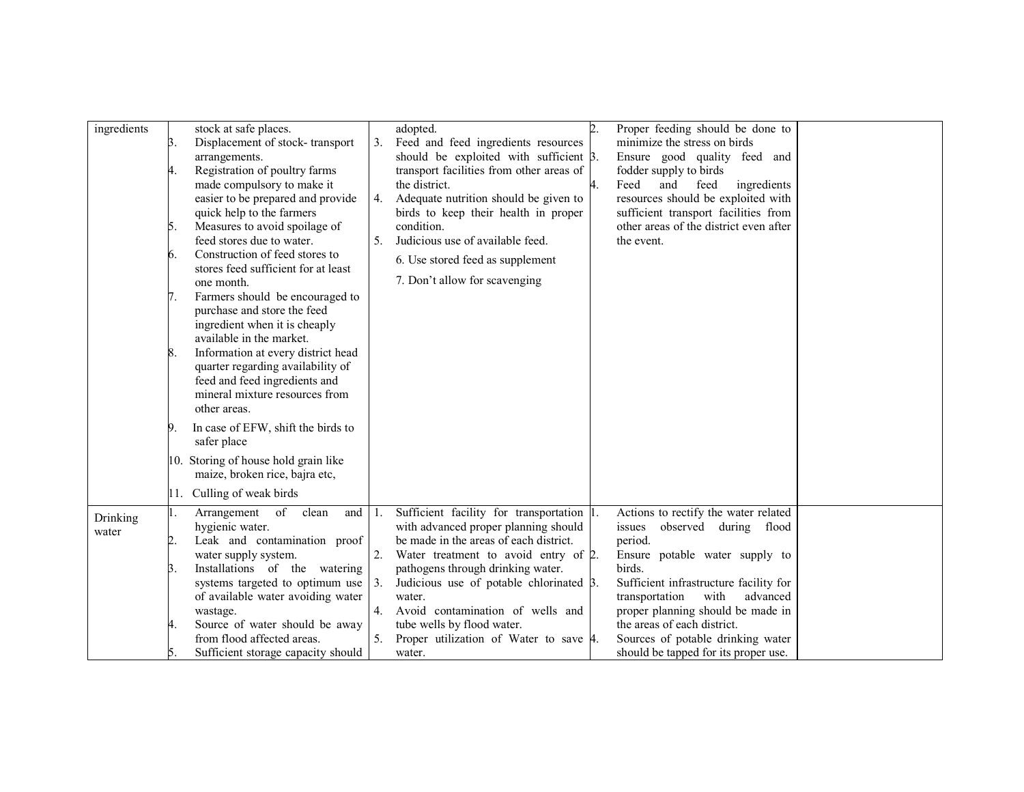| ingredients | Β. | stock at safe places.<br>Displacement of stock-transport               | 3.  | adopted.<br>Feed and feed ingredients resources                                           | $\overline{2}$ . | Proper feeding should be done to<br>minimize the stress on birds           |  |
|-------------|----|------------------------------------------------------------------------|-----|-------------------------------------------------------------------------------------------|------------------|----------------------------------------------------------------------------|--|
|             |    | arrangements.<br>Registration of poultry farms                         |     | should be exploited with sufficient $\beta$ .<br>transport facilities from other areas of |                  | Ensure good quality feed and<br>fodder supply to birds                     |  |
|             |    | made compulsory to make it                                             |     | the district.                                                                             | 4.               | Feed<br>ingredients<br>and<br>feed                                         |  |
|             |    | easier to be prepared and provide<br>quick help to the farmers         | 4.  | Adequate nutrition should be given to<br>birds to keep their health in proper             |                  | resources should be exploited with<br>sufficient transport facilities from |  |
|             | 5. | Measures to avoid spoilage of                                          |     | condition.                                                                                |                  | other areas of the district even after                                     |  |
|             |    | feed stores due to water.                                              | 5.  | Judicious use of available feed.                                                          |                  | the event.                                                                 |  |
|             | 6. | Construction of feed stores to<br>stores feed sufficient for at least  |     | 6. Use stored feed as supplement                                                          |                  |                                                                            |  |
|             |    | one month.                                                             |     | 7. Don't allow for scavenging                                                             |                  |                                                                            |  |
|             | 7. | Farmers should be encouraged to                                        |     |                                                                                           |                  |                                                                            |  |
|             |    | purchase and store the feed<br>ingredient when it is cheaply           |     |                                                                                           |                  |                                                                            |  |
|             |    | available in the market.                                               |     |                                                                                           |                  |                                                                            |  |
|             | 8. | Information at every district head                                     |     |                                                                                           |                  |                                                                            |  |
|             |    | quarter regarding availability of<br>feed and feed ingredients and     |     |                                                                                           |                  |                                                                            |  |
|             |    | mineral mixture resources from                                         |     |                                                                                           |                  |                                                                            |  |
|             |    | other areas.                                                           |     |                                                                                           |                  |                                                                            |  |
|             | 9. | In case of EFW, shift the birds to<br>safer place                      |     |                                                                                           |                  |                                                                            |  |
|             |    | 10. Storing of house hold grain like<br>maize, broken rice, bajra etc, |     |                                                                                           |                  |                                                                            |  |
|             |    | 11. Culling of weak birds                                              |     |                                                                                           |                  |                                                                            |  |
| Drinking    |    | Arrangement<br>of<br>clean<br>and                                      | -1. | Sufficient facility for transportation 1.                                                 |                  | Actions to rectify the water related                                       |  |
| water       | 2. | hygienic water.<br>Leak and contamination proof                        |     | with advanced proper planning should<br>be made in the areas of each district.            |                  | issues<br>observed during flood<br>period.                                 |  |
|             |    | water supply system.                                                   |     | Water treatment to avoid entry of 2.                                                      |                  | Ensure potable water supply to                                             |  |
|             | Β. | Installations of the watering                                          |     | pathogens through drinking water.                                                         |                  | birds.                                                                     |  |
|             |    | systems targeted to optimum use                                        |     | Judicious use of potable chlorinated 3.                                                   |                  | Sufficient infrastructure facility for                                     |  |
|             |    | of available water avoiding water                                      |     | water.                                                                                    |                  | transportation<br>with<br>advanced                                         |  |
|             | 4. | wastage.<br>Source of water should be away                             |     | 4. Avoid contamination of wells and<br>tube wells by flood water.                         |                  | proper planning should be made in<br>the areas of each district.           |  |
|             |    | from flood affected areas.                                             | 5.  | Proper utilization of Water to save 4.                                                    |                  | Sources of potable drinking water                                          |  |
|             |    | Sufficient storage capacity should                                     |     | water.                                                                                    |                  | should be tapped for its proper use.                                       |  |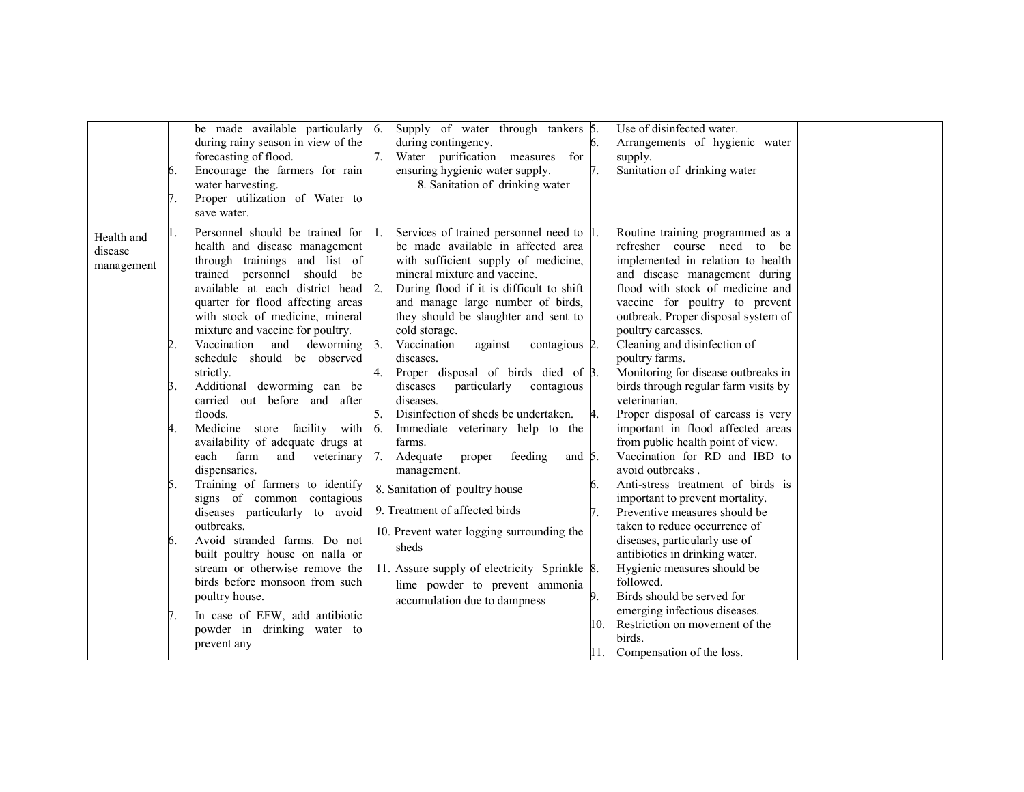|                                     | be made available particularly $\vert 6$ .<br>during rainy season in view of the<br>forecasting of flood.<br>Encourage the farmers for rain<br>6.<br>water harvesting.<br>Proper utilization of Water to<br>save water.                                                                                                                                                                                                                                                                                                                                                                                                                                                                                                                                                                                                                                                                                                                                                    | Supply of water through tankers 5.<br>during contingency.<br>Water purification measures for<br>ensuring hygienic water supply.<br>8. Sanitation of drinking water                                                                                                                                                                                                                                                                                                                                                                                                                                                                                                                                                                                                                                                                                                                                             | Use of disinfected water.<br>Arrangements of hygienic water<br>6.<br>supply.<br>Sanitation of drinking water                                                                                                                                                                                                                                                                                                                                                                                                                                                                                                                                                                                                                                                                                                                                                                                                                                                                                                            |
|-------------------------------------|----------------------------------------------------------------------------------------------------------------------------------------------------------------------------------------------------------------------------------------------------------------------------------------------------------------------------------------------------------------------------------------------------------------------------------------------------------------------------------------------------------------------------------------------------------------------------------------------------------------------------------------------------------------------------------------------------------------------------------------------------------------------------------------------------------------------------------------------------------------------------------------------------------------------------------------------------------------------------|----------------------------------------------------------------------------------------------------------------------------------------------------------------------------------------------------------------------------------------------------------------------------------------------------------------------------------------------------------------------------------------------------------------------------------------------------------------------------------------------------------------------------------------------------------------------------------------------------------------------------------------------------------------------------------------------------------------------------------------------------------------------------------------------------------------------------------------------------------------------------------------------------------------|-------------------------------------------------------------------------------------------------------------------------------------------------------------------------------------------------------------------------------------------------------------------------------------------------------------------------------------------------------------------------------------------------------------------------------------------------------------------------------------------------------------------------------------------------------------------------------------------------------------------------------------------------------------------------------------------------------------------------------------------------------------------------------------------------------------------------------------------------------------------------------------------------------------------------------------------------------------------------------------------------------------------------|
| Health and<br>disease<br>management | Personnel should be trained for 1.<br>health and disease management<br>through trainings and list of<br>trained personnel should be<br>available at each district head<br>quarter for flood affecting areas<br>with stock of medicine, mineral<br>mixture and vaccine for poultry.<br>Vaccination<br>deworming<br>$\overline{2}$<br>and<br>schedule should be observed<br>strictly.<br>Additional deworming can be<br>Β.<br>carried out before and after<br>floods.<br>4.<br>Medicine store facility with<br>availability of adequate drugs at<br>farm<br>and<br>veterinary<br>each<br>dispensaries.<br>Training of farmers to identify<br>5.<br>signs of common contagious<br>diseases particularly to avoid<br>outbreaks.<br>Avoid stranded farms. Do not<br>6.<br>built poultry house on nalla or<br>stream or otherwise remove the<br>birds before monsoon from such<br>poultry house.<br>In case of EFW, add antibiotic<br>powder in drinking water to<br>prevent any | Services of trained personnel need to 1.<br>be made available in affected area<br>with sufficient supply of medicine,<br>mineral mixture and vaccine.<br> 2.<br>During flood if it is difficult to shift<br>and manage large number of birds,<br>they should be slaughter and sent to<br>cold storage.<br>$\overline{3}$ .<br>Vaccination<br>against<br>contagious 2.<br>diseases.<br>Proper disposal of birds died of $\beta$ .<br>4.<br>particularly<br>diseases<br>contagious<br>diseases.<br>5.<br>Disinfection of sheds be undertaken.<br>6.<br>Immediate veterinary help to the<br>farms.<br>7.<br>Adequate<br>proper<br>feeding<br>and $5$ .<br>management.<br>8. Sanitation of poultry house<br>9. Treatment of affected birds<br>10. Prevent water logging surrounding the<br>sheds<br>11. Assure supply of electricity Sprinkle 8.<br>lime powder to prevent ammonia<br>accumulation due to dampness | Routine training programmed as a<br>refresher course need to be<br>implemented in relation to health<br>and disease management during<br>flood with stock of medicine and<br>vaccine for poultry to prevent<br>outbreak. Proper disposal system of<br>poultry carcasses.<br>Cleaning and disinfection of<br>poultry farms.<br>Monitoring for disease outbreaks in<br>birds through regular farm visits by<br>veterinarian.<br>Proper disposal of carcass is very<br>4.<br>important in flood affected areas<br>from public health point of view.<br>Vaccination for RD and IBD to<br>avoid outbreaks.<br>Anti-stress treatment of birds is<br>important to prevent mortality.<br>Preventive measures should be<br>taken to reduce occurrence of<br>diseases, particularly use of<br>antibiotics in drinking water.<br>Hygienic measures should be<br>followed.<br>Birds should be served for<br>9.<br>emerging infectious diseases.<br>Restriction on movement of the<br>10.<br>birds.<br>11. Compensation of the loss. |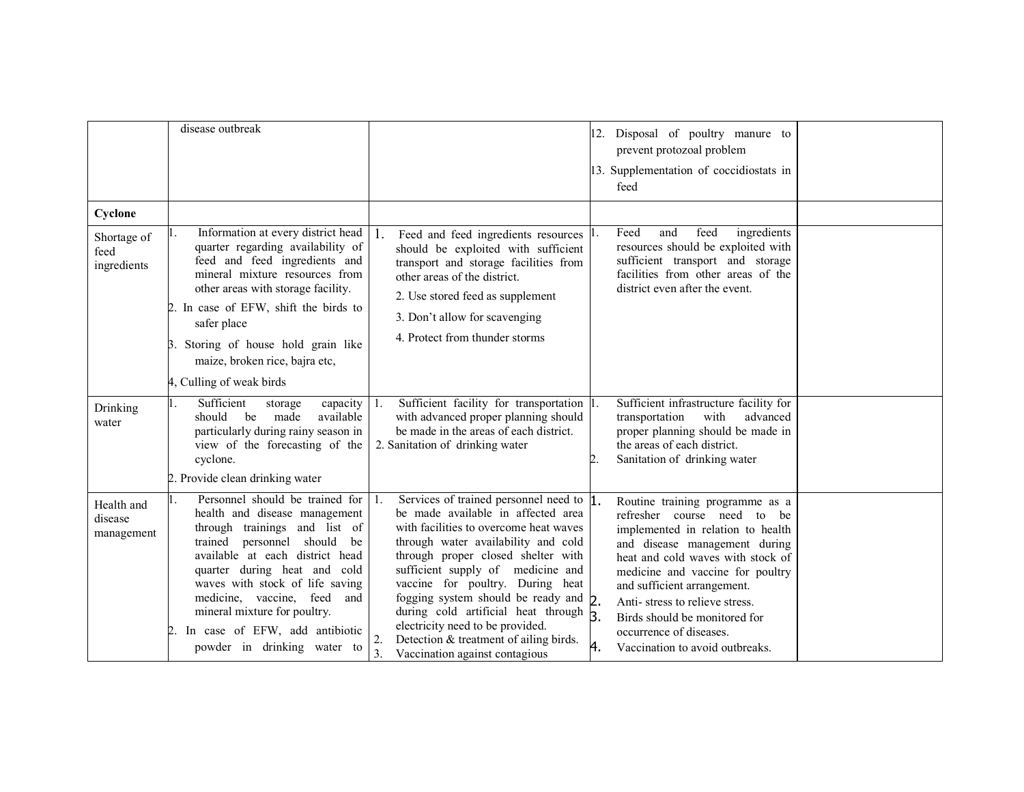|                                     | disease outbreak                                                                                                                                                                                                                                                                                                                                                                   |                                                                                                                                                                                                                                                                                                                                                                                                                                                                                                                        | Disposal of poultry manure to<br>12.<br>prevent protozoal problem<br>13. Supplementation of coccidiostats in<br>feed                                                                                                                                                                                                                                                                |  |
|-------------------------------------|------------------------------------------------------------------------------------------------------------------------------------------------------------------------------------------------------------------------------------------------------------------------------------------------------------------------------------------------------------------------------------|------------------------------------------------------------------------------------------------------------------------------------------------------------------------------------------------------------------------------------------------------------------------------------------------------------------------------------------------------------------------------------------------------------------------------------------------------------------------------------------------------------------------|-------------------------------------------------------------------------------------------------------------------------------------------------------------------------------------------------------------------------------------------------------------------------------------------------------------------------------------------------------------------------------------|--|
| Cyclone                             |                                                                                                                                                                                                                                                                                                                                                                                    |                                                                                                                                                                                                                                                                                                                                                                                                                                                                                                                        |                                                                                                                                                                                                                                                                                                                                                                                     |  |
| Shortage of<br>feed<br>ingredients  | Information at every district head<br>quarter regarding availability of<br>feed and feed ingredients and<br>mineral mixture resources from<br>other areas with storage facility.<br>2. In case of EFW, shift the birds to<br>safer place<br>3. Storing of house hold grain like<br>maize, broken rice, bajra etc,<br>4, Culling of weak birds                                      | Feed and feed ingredients resources $\vert$ 1.<br>-1.<br>should be exploited with sufficient<br>transport and storage facilities from<br>other areas of the district.<br>2. Use stored feed as supplement<br>3. Don't allow for scavenging<br>4. Protect from thunder storms                                                                                                                                                                                                                                           | ingredients<br>Feed<br>and<br>feed<br>resources should be exploited with<br>sufficient transport and storage<br>facilities from other areas of the<br>district even after the event.                                                                                                                                                                                                |  |
| Drinking<br>water                   | Sufficient<br>capacity<br>storage<br>should be<br>available<br>made<br>particularly during rainy season in<br>view of the forecasting of the<br>cyclone.<br>2. Provide clean drinking water                                                                                                                                                                                        | Sufficient facility for transportation 1.<br>Η.<br>with advanced proper planning should<br>be made in the areas of each district.<br>2. Sanitation of drinking water                                                                                                                                                                                                                                                                                                                                                   | Sufficient infrastructure facility for<br>transportation<br>with<br>advanced<br>proper planning should be made in<br>the areas of each district.<br>Sanitation of drinking water                                                                                                                                                                                                    |  |
| Health and<br>disease<br>management | Personnel should be trained for<br>health and disease management<br>through trainings and list of<br>personnel should<br>trained<br>be<br>available at each district head<br>quarter during heat and cold<br>waves with stock of life saving<br>medicine, vaccine, feed and<br>mineral mixture for poultry.<br>In case of EFW, add antibiotic<br>2.<br>powder in drinking water to | Services of trained personnel need to 1.<br>1.<br>be made available in affected area<br>with facilities to overcome heat waves<br>through water availability and cold<br>through proper closed shelter with<br>sufficient supply of medicine and<br>vaccine for poultry. During heat<br>fogging system should be ready and 2.<br>during cold artificial heat through $\beta$<br>electricity need to be provided.<br>Detection & treatment of ailing birds.<br>2.<br>$\overline{3}$ .<br>Vaccination against contagious | Routine training programme as a<br>refresher course need to be<br>implemented in relation to health<br>and disease management during<br>heat and cold waves with stock of<br>medicine and vaccine for poultry<br>and sufficient arrangement.<br>Anti-stress to relieve stress.<br>Birds should be monitored for<br>occurrence of diseases.<br>4.<br>Vaccination to avoid outbreaks. |  |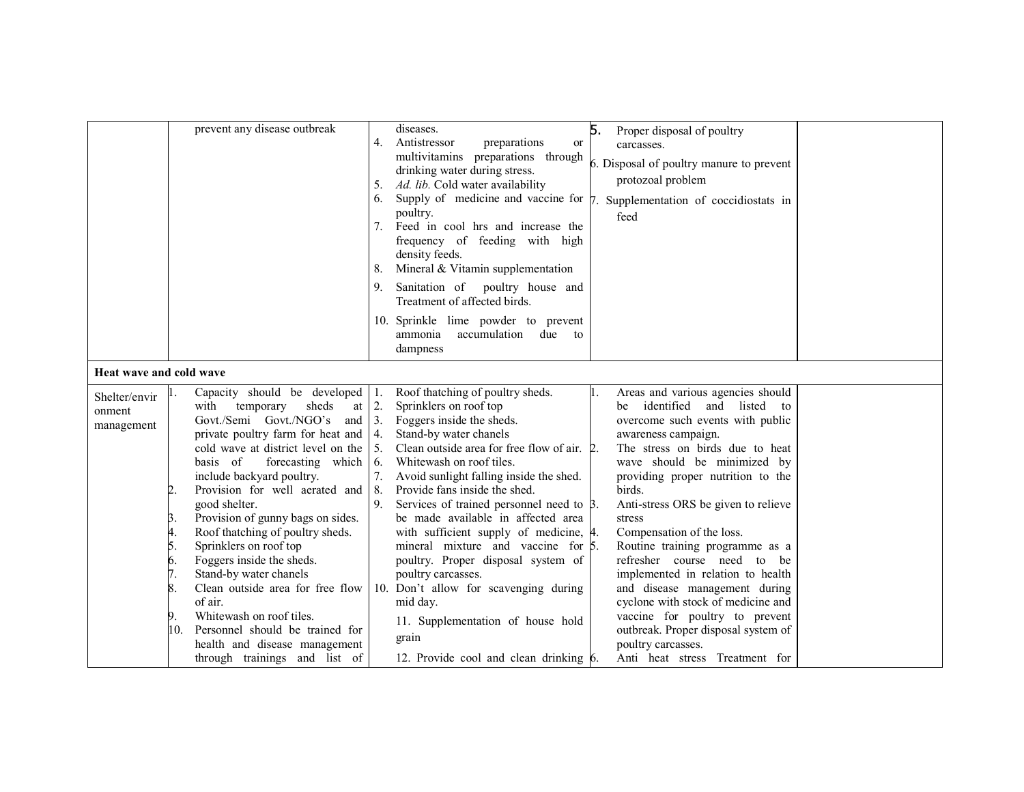|                                       | prevent any disease outbreak                                                                                                                                                                                                                                                                                                                                                                                                                                                                                                                                                                                                                                                      | 5.<br>diseases.<br>Proper disposal of poultry<br>Antistressor<br>4.<br>preparations<br><sub>or</sub><br>carcasses.<br>multivitamins preparations through<br>6. Disposal of poultry manure to prevent<br>drinking water during stress.<br>protozoal problem<br>Ad. lib. Cold water availability<br>5.<br>Supply of medicine and vaccine for $ 7 $ . Supplementation of coccidiostats in<br>6.<br>poultry.<br>feed<br>Feed in cool hrs and increase the<br>frequency of feeding with high<br>density feeds.<br>Mineral & Vitamin supplementation<br>8.<br>9.<br>Sanitation of poultry house and<br>Treatment of affected birds.<br>10. Sprinkle lime powder to prevent<br>accumulation<br>due<br>ammonia<br>$\sim$ to<br>dampness                                                                                                                                                                                                                                                                                                                                                                                                                                                                                                                                                                                                                                                |  |
|---------------------------------------|-----------------------------------------------------------------------------------------------------------------------------------------------------------------------------------------------------------------------------------------------------------------------------------------------------------------------------------------------------------------------------------------------------------------------------------------------------------------------------------------------------------------------------------------------------------------------------------------------------------------------------------------------------------------------------------|--------------------------------------------------------------------------------------------------------------------------------------------------------------------------------------------------------------------------------------------------------------------------------------------------------------------------------------------------------------------------------------------------------------------------------------------------------------------------------------------------------------------------------------------------------------------------------------------------------------------------------------------------------------------------------------------------------------------------------------------------------------------------------------------------------------------------------------------------------------------------------------------------------------------------------------------------------------------------------------------------------------------------------------------------------------------------------------------------------------------------------------------------------------------------------------------------------------------------------------------------------------------------------------------------------------------------------------------------------------------------------|--|
| Heat wave and cold wave               |                                                                                                                                                                                                                                                                                                                                                                                                                                                                                                                                                                                                                                                                                   |                                                                                                                                                                                                                                                                                                                                                                                                                                                                                                                                                                                                                                                                                                                                                                                                                                                                                                                                                                                                                                                                                                                                                                                                                                                                                                                                                                                |  |
| Shelter/envir<br>onment<br>management | Capacity should be developed<br>temporary<br>sheds<br>with<br>at<br>Govt./Semi Govt./NGO's<br>and<br>private poultry farm for heat and<br>cold wave at district level on the<br>basis of<br>forecasting which<br>include backyard poultry.<br>Provision for well aerated and<br>2<br>good shelter.<br>Provision of gunny bags on sides.<br>В.<br>Roof thatching of poultry sheds.<br>4.<br>5.<br>Sprinklers on roof top<br>Foggers inside the sheds.<br>6.<br>Stand-by water chanels<br>8.<br>Clean outside area for free flow<br>of air.<br>Whitewash on roof tiles.<br>10.<br>Personnel should be trained for<br>health and disease management<br>through trainings and list of | Roof thatching of poultry sheds.<br>Areas and various agencies should<br>Π.<br>Sprinklers on roof top<br>identified<br>2.<br>and listed to<br>be<br>Foggers inside the sheds.<br>3.<br>overcome such events with public<br>Stand-by water chanels<br>4.<br>awareness campaign.<br>The stress on birds due to heat<br>Clean outside area for free flow of air. 2.<br>5.<br>Whitewash on roof tiles.<br>wave should be minimized by<br><sup>6.</sup><br>Avoid sunlight falling inside the shed.<br>providing proper nutrition to the<br>7.<br>Provide fans inside the shed.<br>birds.<br>8.<br>9.<br>Services of trained personnel need to $\beta$ .<br>Anti-stress ORS be given to relieve<br>be made available in affected area<br>stress<br>Compensation of the loss.<br>with sufficient supply of medicine, 4.<br>mineral mixture and vaccine for 5.<br>Routine training programme as a<br>poultry. Proper disposal system of<br>refresher course need to be<br>poultry carcasses.<br>implemented in relation to health<br>10. Don't allow for scavenging during<br>and disease management during<br>cyclone with stock of medicine and<br>mid day.<br>vaccine for poultry to prevent<br>11. Supplementation of house hold<br>outbreak. Proper disposal system of<br>grain<br>poultry carcasses.<br>Anti heat stress Treatment for<br>12. Provide cool and clean drinking 6. |  |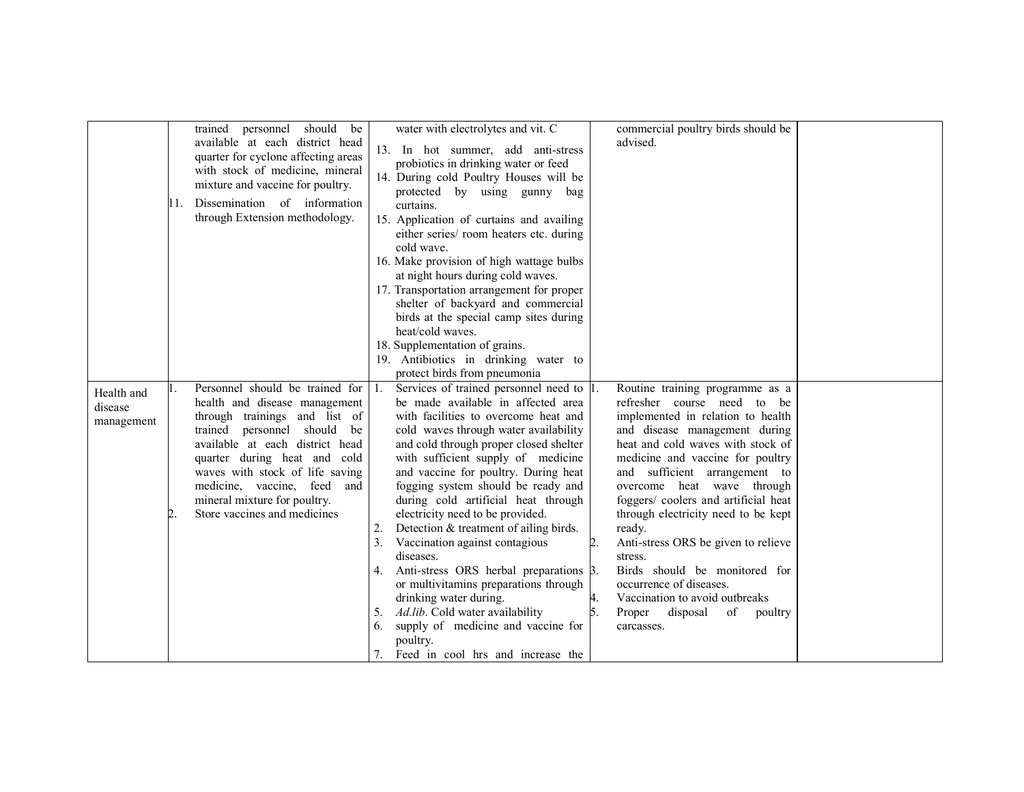|                                     | trained personnel should be<br>available at each district head<br>quarter for cyclone affecting areas<br>with stock of medicine, mineral<br>mixture and vaccine for poultry.<br>11. Dissemination of information<br>through Extension methodology.                                                                                          |    | water with electrolytes and vit. C<br>13. In hot summer, add anti-stress<br>probiotics in drinking water or feed<br>14. During cold Poultry Houses will be<br>protected by using gunny bag<br>curtains.<br>15. Application of curtains and availing<br>either series/ room heaters etc. during<br>cold wave.<br>16. Make provision of high wattage bulbs<br>at night hours during cold waves.<br>17. Transportation arrangement for proper<br>shelter of backyard and commercial<br>birds at the special camp sites during<br>heat/cold waves.<br>18. Supplementation of grains.<br>19. Antibiotics in drinking water to<br>protect birds from pneumonia                                                                                              |                          | commercial poultry birds should be<br>advised.                                                                                                                                                                                                                                                                                                                                                                                                                                                                                                                          |  |
|-------------------------------------|---------------------------------------------------------------------------------------------------------------------------------------------------------------------------------------------------------------------------------------------------------------------------------------------------------------------------------------------|----|-------------------------------------------------------------------------------------------------------------------------------------------------------------------------------------------------------------------------------------------------------------------------------------------------------------------------------------------------------------------------------------------------------------------------------------------------------------------------------------------------------------------------------------------------------------------------------------------------------------------------------------------------------------------------------------------------------------------------------------------------------|--------------------------|-------------------------------------------------------------------------------------------------------------------------------------------------------------------------------------------------------------------------------------------------------------------------------------------------------------------------------------------------------------------------------------------------------------------------------------------------------------------------------------------------------------------------------------------------------------------------|--|
| Health and<br>disease<br>management | Personnel should be trained for<br>health and disease management<br>through trainings and list of<br>trained personnel should<br>be<br>available at each district head<br>quarter during heat and cold<br>waves with stock of life saving<br>medicine, vaccine, feed<br>and<br>mineral mixture for poultry.<br>Store vaccines and medicines | 5. | Services of trained personnel need to 1.<br>be made available in affected area<br>with facilities to overcome heat and<br>cold waves through water availability<br>and cold through proper closed shelter<br>with sufficient supply of medicine<br>and vaccine for poultry. During heat<br>fogging system should be ready and<br>during cold artificial heat through<br>electricity need to be provided.<br>Detection & treatment of ailing birds.<br>Vaccination against contagious<br>diseases.<br>4. Anti-stress ORS herbal preparations $\beta$ .<br>or multivitamins preparations through<br>drinking water during.<br>Ad.lib. Cold water availability<br>6. supply of medicine and vaccine for<br>poultry.<br>Feed in cool hrs and increase the | $\boldsymbol{4}$ .<br>5. | Routine training programme as a<br>refresher course need to be<br>implemented in relation to health<br>and disease management during<br>heat and cold waves with stock of<br>medicine and vaccine for poultry<br>and sufficient arrangement to<br>overcome heat wave through<br>foggers/ coolers and artificial heat<br>through electricity need to be kept<br>ready.<br>Anti-stress ORS be given to relieve<br>stress.<br>Birds should be monitored for<br>occurrence of diseases.<br>Vaccination to avoid outbreaks<br>Proper disposal<br>of<br>poultry<br>carcasses. |  |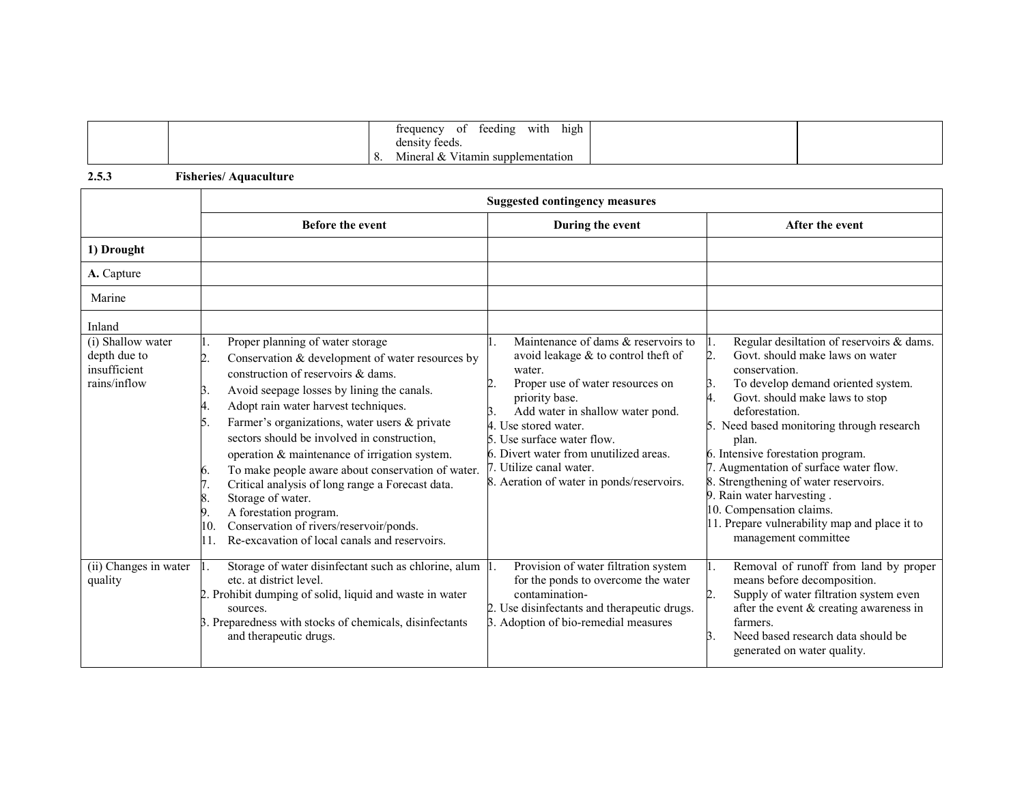|                  | $\bullet$ .<br>high<br>with<br>feeding<br>trequency<br>-01 |  |
|------------------|------------------------------------------------------------|--|
|                  | density feeds.                                             |  |
| $\mathbf \omega$ | $-1$<br>Mineral &<br>V <sub>itamin</sub> supplementation   |  |

2.5.3 Fisheries/ Aquaculture

|                                                                   | <b>Suggested contingency measures</b>                                                                                                                                                                                                                                                                                                                                                                                                                                                                                                                                                                                                                            |                                                                                                                                                                                                                                                                                                                                                          |                                                                                                                                                                                                                                                                                                                                                                                                                                                                                                      |
|-------------------------------------------------------------------|------------------------------------------------------------------------------------------------------------------------------------------------------------------------------------------------------------------------------------------------------------------------------------------------------------------------------------------------------------------------------------------------------------------------------------------------------------------------------------------------------------------------------------------------------------------------------------------------------------------------------------------------------------------|----------------------------------------------------------------------------------------------------------------------------------------------------------------------------------------------------------------------------------------------------------------------------------------------------------------------------------------------------------|------------------------------------------------------------------------------------------------------------------------------------------------------------------------------------------------------------------------------------------------------------------------------------------------------------------------------------------------------------------------------------------------------------------------------------------------------------------------------------------------------|
|                                                                   | <b>Before the event</b>                                                                                                                                                                                                                                                                                                                                                                                                                                                                                                                                                                                                                                          | During the event                                                                                                                                                                                                                                                                                                                                         | After the event                                                                                                                                                                                                                                                                                                                                                                                                                                                                                      |
| 1) Drought                                                        |                                                                                                                                                                                                                                                                                                                                                                                                                                                                                                                                                                                                                                                                  |                                                                                                                                                                                                                                                                                                                                                          |                                                                                                                                                                                                                                                                                                                                                                                                                                                                                                      |
| A. Capture                                                        |                                                                                                                                                                                                                                                                                                                                                                                                                                                                                                                                                                                                                                                                  |                                                                                                                                                                                                                                                                                                                                                          |                                                                                                                                                                                                                                                                                                                                                                                                                                                                                                      |
| Marine                                                            |                                                                                                                                                                                                                                                                                                                                                                                                                                                                                                                                                                                                                                                                  |                                                                                                                                                                                                                                                                                                                                                          |                                                                                                                                                                                                                                                                                                                                                                                                                                                                                                      |
| Inland                                                            |                                                                                                                                                                                                                                                                                                                                                                                                                                                                                                                                                                                                                                                                  |                                                                                                                                                                                                                                                                                                                                                          |                                                                                                                                                                                                                                                                                                                                                                                                                                                                                                      |
| (i) Shallow water<br>depth due to<br>insufficient<br>rains/inflow | Proper planning of water storage<br>Conservation & development of water resources by<br>2.<br>construction of reservoirs & dams.<br>Avoid seepage losses by lining the canals.<br>3.<br>Adopt rain water harvest techniques.<br>4.<br>Farmer's organizations, water users & private<br>5.<br>sectors should be involved in construction,<br>operation & maintenance of irrigation system.<br>To make people aware about conservation of water.<br>6.<br>Critical analysis of long range a Forecast data.<br>Storage of water.<br>A forestation program.<br>9.<br>Conservation of rivers/reservoir/ponds.<br>10.<br>Re-excavation of local canals and reservoirs. | Maintenance of dams $&$ reservoirs to<br>avoid leakage & to control theft of<br>water.<br>Proper use of water resources on<br>priority base.<br>Add water in shallow water pond.<br>4. Use stored water.<br>5. Use surface water flow.<br>6. Divert water from unutilized areas.<br>7. Utilize canal water.<br>8. Aeration of water in ponds/reservoirs. | Regular desiltation of reservoirs & dams.<br>Govt, should make laws on water<br>conservation.<br>To develop demand oriented system.<br>Govt. should make laws to stop<br>deforestation.<br>5. Need based monitoring through research<br>plan.<br>6. Intensive forestation program.<br>7. Augmentation of surface water flow.<br>Strengthening of water reservoirs.<br>9. Rain water harvesting.<br>10. Compensation claims.<br>11. Prepare vulnerability map and place it to<br>management committee |
| (ii) Changes in water<br>quality                                  | Storage of water disinfectant such as chlorine, alum<br>etc. at district level.<br>2. Prohibit dumping of solid, liquid and waste in water<br>sources.<br>3. Preparedness with stocks of chemicals, disinfectants<br>and therapeutic drugs.                                                                                                                                                                                                                                                                                                                                                                                                                      | Provision of water filtration system<br>Ι.<br>for the ponds to overcome the water<br>contamination-<br>2. Use disinfectants and therapeutic drugs.<br>3. Adoption of bio-remedial measures                                                                                                                                                               | Removal of runoff from land by proper<br>means before decomposition.<br>Supply of water filtration system even<br>after the event $&$ creating awareness in<br>farmers.<br>Need based research data should be<br>B.<br>generated on water quality.                                                                                                                                                                                                                                                   |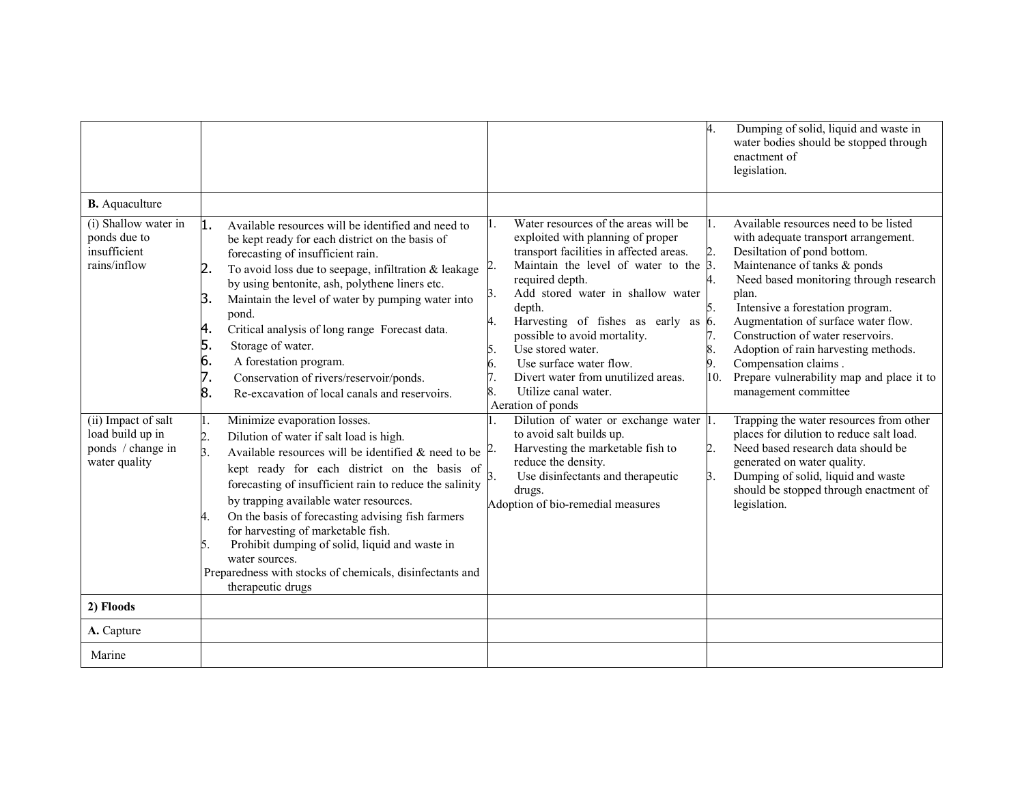|                                                                               |                                                                                                                                                                                                                                                                                                                                                                                                                                                                                                                                                                                               |                                                                                                                                                                                                                                                                                                                                                                                                                                                                     | 4.  | Dumping of solid, liquid and waste in<br>water bodies should be stopped through<br>enactment of<br>legislation.                                                                                                                                                                                                                                                                                                                                      |
|-------------------------------------------------------------------------------|-----------------------------------------------------------------------------------------------------------------------------------------------------------------------------------------------------------------------------------------------------------------------------------------------------------------------------------------------------------------------------------------------------------------------------------------------------------------------------------------------------------------------------------------------------------------------------------------------|---------------------------------------------------------------------------------------------------------------------------------------------------------------------------------------------------------------------------------------------------------------------------------------------------------------------------------------------------------------------------------------------------------------------------------------------------------------------|-----|------------------------------------------------------------------------------------------------------------------------------------------------------------------------------------------------------------------------------------------------------------------------------------------------------------------------------------------------------------------------------------------------------------------------------------------------------|
| <b>B.</b> Aquaculture                                                         |                                                                                                                                                                                                                                                                                                                                                                                                                                                                                                                                                                                               |                                                                                                                                                                                                                                                                                                                                                                                                                                                                     |     |                                                                                                                                                                                                                                                                                                                                                                                                                                                      |
| (i) Shallow water in<br>ponds due to<br>insufficient<br>rains/inflow          | 1.<br>Available resources will be identified and need to<br>be kept ready for each district on the basis of<br>forecasting of insufficient rain.<br>To avoid loss due to seepage, infiltration & leakage<br>2.<br>by using bentonite, ash, polythene liners etc.<br>Maintain the level of water by pumping water into<br>З.<br>pond.<br>4.<br>Critical analysis of long range Forecast data.<br>5.<br>Storage of water.<br>6.<br>A forestation program.<br>7.<br>Conservation of rivers/reservoir/ponds.<br>8.<br>Re-excavation of local canals and reservoirs.                               | Water resources of the areas will be<br>exploited with planning of proper<br>transport facilities in affected areas.<br>Maintain the level of water to the $\beta$ .<br>required depth.<br>Add stored water in shallow water<br>Β.<br>depth.<br>Harvesting of fishes as early as 6.<br>possible to avoid mortality.<br>Use stored water.<br>5.<br>Use surface water flow.<br>6.<br>Divert water from unutilized areas.<br>Utilize canal water.<br>Aeration of ponds | 10. | Available resources need to be listed<br>with adequate transport arrangement.<br>Desiltation of pond bottom.<br>Maintenance of tanks & ponds<br>Need based monitoring through research<br>plan.<br>Intensive a forestation program.<br>Augmentation of surface water flow.<br>Construction of water reservoirs.<br>Adoption of rain harvesting methods.<br>Compensation claims.<br>Prepare vulnerability map and place it to<br>management committee |
| (ii) Impact of salt<br>load build up in<br>ponds / change in<br>water quality | Minimize evaporation losses.<br>1.<br>Dilution of water if salt load is high.<br>$\overline{2}$ .<br>Available resources will be identified & need to be $\vert^{2}$ .<br>3.<br>kept ready for each district on the basis of<br>forecasting of insufficient rain to reduce the salinity<br>by trapping available water resources.<br>On the basis of forecasting advising fish farmers<br>4.<br>for harvesting of marketable fish.<br>Prohibit dumping of solid, liquid and waste in<br>5.<br>water sources.<br>Preparedness with stocks of chemicals, disinfectants and<br>therapeutic drugs | Dilution of water or exchange water 1.<br>to avoid salt builds up.<br>Harvesting the marketable fish to<br>reduce the density.<br>Use disinfectants and therapeutic<br>Β.<br>drugs.<br>Adoption of bio-remedial measures                                                                                                                                                                                                                                            | Β.  | Trapping the water resources from other<br>places for dilution to reduce salt load.<br>Need based research data should be<br>generated on water quality.<br>Dumping of solid, liquid and waste<br>should be stopped through enactment of<br>legislation.                                                                                                                                                                                             |
| 2) Floods                                                                     |                                                                                                                                                                                                                                                                                                                                                                                                                                                                                                                                                                                               |                                                                                                                                                                                                                                                                                                                                                                                                                                                                     |     |                                                                                                                                                                                                                                                                                                                                                                                                                                                      |
| A. Capture                                                                    |                                                                                                                                                                                                                                                                                                                                                                                                                                                                                                                                                                                               |                                                                                                                                                                                                                                                                                                                                                                                                                                                                     |     |                                                                                                                                                                                                                                                                                                                                                                                                                                                      |
| Marine                                                                        |                                                                                                                                                                                                                                                                                                                                                                                                                                                                                                                                                                                               |                                                                                                                                                                                                                                                                                                                                                                                                                                                                     |     |                                                                                                                                                                                                                                                                                                                                                                                                                                                      |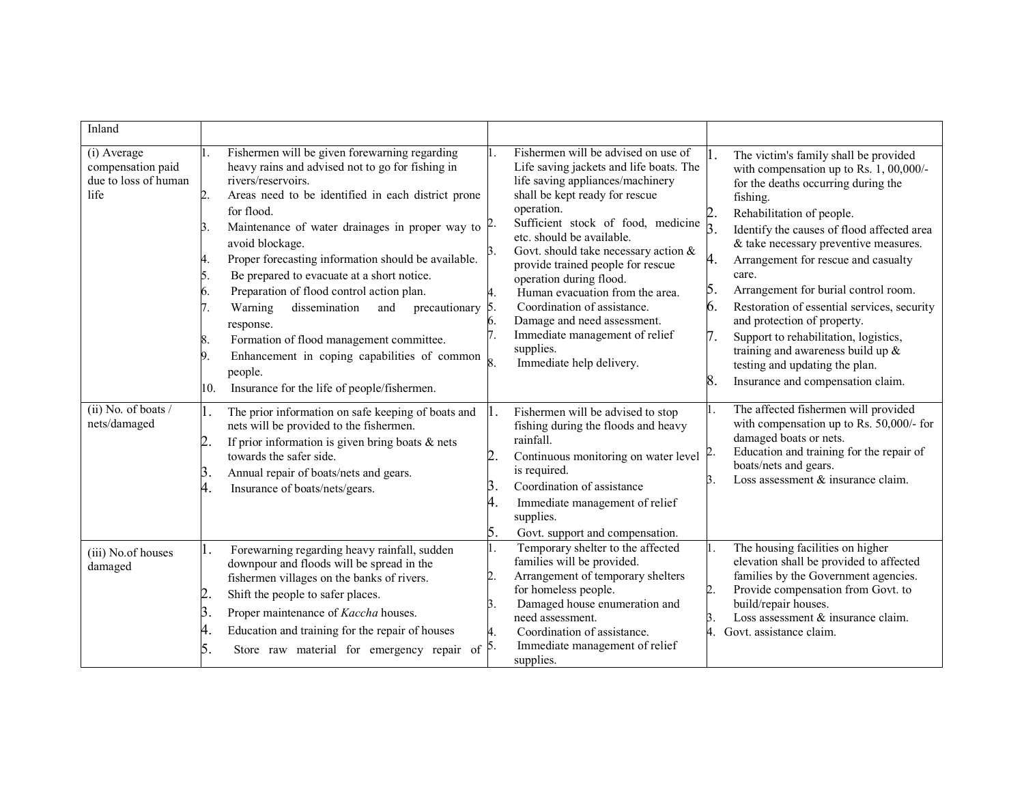| Inland                                                           |                                                                                                                                                                                                                                                                                                                                                                                                                                                                                                                                                                                                                                                                                                                     |                                                                                                                                                                                                                                                                                                                                                                                                                                                                                                                                                                |                                                                                                                                                                                                                                                                                                                                                                                                                                                                                                                                                                                                                              |
|------------------------------------------------------------------|---------------------------------------------------------------------------------------------------------------------------------------------------------------------------------------------------------------------------------------------------------------------------------------------------------------------------------------------------------------------------------------------------------------------------------------------------------------------------------------------------------------------------------------------------------------------------------------------------------------------------------------------------------------------------------------------------------------------|----------------------------------------------------------------------------------------------------------------------------------------------------------------------------------------------------------------------------------------------------------------------------------------------------------------------------------------------------------------------------------------------------------------------------------------------------------------------------------------------------------------------------------------------------------------|------------------------------------------------------------------------------------------------------------------------------------------------------------------------------------------------------------------------------------------------------------------------------------------------------------------------------------------------------------------------------------------------------------------------------------------------------------------------------------------------------------------------------------------------------------------------------------------------------------------------------|
| (i) Average<br>compensation paid<br>due to loss of human<br>life | Fishermen will be given forewarning regarding<br>heavy rains and advised not to go for fishing in<br>rivers/reservoirs.<br>$\overline{2}$ .<br>Areas need to be identified in each district prone<br>for flood.<br>Maintenance of water drainages in proper way to $\beta$ .<br>3.<br>avoid blockage.<br>Proper forecasting information should be available.<br>4.<br>Be prepared to evacuate at a short notice.<br>5.<br>Preparation of flood control action plan.<br>6.<br>dissemination<br>Warning<br>precautionary<br>and<br>response.<br>Formation of flood management committee.<br>8.<br>Enhancement in coping capabilities of common<br>9.<br>people.<br>Insurance for the life of people/fishermen.<br>10. | Fishermen will be advised on use of<br>1.<br>Life saving jackets and life boats. The<br>life saving appliances/machinery<br>shall be kept ready for rescue<br>operation.<br>Sufficient stock of food, medicine<br>etc. should be available.<br>Govt. should take necessary action $&$<br>3.<br>provide trained people for rescue<br>operation during flood.<br>Human evacuation from the area.<br>Coordination of assistance.<br><sup>5.</sup><br>Damage and need assessment.<br>6.<br>Immediate management of relief<br>supplies.<br>Immediate help delivery. | The victim's family shall be provided<br>with compensation up to Rs. 1, 00,000/-<br>for the deaths occurring during the<br>fishing.<br>Rehabilitation of people.<br>$\overline{3}$<br>Identify the causes of flood affected area<br>& take necessary preventive measures.<br>4.<br>Arrangement for rescue and casualty<br>care.<br>5.<br>Arrangement for burial control room.<br>6.<br>Restoration of essential services, security<br>and protection of property.<br>Support to rehabilitation, logistics,<br>training and awareness build up &<br>testing and updating the plan.<br>8.<br>Insurance and compensation claim. |
| $(ii)$ No. of boats /<br>nets/damaged                            | 1.<br>The prior information on safe keeping of boats and<br>nets will be provided to the fishermen.<br>If prior information is given bring boats $\&$ nets<br>2.<br>towards the safer side.<br>3.<br>Annual repair of boats/nets and gears.<br>4.<br>Insurance of boats/nets/gears.                                                                                                                                                                                                                                                                                                                                                                                                                                 | Fishermen will be advised to stop<br>1.<br>fishing during the floods and heavy<br>rainfall.<br>2<br>Continuous monitoring on water level<br>is required.<br>Coordination of assistance<br>Β.<br>4.<br>Immediate management of relief<br>supplies.<br>5.<br>Govt. support and compensation.                                                                                                                                                                                                                                                                     | The affected fishermen will provided<br>with compensation up to Rs. 50,000/- for<br>damaged boats or nets.<br>Education and training for the repair of<br>boats/nets and gears.<br>Loss assessment & insurance claim.                                                                                                                                                                                                                                                                                                                                                                                                        |
| (iii) No.of houses<br>damaged                                    | Forewarning regarding heavy rainfall, sudden<br>1.<br>downpour and floods will be spread in the<br>fishermen villages on the banks of rivers.<br>2<br>Shift the people to safer places.<br>3.<br>Proper maintenance of Kaccha houses.<br>4.<br>Education and training for the repair of houses<br>Store raw material for emergency repair of $\vert$ <sup>5</sup> .<br>5.                                                                                                                                                                                                                                                                                                                                           | Temporary shelter to the affected<br>1.<br>families will be provided.<br>Arrangement of temporary shelters<br>2<br>for homeless people.<br>Damaged house enumeration and<br>3.<br>need assessment.<br>Coordination of assistance.<br>Immediate management of relief<br>supplies.                                                                                                                                                                                                                                                                               | The housing facilities on higher<br>elevation shall be provided to affected<br>families by the Government agencies.<br>Provide compensation from Govt. to<br>2.<br>build/repair houses.<br>Loss assessment $\&$ insurance claim.<br>Β.<br>Govt. assistance claim.                                                                                                                                                                                                                                                                                                                                                            |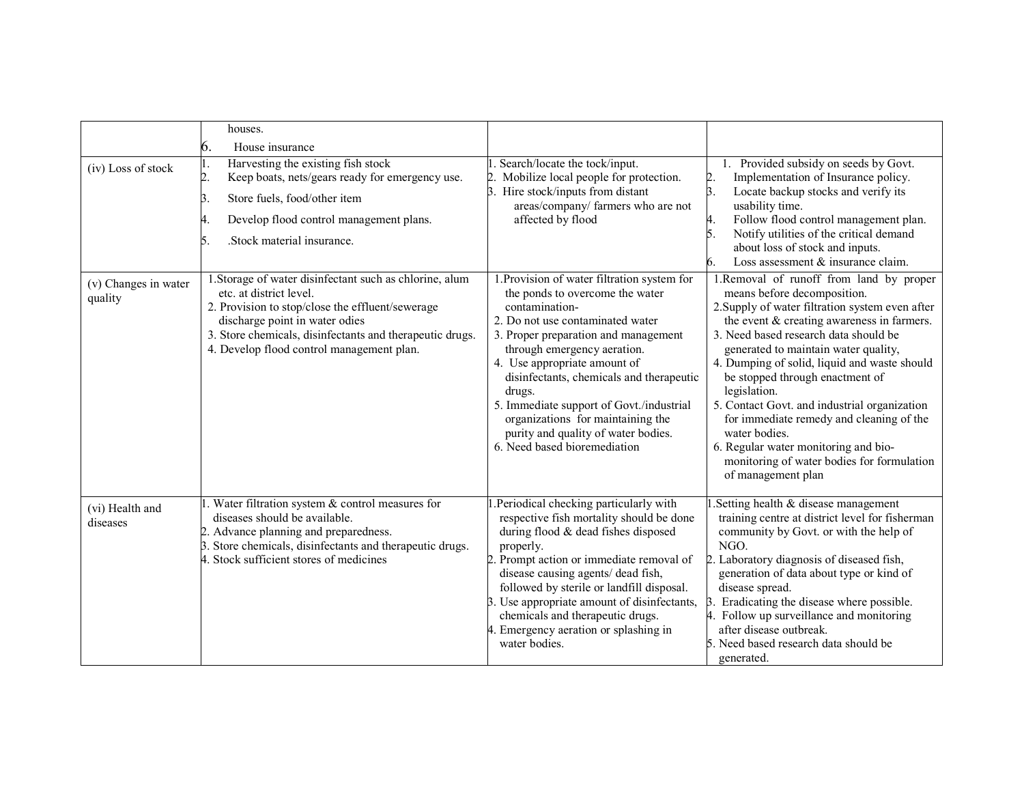|                                 | houses.<br>6.<br>House insurance                                                                                                                                                                                                                                                  |                                                                                                                                                                                                                                                                                                                                                                                                                                                           |                                                                                                                                                                                                                                                                                                                                                                                                                                                                                                                                                                                      |
|---------------------------------|-----------------------------------------------------------------------------------------------------------------------------------------------------------------------------------------------------------------------------------------------------------------------------------|-----------------------------------------------------------------------------------------------------------------------------------------------------------------------------------------------------------------------------------------------------------------------------------------------------------------------------------------------------------------------------------------------------------------------------------------------------------|--------------------------------------------------------------------------------------------------------------------------------------------------------------------------------------------------------------------------------------------------------------------------------------------------------------------------------------------------------------------------------------------------------------------------------------------------------------------------------------------------------------------------------------------------------------------------------------|
| (iv) Loss of stock              | Harvesting the existing fish stock<br>I.<br>$\overline{2}$ .<br>Keep boats, nets/gears ready for emergency use.<br>Store fuels, food/other item<br>3.<br>Develop flood control management plans.<br>.Stock material insurance.<br>5.                                              | Search/locate the tock/input.<br>Mobilize local people for protection.<br>Hire stock/inputs from distant<br>areas/company/ farmers who are not<br>affected by flood                                                                                                                                                                                                                                                                                       | 1. Provided subsidy on seeds by Govt.<br>Implementation of Insurance policy.<br>Locate backup stocks and verify its<br>usability time.<br>Follow flood control management plan.<br>Notify utilities of the critical demand<br>about loss of stock and inputs.<br>Loss assessment $&$ insurance claim.<br>6.                                                                                                                                                                                                                                                                          |
| (v) Changes in water<br>quality | 1. Storage of water disinfectant such as chlorine, alum<br>etc. at district level.<br>2. Provision to stop/close the effluent/sewerage<br>discharge point in water odies<br>3. Store chemicals, disinfectants and therapeutic drugs.<br>4. Develop flood control management plan. | 1. Provision of water filtration system for<br>the ponds to overcome the water<br>contamination-<br>2. Do not use contaminated water<br>3. Proper preparation and management<br>through emergency aeration.<br>4. Use appropriate amount of<br>disinfectants, chemicals and therapeutic<br>drugs.<br>5. Immediate support of Govt./industrial<br>organizations for maintaining the<br>purity and quality of water bodies.<br>6. Need based bioremediation | 1.Removal of runoff from land by proper<br>means before decomposition.<br>2. Supply of water filtration system even after<br>the event & creating awareness in farmers.<br>3. Need based research data should be<br>generated to maintain water quality,<br>4. Dumping of solid, liquid and waste should<br>be stopped through enactment of<br>legislation.<br>5. Contact Govt. and industrial organization<br>for immediate remedy and cleaning of the<br>water bodies.<br>6. Regular water monitoring and bio-<br>monitoring of water bodies for formulation<br>of management plan |
| (vi) Health and<br>diseases     | Water filtration system $&$ control measures for<br>diseases should be available.<br>2. Advance planning and preparedness.<br>3. Store chemicals, disinfectants and therapeutic drugs.<br>4. Stock sufficient stores of medicines                                                 | .Periodical checking particularly with<br>respective fish mortality should be done<br>during flood & dead fishes disposed<br>properly.<br>Prompt action or immediate removal of<br>disease causing agents/ dead fish,<br>followed by sterile or landfill disposal.<br>3. Use appropriate amount of disinfectants,<br>chemicals and therapeutic drugs.<br>4. Emergency aeration or splashing in<br>water bodies.                                           | Setting health & disease management<br>training centre at district level for fisherman<br>community by Govt. or with the help of<br>NGO.<br>Laboratory diagnosis of diseased fish,<br>generation of data about type or kind of<br>disease spread.<br>Eradicating the disease where possible.<br>4. Follow up surveillance and monitoring<br>after disease outbreak.<br>5. Need based research data should be<br>generated.                                                                                                                                                           |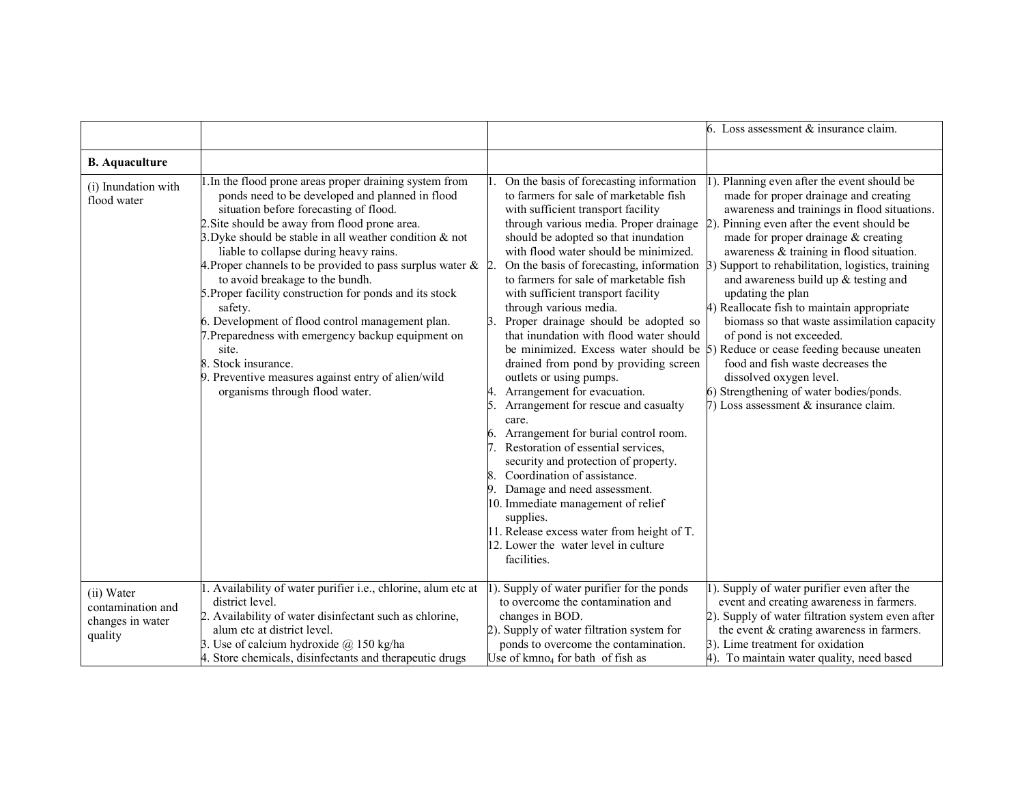|                                                                |                                                                                                                                                                                                                                                                                                                                                                                                                                                                                                                                                                                                                                                                                                                             |                                                                                                                                                                                                                                                                                                                                                                                                                                                                                                                                                                                                                                                                                                                                                                                                                                                                                                                                                                                                                                                  | 6. Loss assessment & insurance claim.                                                                                                                                                                                                                                                                                                                                                                                                                                                                                                                                                                                                                                                                     |
|----------------------------------------------------------------|-----------------------------------------------------------------------------------------------------------------------------------------------------------------------------------------------------------------------------------------------------------------------------------------------------------------------------------------------------------------------------------------------------------------------------------------------------------------------------------------------------------------------------------------------------------------------------------------------------------------------------------------------------------------------------------------------------------------------------|--------------------------------------------------------------------------------------------------------------------------------------------------------------------------------------------------------------------------------------------------------------------------------------------------------------------------------------------------------------------------------------------------------------------------------------------------------------------------------------------------------------------------------------------------------------------------------------------------------------------------------------------------------------------------------------------------------------------------------------------------------------------------------------------------------------------------------------------------------------------------------------------------------------------------------------------------------------------------------------------------------------------------------------------------|-----------------------------------------------------------------------------------------------------------------------------------------------------------------------------------------------------------------------------------------------------------------------------------------------------------------------------------------------------------------------------------------------------------------------------------------------------------------------------------------------------------------------------------------------------------------------------------------------------------------------------------------------------------------------------------------------------------|
| <b>B.</b> Aquaculture                                          |                                                                                                                                                                                                                                                                                                                                                                                                                                                                                                                                                                                                                                                                                                                             |                                                                                                                                                                                                                                                                                                                                                                                                                                                                                                                                                                                                                                                                                                                                                                                                                                                                                                                                                                                                                                                  |                                                                                                                                                                                                                                                                                                                                                                                                                                                                                                                                                                                                                                                                                                           |
| (i) Inundation with<br>flood water                             | 1. In the flood prone areas proper draining system from<br>ponds need to be developed and planned in flood<br>situation before forecasting of flood.<br>2. Site should be away from flood prone area.<br>3. Dyke should be stable in all weather condition $\&$ not<br>liable to collapse during heavy rains.<br>4. Proper channels to be provided to pass surplus water $\&$ 2.<br>to avoid breakage to the bundh.<br>5. Proper facility construction for ponds and its stock<br>safety.<br>6. Development of flood control management plan.<br>7. Preparedness with emergency backup equipment on<br>site.<br>8. Stock insurance.<br>9. Preventive measures against entry of alien/wild<br>organisms through flood water. | On the basis of forecasting information<br>to farmers for sale of marketable fish<br>with sufficient transport facility<br>through various media. Proper drainage<br>should be adopted so that inundation<br>with flood water should be minimized.<br>On the basis of forecasting, information<br>to farmers for sale of marketable fish<br>with sufficient transport facility<br>through various media.<br>Proper drainage should be adopted so<br>that inundation with flood water should<br>be minimized. Excess water should be 5)<br>drained from pond by providing screen<br>outlets or using pumps.<br>Arrangement for evacuation.<br>Arrangement for rescue and casualty<br>5<br>care.<br>Arrangement for burial control room.<br>6.<br>Restoration of essential services,<br>security and protection of property.<br>Coordination of assistance.<br>Damage and need assessment.<br>10. Immediate management of relief<br>supplies.<br>11. Release excess water from height of T.<br>12. Lower the water level in culture<br>facilities. | Planning even after the event should be<br>made for proper drainage and creating<br>awareness and trainings in flood situations.<br>Pinning even after the event should be<br>made for proper drainage & creating<br>awareness & training in flood situation.<br>3) Support to rehabilitation, logistics, training<br>and awareness build up $&$ testing and<br>updating the plan<br>4) Reallocate fish to maintain appropriate<br>biomass so that waste assimilation capacity<br>of pond is not exceeded.<br>Reduce or cease feeding because uneaten<br>food and fish waste decreases the<br>dissolved oxygen level.<br>6) Strengthening of water bodies/ponds.<br>7) Loss assessment & insurance claim. |
| (ii) Water<br>contamination and<br>changes in water<br>quality | . Availability of water purifier i.e., chlorine, alum etc at<br>district level.<br>2. Availability of water disinfectant such as chlorine,<br>alum etc at district level.<br>3. Use of calcium hydroxide $@$ 150 kg/ha<br>4. Store chemicals, disinfectants and therapeutic drugs                                                                                                                                                                                                                                                                                                                                                                                                                                           | ). Supply of water purifier for the ponds<br>to overcome the contamination and<br>changes in BOD.<br>2). Supply of water filtration system for<br>ponds to overcome the contamination.<br>Use of kmno <sub>4</sub> for bath of fish as                                                                                                                                                                                                                                                                                                                                                                                                                                                                                                                                                                                                                                                                                                                                                                                                           | ). Supply of water purifier even after the<br>event and creating awareness in farmers.<br>2). Supply of water filtration system even after<br>the event & crating awareness in farmers.<br>3). Lime treatment for oxidation<br>4). To maintain water quality, need based                                                                                                                                                                                                                                                                                                                                                                                                                                  |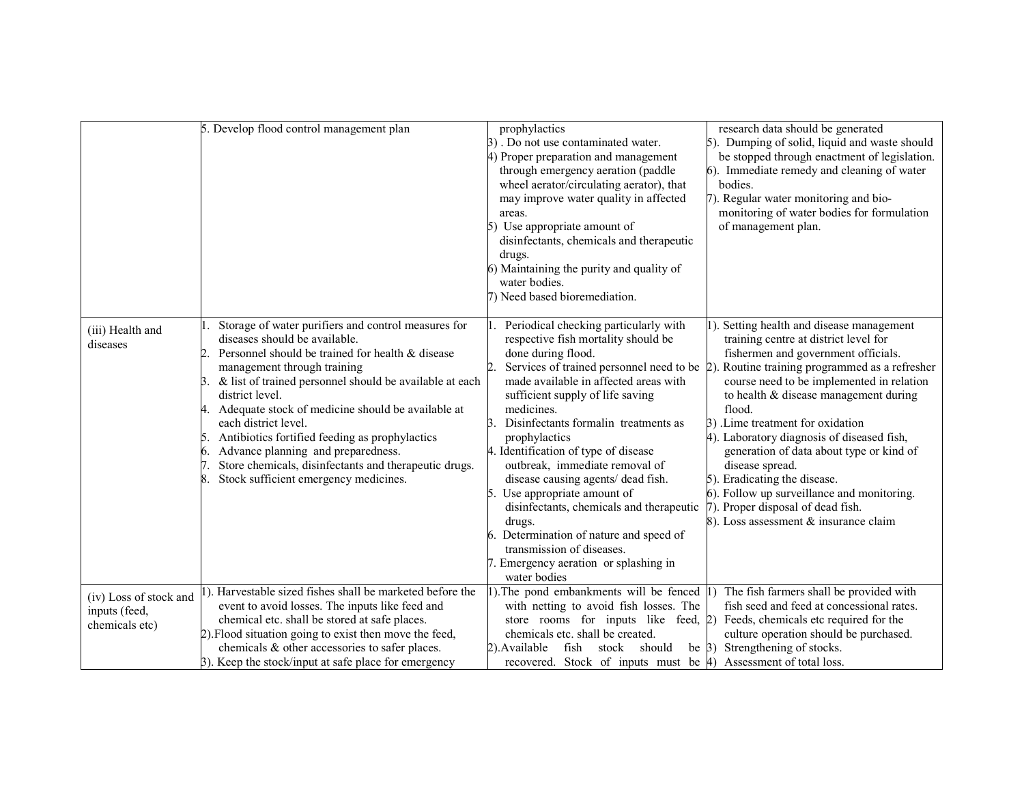|                                                           | 5. Develop flood control management plan                                                                                                                                                                                                                                                                                                                                                                                                                                                                                                                 | prophylactics<br>3). Do not use contaminated water.<br>4) Proper preparation and management<br>through emergency aeration (paddle<br>wheel aerator/circulating aerator), that<br>may improve water quality in affected<br>areas.<br>Use appropriate amount of<br>disinfectants, chemicals and therapeutic<br>drugs.<br>6) Maintaining the purity and quality of<br>water bodies.<br>7) Need based bioremediation.                                                                                                                                                                                                                       | research data should be generated<br>5). Dumping of solid, liquid and waste should<br>be stopped through enactment of legislation.<br>6). Immediate remedy and cleaning of water<br>bodies.<br>7). Regular water monitoring and bio-<br>monitoring of water bodies for formulation<br>of management plan.                                                                                                                                                                                                                                                                            |
|-----------------------------------------------------------|----------------------------------------------------------------------------------------------------------------------------------------------------------------------------------------------------------------------------------------------------------------------------------------------------------------------------------------------------------------------------------------------------------------------------------------------------------------------------------------------------------------------------------------------------------|-----------------------------------------------------------------------------------------------------------------------------------------------------------------------------------------------------------------------------------------------------------------------------------------------------------------------------------------------------------------------------------------------------------------------------------------------------------------------------------------------------------------------------------------------------------------------------------------------------------------------------------------|--------------------------------------------------------------------------------------------------------------------------------------------------------------------------------------------------------------------------------------------------------------------------------------------------------------------------------------------------------------------------------------------------------------------------------------------------------------------------------------------------------------------------------------------------------------------------------------|
| (iii) Health and<br>diseases                              | Storage of water purifiers and control measures for<br>diseases should be available.<br>Personnel should be trained for health & disease<br>management through training<br>& list of trained personnel should be available at each<br>3.<br>district level.<br>4. Adequate stock of medicine should be available at<br>each district level.<br>Antibiotics fortified feeding as prophylactics<br>15.<br>Advance planning and preparedness.<br>6.<br>Store chemicals, disinfectants and therapeutic drugs.<br>Stock sufficient emergency medicines.<br>8. | Periodical checking particularly with<br>respective fish mortality should be<br>done during flood.<br>Services of trained personnel need to be 2).<br>made available in affected areas with<br>sufficient supply of life saving<br>medicines.<br>Disinfectants formalin treatments as<br>prophylactics<br>4. Identification of type of disease<br>outbreak, immediate removal of<br>disease causing agents/ dead fish.<br>Use appropriate amount of<br>disinfectants, chemicals and therapeutic<br>drugs.<br>Determination of nature and speed of<br>transmission of diseases.<br>7. Emergency aeration or splashing in<br>water bodies | 1). Setting health and disease management<br>training centre at district level for<br>fishermen and government officials.<br>Routine training programmed as a refresher<br>course need to be implemented in relation<br>to health & disease management during<br>flood.<br>3) .Lime treatment for oxidation<br>4). Laboratory diagnosis of diseased fish,<br>generation of data about type or kind of<br>disease spread.<br>5). Eradicating the disease.<br>6). Follow up surveillance and monitoring.<br>7). Proper disposal of dead fish.<br>8). Loss assessment & insurance claim |
| (iv) Loss of stock and<br>inputs (feed,<br>chemicals etc) | 1). Harvestable sized fishes shall be marketed before the<br>event to avoid losses. The inputs like feed and<br>chemical etc. shall be stored at safe places.<br>2). Flood situation going to exist then move the feed,<br>chemicals & other accessories to safer places.<br>3). Keep the stock/input at safe place for emergency                                                                                                                                                                                                                        | 1). The pond embankments will be fenced 1)<br>with netting to avoid fish losses. The<br>store rooms for inputs like feed, $ 2\rangle$<br>chemicals etc. shall be created.<br>2). Available<br>fish<br>stock should<br>recovered. Stock of inputs must be 4) Assessment of total loss.                                                                                                                                                                                                                                                                                                                                                   | The fish farmers shall be provided with<br>fish seed and feed at concessional rates.<br>Feeds, chemicals etc required for the<br>culture operation should be purchased.<br>be $\beta$ ) Strengthening of stocks.                                                                                                                                                                                                                                                                                                                                                                     |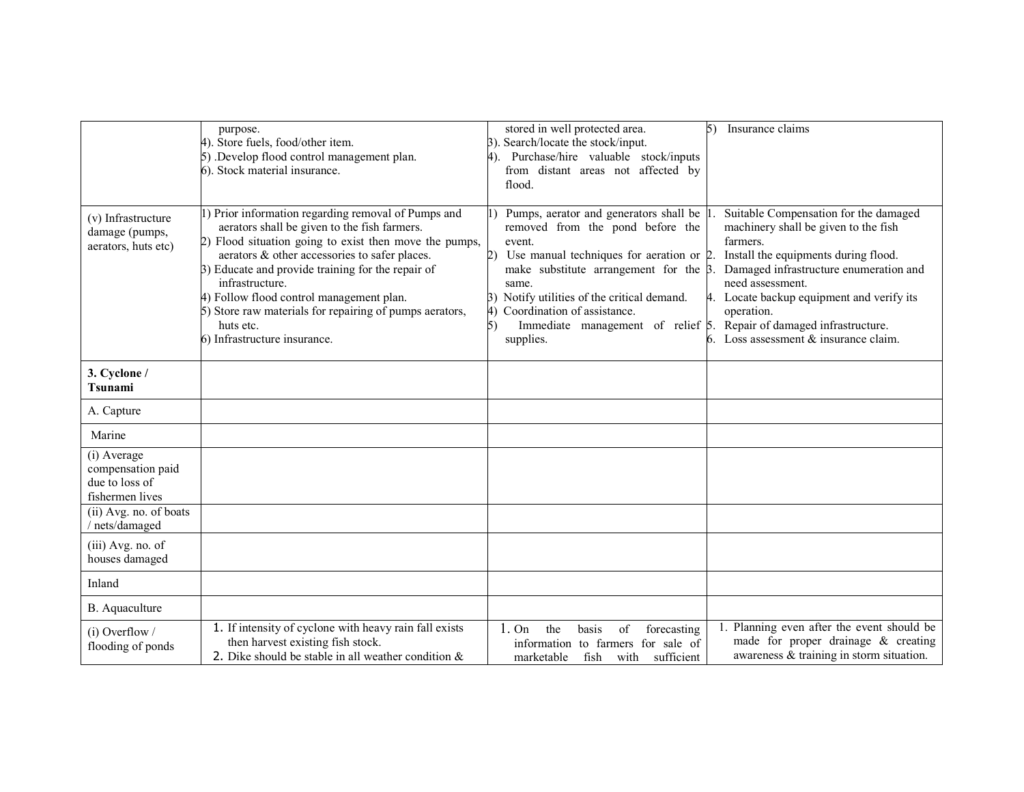|                                                                                                 | purpose.<br>4). Store fuels, food/other item.<br>5) .Develop flood control management plan.<br>6). Stock material insurance.                                                                                                                                                                                                                                                                                                               | stored in well protected area.<br>3). Search/locate the stock/input.<br>4). Purchase/hire valuable stock/inputs<br>from distant areas not affected by<br>flood.                                                                                                                                                                                                                                             | 5)<br>Insurance claims                                                                                                                                                                                                                                                                                |
|-------------------------------------------------------------------------------------------------|--------------------------------------------------------------------------------------------------------------------------------------------------------------------------------------------------------------------------------------------------------------------------------------------------------------------------------------------------------------------------------------------------------------------------------------------|-------------------------------------------------------------------------------------------------------------------------------------------------------------------------------------------------------------------------------------------------------------------------------------------------------------------------------------------------------------------------------------------------------------|-------------------------------------------------------------------------------------------------------------------------------------------------------------------------------------------------------------------------------------------------------------------------------------------------------|
| (v) Infrastructure<br>damage (pumps,<br>aerators, huts etc)                                     | 1) Prior information regarding removal of Pumps and<br>aerators shall be given to the fish farmers.<br>2) Flood situation going to exist then move the pumps,<br>aerators & other accessories to safer places.<br>3) Educate and provide training for the repair of<br>infrastructure.<br>4) Follow flood control management plan.<br>5) Store raw materials for repairing of pumps aerators,<br>huts etc.<br>6) Infrastructure insurance. | Pumps, aerator and generators shall be 1<br>removed from the pond before the<br>event.<br>Use manual techniques for aeration or $2$ .<br>2)<br>make substitute arrangement for the $\beta$ .<br>same.<br>Notify utilities of the critical demand.<br>3)<br>Coordination of assistance.<br>$\left(4\right)$<br>Immediate management of relief $\beta$ . Repair of damaged infrastructure.<br>5)<br>supplies. | Suitable Compensation for the damaged<br>machinery shall be given to the fish<br>farmers.<br>Install the equipments during flood.<br>Damaged infrastructure enumeration and<br>need assessment.<br>4. Locate backup equipment and verify its<br>operation.<br>6. Loss assessment $&$ insurance claim. |
| 3. Cyclone /<br>Tsunami                                                                         |                                                                                                                                                                                                                                                                                                                                                                                                                                            |                                                                                                                                                                                                                                                                                                                                                                                                             |                                                                                                                                                                                                                                                                                                       |
| A. Capture                                                                                      |                                                                                                                                                                                                                                                                                                                                                                                                                                            |                                                                                                                                                                                                                                                                                                                                                                                                             |                                                                                                                                                                                                                                                                                                       |
| Marine                                                                                          |                                                                                                                                                                                                                                                                                                                                                                                                                                            |                                                                                                                                                                                                                                                                                                                                                                                                             |                                                                                                                                                                                                                                                                                                       |
| (i) Average<br>compensation paid<br>due to loss of<br>fishermen lives<br>(ii) Avg. no. of boats |                                                                                                                                                                                                                                                                                                                                                                                                                                            |                                                                                                                                                                                                                                                                                                                                                                                                             |                                                                                                                                                                                                                                                                                                       |
| nets/damaged                                                                                    |                                                                                                                                                                                                                                                                                                                                                                                                                                            |                                                                                                                                                                                                                                                                                                                                                                                                             |                                                                                                                                                                                                                                                                                                       |
| (iii) Avg. no. of<br>houses damaged                                                             |                                                                                                                                                                                                                                                                                                                                                                                                                                            |                                                                                                                                                                                                                                                                                                                                                                                                             |                                                                                                                                                                                                                                                                                                       |
| Inland                                                                                          |                                                                                                                                                                                                                                                                                                                                                                                                                                            |                                                                                                                                                                                                                                                                                                                                                                                                             |                                                                                                                                                                                                                                                                                                       |
| B. Aquaculture                                                                                  |                                                                                                                                                                                                                                                                                                                                                                                                                                            |                                                                                                                                                                                                                                                                                                                                                                                                             |                                                                                                                                                                                                                                                                                                       |
| $(i)$ Overflow /<br>flooding of ponds                                                           | 1. If intensity of cyclone with heavy rain fall exists<br>then harvest existing fish stock.<br>2. Dike should be stable in all weather condition $\&$                                                                                                                                                                                                                                                                                      | the<br>basis<br>1.0n<br>of<br>forecasting<br>information to farmers for sale of<br>marketable<br>fish<br>with<br>sufficient                                                                                                                                                                                                                                                                                 | Planning even after the event should be<br>made for proper drainage & creating<br>awareness & training in storm situation.                                                                                                                                                                            |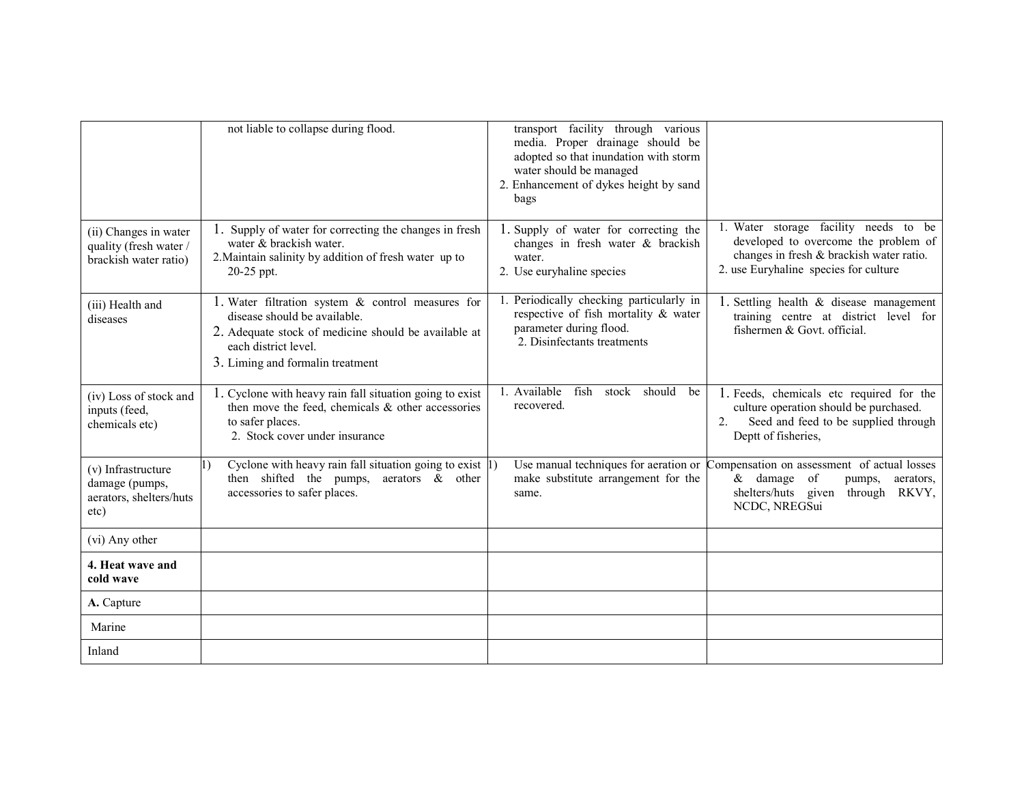|                                                                          | not liable to collapse during flood.                                                                                                                                                                      | transport facility through various<br>media. Proper drainage should be<br>adopted so that inundation with storm<br>water should be managed<br>2. Enhancement of dykes height by sand<br>bags |                                                                                                                                                                     |
|--------------------------------------------------------------------------|-----------------------------------------------------------------------------------------------------------------------------------------------------------------------------------------------------------|----------------------------------------------------------------------------------------------------------------------------------------------------------------------------------------------|---------------------------------------------------------------------------------------------------------------------------------------------------------------------|
| (ii) Changes in water<br>quality (fresh water /<br>brackish water ratio) | 1. Supply of water for correcting the changes in fresh<br>water & brackish water.<br>2. Maintain salinity by addition of fresh water up to<br>20-25 ppt.                                                  | 1. Supply of water for correcting the<br>changes in fresh water & brackish<br>water.<br>2. Use euryhaline species                                                                            | 1. Water storage facility needs to be<br>developed to overcome the problem of<br>changes in fresh & brackish water ratio.<br>2. use Euryhaline species for culture  |
| (iii) Health and<br>diseases                                             | 1. Water filtration system $\&$ control measures for<br>disease should be available.<br>2. Adequate stock of medicine should be available at<br>each district level.<br>3. Liming and formal in treatment | Periodically checking particularly in<br>respective of fish mortality & water<br>parameter during flood.<br>2. Disinfectants treatments                                                      | 1. Settling health $\&$ disease management<br>training centre at district level for<br>fishermen & Govt. official.                                                  |
| (iv) Loss of stock and<br>inputs (feed,<br>chemicals etc)                | 1. Cyclone with heavy rain fall situation going to exist<br>then move the feed, chemicals $\&$ other accessories<br>to safer places.<br>2. Stock cover under insurance                                    | 1. Available<br>fish<br>stock should<br>be<br>recovered.                                                                                                                                     | 1. Feeds, chemicals etc required for the<br>culture operation should be purchased.<br>Seed and feed to be supplied through<br>2 <sub>1</sub><br>Deptt of fisheries, |
| (v) Infrastructure<br>damage (pumps,<br>aerators, shelters/huts<br>etc)  | Cyclone with heavy rain fall situation going to exist $ 1\rangle$<br>1)<br>then shifted the pumps, aerators $\&$ other<br>accessories to safer places.                                                    | Use manual techniques for aeration or<br>make substitute arrangement for the<br>same.                                                                                                        | Compensation on assessment of actual losses<br>$&$ damage of<br>pumps,<br>aerators,<br>shelters/huts given through RKVY,<br>NCDC, NREGSui                           |
| (vi) Any other                                                           |                                                                                                                                                                                                           |                                                                                                                                                                                              |                                                                                                                                                                     |
| 4. Heat wave and<br>cold wave                                            |                                                                                                                                                                                                           |                                                                                                                                                                                              |                                                                                                                                                                     |
| A. Capture                                                               |                                                                                                                                                                                                           |                                                                                                                                                                                              |                                                                                                                                                                     |
| Marine                                                                   |                                                                                                                                                                                                           |                                                                                                                                                                                              |                                                                                                                                                                     |
| Inland                                                                   |                                                                                                                                                                                                           |                                                                                                                                                                                              |                                                                                                                                                                     |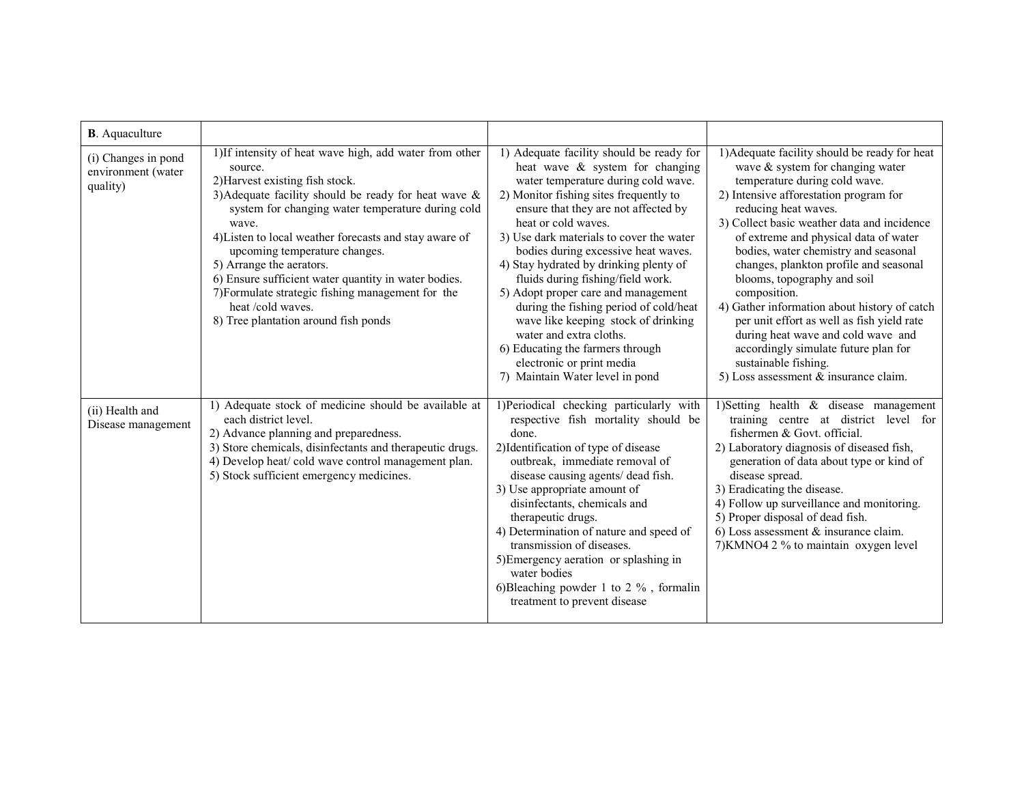| <b>B</b> . Aquaculture                                |                                                                                                                                                                                                                                                                                                                                                                                                                                                                                                                                 |                                                                                                                                                                                                                                                                                                                                                                                                                                                                                                                                                                                                                                                      |                                                                                                                                                                                                                                                                                                                                                                                                                                                                                                                                                                                                                                                              |
|-------------------------------------------------------|---------------------------------------------------------------------------------------------------------------------------------------------------------------------------------------------------------------------------------------------------------------------------------------------------------------------------------------------------------------------------------------------------------------------------------------------------------------------------------------------------------------------------------|------------------------------------------------------------------------------------------------------------------------------------------------------------------------------------------------------------------------------------------------------------------------------------------------------------------------------------------------------------------------------------------------------------------------------------------------------------------------------------------------------------------------------------------------------------------------------------------------------------------------------------------------------|--------------------------------------------------------------------------------------------------------------------------------------------------------------------------------------------------------------------------------------------------------------------------------------------------------------------------------------------------------------------------------------------------------------------------------------------------------------------------------------------------------------------------------------------------------------------------------------------------------------------------------------------------------------|
| (i) Changes in pond<br>environment (water<br>quality) | 1) If intensity of heat wave high, add water from other<br>source.<br>2) Harvest existing fish stock.<br>3) Adequate facility should be ready for heat wave $\&$<br>system for changing water temperature during cold<br>wave.<br>4) Listen to local weather forecasts and stay aware of<br>upcoming temperature changes.<br>5) Arrange the aerators.<br>6) Ensure sufficient water quantity in water bodies.<br>7) Formulate strategic fishing management for the<br>heat /cold waves.<br>8) Tree plantation around fish ponds | 1) Adequate facility should be ready for<br>heat wave & system for changing<br>water temperature during cold wave.<br>2) Monitor fishing sites frequently to<br>ensure that they are not affected by<br>heat or cold waves.<br>3) Use dark materials to cover the water<br>bodies during excessive heat waves.<br>4) Stay hydrated by drinking plenty of<br>fluids during fishing/field work.<br>5) Adopt proper care and management<br>during the fishing period of cold/heat<br>wave like keeping stock of drinking<br>water and extra cloths.<br>6) Educating the farmers through<br>electronic or print media<br>7) Maintain Water level in pond | 1) Adequate facility should be ready for heat<br>wave & system for changing water<br>temperature during cold wave.<br>2) Intensive afforestation program for<br>reducing heat waves.<br>3) Collect basic weather data and incidence<br>of extreme and physical data of water<br>bodies, water chemistry and seasonal<br>changes, plankton profile and seasonal<br>blooms, topography and soil<br>composition.<br>4) Gather information about history of catch<br>per unit effort as well as fish yield rate<br>during heat wave and cold wave and<br>accordingly simulate future plan for<br>sustainable fishing.<br>5) Loss assessment $&$ insurance claim. |
| (ii) Health and<br>Disease management                 | 1) Adequate stock of medicine should be available at<br>each district level.<br>2) Advance planning and preparedness.<br>3) Store chemicals, disinfectants and therapeutic drugs.<br>4) Develop heat/cold wave control management plan.<br>5) Stock sufficient emergency medicines.                                                                                                                                                                                                                                             | 1)Periodical checking particularly with<br>respective fish mortality should be<br>done.<br>2) Identification of type of disease<br>outbreak, immediate removal of<br>disease causing agents/ dead fish.<br>3) Use appropriate amount of<br>disinfectants, chemicals and<br>therapeutic drugs.<br>4) Determination of nature and speed of<br>transmission of diseases.<br>5) Emergency aeration or splashing in<br>water bodies<br>6) Bleaching powder 1 to 2 $%$ , formalin<br>treatment to prevent disease                                                                                                                                          | 1) Setting health $\&$ disease management<br>training centre at district level for<br>fishermen & Govt. official.<br>2) Laboratory diagnosis of diseased fish,<br>generation of data about type or kind of<br>disease spread.<br>3) Eradicating the disease.<br>4) Follow up surveillance and monitoring.<br>5) Proper disposal of dead fish.<br>6) Loss assessment $\&$ insurance claim.<br>7) KMNO4 2 % to maintain oxygen level                                                                                                                                                                                                                           |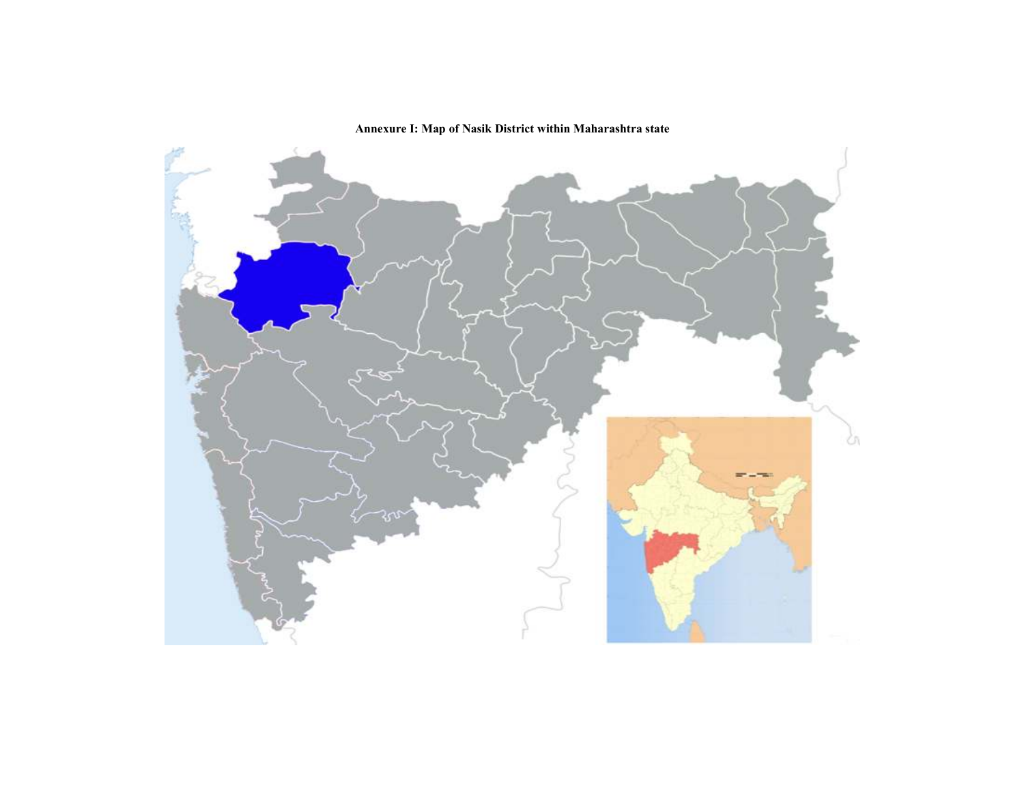Annexure I: Map of Nasik District within Maharashtra state

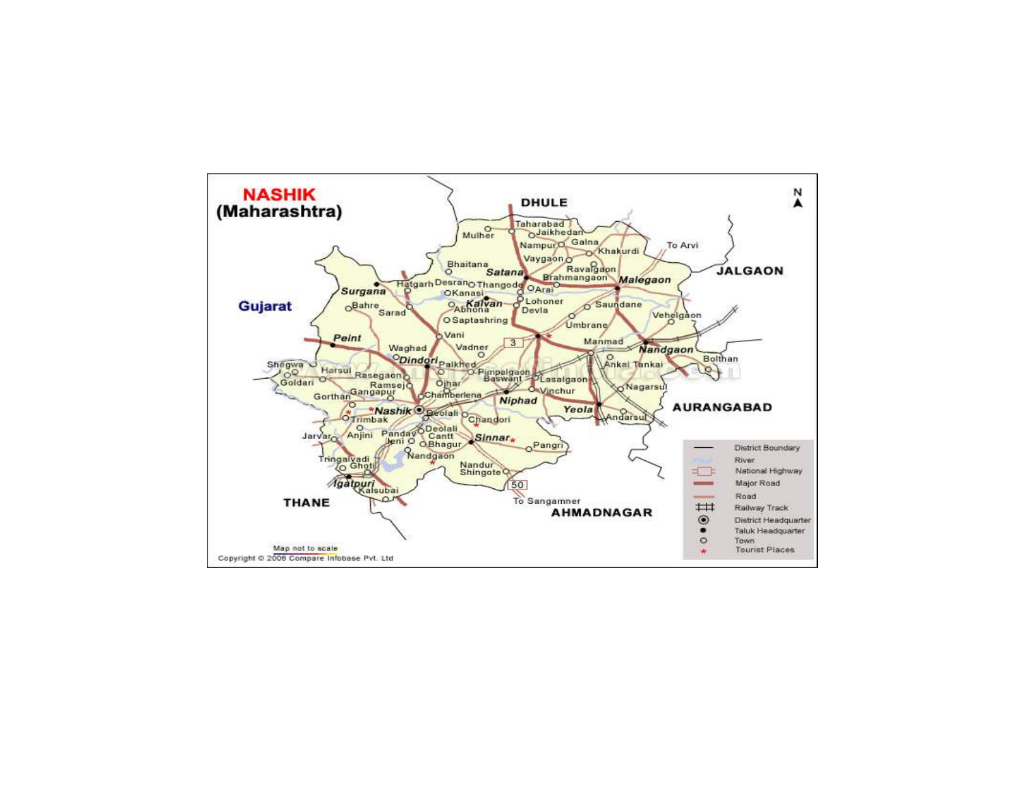